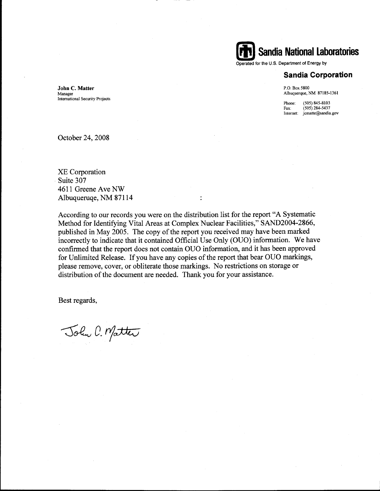

**Operated for the US. Department of Energy by** 

#### **Sandia Corporation**

**P.O. Box 5800 Albuquerque, NM 87185-1361** 

**Phone: (505) 845-8103 Fax: (505) 284-5437 Internet: [jcmatte@sandia.gov](mailto:jcmatte@sandia.gov)** 

**John C. Matter Manager International Security Projects** 

October 24,2008

XE Corporation Suite 307 4611 Greene Ave NW Albuqueruqe, NM 87114

According to our records you were on the distribution list for the report "A Systematic Method for Identifying Vital Areas at Complex Nuclear Facilities," SAND2004-2866, published in May 2005. The copy of the report you received may have been marked incorrectly to indicate that it contained Official Use Only (OUO) information. We have confirmed that the report does not contain OUO information, and it has been approved for Unlimited Release. If you have any copies of the report that bear OUO markings, please remove, cover, or obliterate those markings. No restrictions on storage or distribution of the document are needed. Thank you for your assistance.

Best regards,

John C. Matter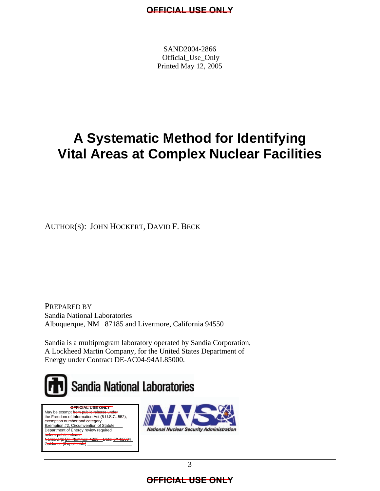SAND2004-2866 Official\_Use\_Only Printed May 12, 2005

### **A Systematic Method for Identifying Vital Areas at Complex Nuclear Facilities**

AUTHOR(S): JOHN HOCKERT, DAVID F. BECK

PREPARED BY Sandia National Laboratories Albuquerque, NM 87185 and Livermore, California 94550

Sandia is a multiprogram laboratory operated by Sandia Corporation, A Lockheed Martin Company, for the United States Department of Energy under Contract DE-AC04-94AL85000.

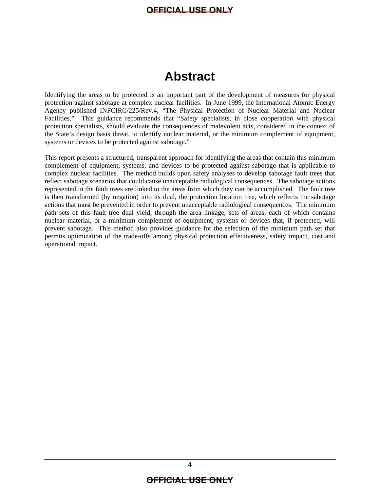### **Abstract**

Identifying the areas to be protected is an important part of the development of measures for physical protection against sabotage at complex nuclear facilities. In June 1999, the International Atomic Energy Agency published INFCIRC/225/Rev.4, "The Physical Protection of Nuclear Material and Nuclear Facilities." This guidance recommends that "Safety specialists, in close cooperation with physical protection specialists, should evaluate the consequences of malevolent acts, considered in the context of the State's design basis threat, to identify nuclear material, or the minimum complement of equipment, systems or devices to be protected against sabotage."

This report presents a structured, transparent approach for identifying the areas that contain this minimum complement of equipment, systems, and devices to be protected against sabotage that is applicable to complex nuclear facilities. The method builds upon safety analyses to develop sabotage fault trees that reflect sabotage scenarios that could cause unacceptable radiological consequences. The sabotage actions represented in the fault trees are linked to the areas from which they can be accomplished. The fault tree is then transformed (by negation) into its dual, the protection location tree, which reflects the sabotage actions that must be prevented in order to prevent unacceptable radiological consequences. The minimum path sets of this fault tree dual yield, through the area linkage, sets of areas, each of which contains nuclear material, or a minimum complement of equipment, systems or devices that, if protected, will prevent sabotage. This method also provides guidance for the selection of the minimum path set that permits optimization of the trade-offs among physical protection effectiveness, safety impact, cost and operational impact.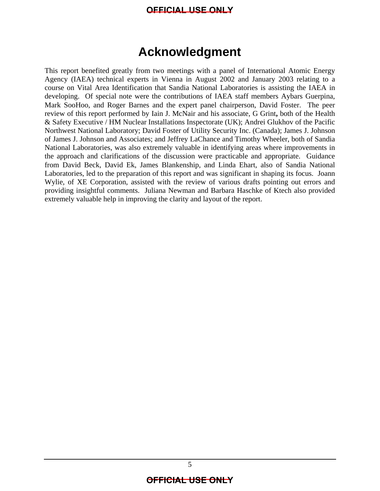### **Acknowledgment**

This report benefited greatly from two meetings with a panel of International Atomic Energy Agency (IAEA) technical experts in Vienna in August 2002 and January 2003 relating to a course on Vital Area Identification that Sandia National Laboratories is assisting the IAEA in developing. Of special note were the contributions of IAEA staff members Aybars Guerpina, Mark SooHoo, and Roger Barnes and the expert panel chairperson, David Foster. The peer review of this report performed by Iain J. McNair and his associate, G Grint**,** both of the Health & Safety Executive / HM Nuclear Installations Inspectorate (UK); Andrei Glukhov of the Pacific Northwest National Laboratory; David Foster of Utility Security Inc. (Canada); James J. Johnson of James J. Johnson and Associates; and Jeffrey LaChance and Timothy Wheeler, both of Sandia National Laboratories, was also extremely valuable in identifying areas where improvements in the approach and clarifications of the discussion were practicable and appropriate. Guidance from David Beck, David Ek, James Blankenship, and Linda Ehart, also of Sandia National Laboratories, led to the preparation of this report and was significant in shaping its focus. Joann Wylie, of XE Corporation, assisted with the review of various drafts pointing out errors and providing insightful comments. Juliana Newman and Barbara Haschke of Ktech also provided extremely valuable help in improving the clarity and layout of the report.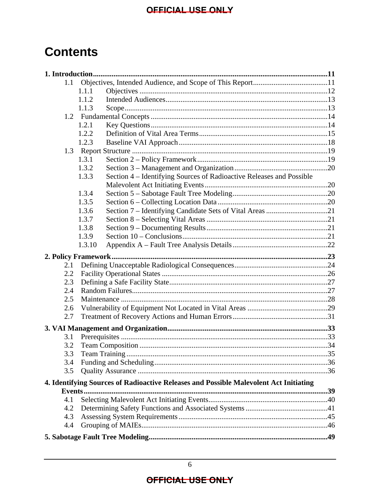### **Contents**

| 1.1 |        |                                                                                       |  |
|-----|--------|---------------------------------------------------------------------------------------|--|
|     | 1.1.1  |                                                                                       |  |
|     | 1.1.2  |                                                                                       |  |
|     | 1.1.3  |                                                                                       |  |
|     |        |                                                                                       |  |
|     | 1.2.1  |                                                                                       |  |
|     | 1.2.2  |                                                                                       |  |
|     | 1.2.3  |                                                                                       |  |
|     |        |                                                                                       |  |
|     | 1.3.1  |                                                                                       |  |
|     | 1.3.2  |                                                                                       |  |
|     | 1.3.3  | Section 4 – Identifying Sources of Radioactive Releases and Possible                  |  |
|     |        |                                                                                       |  |
|     | 1.3.4  |                                                                                       |  |
|     | 1.3.5  |                                                                                       |  |
|     | 1.3.6  | Section 7 - Identifying Candidate Sets of Vital Areas 21                              |  |
|     | 1.3.7  |                                                                                       |  |
|     | 1.3.8  |                                                                                       |  |
|     | 1.3.9  |                                                                                       |  |
|     | 1.3.10 |                                                                                       |  |
|     |        |                                                                                       |  |
| 2.1 |        |                                                                                       |  |
| 2.2 |        |                                                                                       |  |
| 2.3 |        |                                                                                       |  |
| 2.4 |        |                                                                                       |  |
| 2.5 |        |                                                                                       |  |
| 2.6 |        |                                                                                       |  |
| 2.7 |        |                                                                                       |  |
|     |        |                                                                                       |  |
| 3.1 |        |                                                                                       |  |
|     |        |                                                                                       |  |
| 3.3 |        |                                                                                       |  |
| 3.4 |        |                                                                                       |  |
| 3.5 |        |                                                                                       |  |
|     |        |                                                                                       |  |
|     |        | 4. Identifying Sources of Radioactive Releases and Possible Malevolent Act Initiating |  |
|     |        |                                                                                       |  |
| 4.1 |        |                                                                                       |  |
| 4.2 |        |                                                                                       |  |
| 4.3 |        |                                                                                       |  |
| 4.4 |        |                                                                                       |  |
|     |        |                                                                                       |  |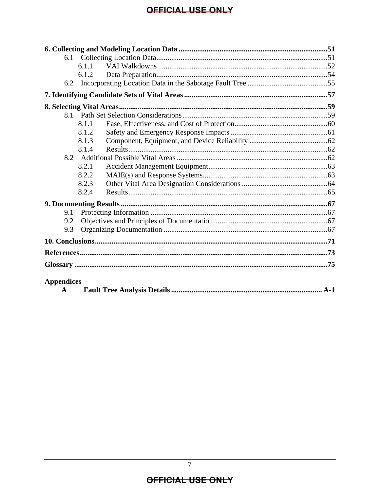#### **OFFICIAL USE ONLY**

| 6.1                    |       |  |  |
|------------------------|-------|--|--|
|                        | 6.1.1 |  |  |
|                        | 6.1.2 |  |  |
| 6.2                    |       |  |  |
|                        |       |  |  |
|                        |       |  |  |
|                        |       |  |  |
|                        | 8.1.1 |  |  |
|                        | 8.1.2 |  |  |
|                        | 8.1.3 |  |  |
|                        | 8.1.4 |  |  |
|                        |       |  |  |
|                        | 8.2.1 |  |  |
|                        | 8.2.2 |  |  |
|                        | 8.2.3 |  |  |
|                        | 8.2.4 |  |  |
|                        |       |  |  |
| 9.1                    |       |  |  |
| 9.2                    |       |  |  |
| 9.3                    |       |  |  |
|                        |       |  |  |
|                        |       |  |  |
|                        |       |  |  |
|                        |       |  |  |
| <b>Appendices</b><br>A |       |  |  |
|                        |       |  |  |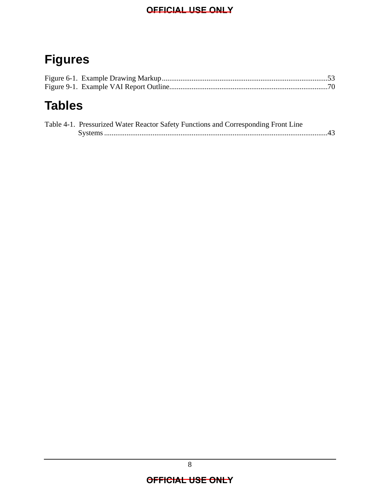### **Figures**

### **Tables**

| Table 4-1. Pressurized Water Reactor Safety Functions and Corresponding Front Line |  |
|------------------------------------------------------------------------------------|--|
|                                                                                    |  |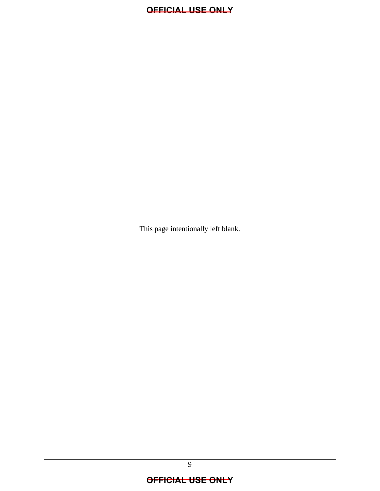This page intentionally left blank.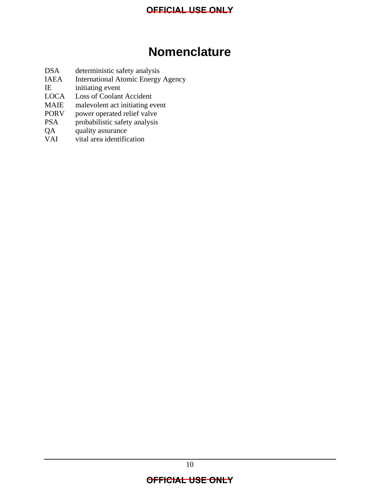### **Nomenclature**

- DSA deterministic safety analysis
- IAEA International Atomic Energy Agency
- IE initiating event
- LOCA Loss of Coolant Accident
- MAIE malevolent act initiating event<br>PORV power operated relief valve
- power operated relief valve
- PSA probabilistic safety analysis
- QA quality assurance
- VAI vital area identification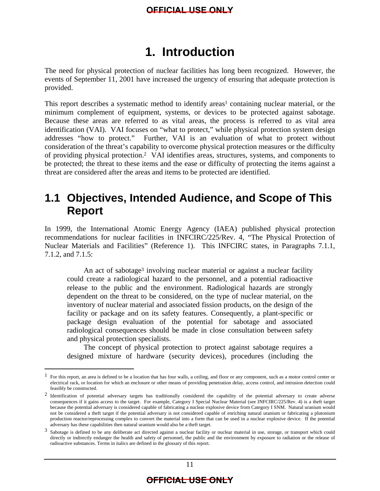### **1. Introduction**

The need for physical protection of nuclear facilities has long been recognized. However, the events of September 11, 2001 have increased the urgency of ensuring that adequate protection is provided.

This report describes a systematic method to identify areas<sup>1</sup> containing nuclear material, or the minimum complement of equipment, systems, or devices to be protected against sabotage. Because these areas are referred to as vital areas, the process is referred to as vital area identification (VAI). VAI focuses on "what to protect," while physical protection system design addresses "how to protect." Further, VAI is an evaluation of what to protect without consideration of the threat's capability to overcome physical protection measures or the difficulty of providing physical protection.2 VAI identifies areas, structures, systems, and components to be protected; the threat to these items and the ease or difficulty of protecting the items against a threat are considered after the areas and items to be protected are identified.

### **1.1 Objectives, Intended Audience, and Scope of This Report**

In 1999, the International Atomic Energy Agency (IAEA) published physical protection recommendations for nuclear facilities in INFCIRC/225/Rev. 4, "The Physical Protection of Nuclear Materials and Facilities" (Reference 1). This INFCIRC states, in Paragraphs 7.1.1, 7.1.2, and 7.1.5:

An act of sabotage<sup>3</sup> involving nuclear material or against a nuclear facility could create a radiological hazard to the personnel, and a potential radioactive release to the public and the environment. Radiological hazards are strongly dependent on the threat to be considered, on the type of nuclear material, on the inventory of nuclear material and associated fission products, on the design of the facility or package and on its safety features. Consequently, a plant-specific or package design evaluation of the potential for sabotage and associated radiological consequences should be made in close consultation between safety and physical protection specialists.

The concept of physical protection to protect against sabotage requires a designed mixture of hardware (security devices), procedures (including the

 $<sup>1</sup>$  For this report, an area is defined to be a location that has four walls, a ceiling, and floor or any component, such as a motor control center or</sup> electrical rack, or location for which an enclosure or other means of providing penetration delay, access control, and intrusion detection could feasibly be constructed.

<sup>2</sup> Identification of potential adversary targets has traditionally considered the capability of the potential adversary to create adverse consequences if it gains access to the target. For example, Category I Special Nuclear Material (see INFCIRC/225/Rev. 4) is a theft target because the potential adversary is considered capable of fabricating a nuclear explosive device from Category I SNM. Natural uranium would not be considered a theft target if the potential adversary is not considered capable of enriching natural uranium or fabricating a plutonium production reactor/reprocessing complex to convert the material into a form that can be used in a nuclear explosive device. If the potential adversary has these capabilities then natural uranium would also be a theft target.

<sup>3</sup> Sabotage is defined to be any deliberate act directed against a nuclear facility or nuclear material in use, storage, or transport which could directly or indirectly endanger the health and safety of personnel, the public and the environment by exposure to radiation or the release of radioactive substances. Terms in italics are defined in the glossary of this report.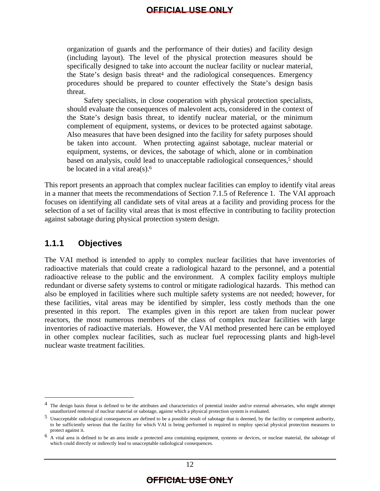organization of guards and the performance of their duties) and facility design (including layout). The level of the physical protection measures should be specifically designed to take into account the nuclear facility or nuclear material, the State's design basis threat<sup>4</sup> and the radiological consequences. Emergency procedures should be prepared to counter effectively the State's design basis threat.

Safety specialists, in close cooperation with physical protection specialists, should evaluate the consequences of malevolent acts, considered in the context of the State's design basis threat, to identify nuclear material, or the minimum complement of equipment, systems, or devices to be protected against sabotage. Also measures that have been designed into the facility for safety purposes should be taken into account. When protecting against sabotage, nuclear material or equipment, systems, or devices, the sabotage of which, alone or in combination based on analysis, could lead to unacceptable radiological consequences,<sup>5</sup> should be located in a vital area(s).<sup>6</sup>

This report presents an approach that complex nuclear facilities can employ to identify vital areas in a manner that meets the recommendations of Section 7.1.5 of Reference 1. The VAI approach focuses on identifying all candidate sets of vital areas at a facility and providing process for the selection of a set of facility vital areas that is most effective in contributing to facility protection against sabotage during physical protection system design.

#### **1.1.1 Objectives**

 $\overline{a}$ 

The VAI method is intended to apply to complex nuclear facilities that have inventories of radioactive materials that could create a radiological hazard to the personnel, and a potential radioactive release to the public and the environment. A complex facility employs multiple redundant or diverse safety systems to control or mitigate radiological hazards. This method can also be employed in facilities where such multiple safety systems are not needed; however, for these facilities, vital areas may be identified by simpler, less costly methods than the one presented in this report. The examples given in this report are taken from nuclear power reactors, the most numerous members of the class of complex nuclear facilities with large inventories of radioactive materials. However, the VAI method presented here can be employed in other complex nuclear facilities, such as nuclear fuel reprocessing plants and high-level nuclear waste treatment facilities.

The design basis threat is defined to be the attributes and characteristics of potential insider and/or external adversaries, who might attempt unauthorized removal of nuclear material or sabotage, against which a physical protection system is evaluated.

<sup>5</sup> Unacceptable radiological consequences are defined to be a possible result of sabotage that is deemed, by the facility or competent authority, to be sufficiently serious that the facility for which VAI is being performed is required to employ special physical protection measures to protect against it.

<sup>6</sup> A vital area is defined to be an area inside a protected area containing equipment, systems or devices, or nuclear material, the sabotage of which could directly or indirectly lead to unacceptable radiological consequences.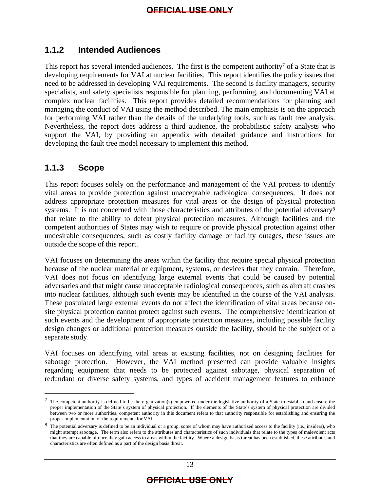#### **1.1.2 Intended Audiences**

This report has several intended audiences. The first is the competent authority<sup>7</sup> of a State that is developing requirements for VAI at nuclear facilities. This report identifies the policy issues that need to be addressed in developing VAI requirements. The second is facility managers, security specialists, and safety specialists responsible for planning, performing, and documenting VAI at complex nuclear facilities. This report provides detailed recommendations for planning and managing the conduct of VAI using the method described. The main emphasis is on the approach for performing VAI rather than the details of the underlying tools, such as fault tree analysis. Nevertheless, the report does address a third audience, the probabilistic safety analysts who support the VAI, by providing an appendix with detailed guidance and instructions for developing the fault tree model necessary to implement this method.

#### **1.1.3 Scope**

1

This report focuses solely on the performance and management of the VAI process to identify vital areas to provide protection against unacceptable radiological consequences. It does not address appropriate protection measures for vital areas or the design of physical protection systems. It is not concerned with those characteristics and attributes of the potential adversary<sup>8</sup> that relate to the ability to defeat physical protection measures. Although facilities and the competent authorities of States may wish to require or provide physical protection against other undesirable consequences, such as costly facility damage or facility outages, these issues are outside the scope of this report.

VAI focuses on determining the areas within the facility that require special physical protection because of the nuclear material or equipment, systems, or devices that they contain. Therefore, VAI does not focus on identifying large external events that could be caused by potential adversaries and that might cause unacceptable radiological consequences, such as aircraft crashes into nuclear facilities, although such events may be identified in the course of the VAI analysis. These postulated large external events do not affect the identification of vital areas because onsite physical protection cannot protect against such events. The comprehensive identification of such events and the development of appropriate protection measures, including possible facility design changes or additional protection measures outside the facility, should be the subject of a separate study.

VAI focuses on identifying vital areas at existing facilities, not on designing facilities for sabotage protection. However, the VAI method presented can provide valuable insights regarding equipment that needs to be protected against sabotage, physical separation of redundant or diverse safety systems, and types of accident management features to enhance

 $7$  The competent authority is defined to be the organization(s) empowered under the legislative authority of a State to establish and ensure the proper implementation of the State's system of physical protection. If the elements of the State's system of physical protection are divided between two or more authorities, competent authority in this document refers to that authority responsible for establishing and ensuring the proper implementation of the requirements for VAI.

<sup>8</sup> The potential adversary is defined to be an individual or a group, some of whom may have authorized access to the facility (i.e., insiders), who might attempt sabotage. The term also refers to the attributes and characteristics of such individuals that relate to the types of malevolent acts that they are capable of once they gain access to areas within the facility. Where a design basis threat has been established, these attributes and characteristics are often defined as a part of the design basis threat.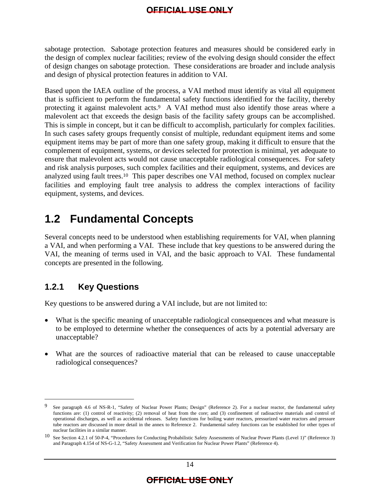sabotage protection. Sabotage protection features and measures should be considered early in the design of complex nuclear facilities; review of the evolving design should consider the effect of design changes on sabotage protection. These considerations are broader and include analysis and design of physical protection features in addition to VAI.

Based upon the IAEA outline of the process, a VAI method must identify as vital all equipment that is sufficient to perform the fundamental safety functions identified for the facility, thereby protecting it against malevolent acts.<sup>9</sup> A VAI method must also identify those areas where a malevolent act that exceeds the design basis of the facility safety groups can be accomplished. This is simple in concept, but it can be difficult to accomplish, particularly for complex facilities. In such cases safety groups frequently consist of multiple, redundant equipment items and some equipment items may be part of more than one safety group, making it difficult to ensure that the complement of equipment, systems, or devices selected for protection is minimal, yet adequate to ensure that malevolent acts would not cause unacceptable radiological consequences. For safety and risk analysis purposes, such complex facilities and their equipment, systems, and devices are analyzed using fault trees.10 This paper describes one VAI method, focused on complex nuclear facilities and employing fault tree analysis to address the complex interactions of facility equipment, systems, and devices.

### **1.2 Fundamental Concepts**

Several concepts need to be understood when establishing requirements for VAI, when planning a VAI, and when performing a VAI. These include that key questions to be answered during the VAI, the meaning of terms used in VAI, and the basic approach to VAI. These fundamental concepts are presented in the following.

#### **1.2.1 Key Questions**

<u>.</u>

Key questions to be answered during a VAI include, but are not limited to:

- What is the specific meaning of unacceptable radiological consequences and what measure is to be employed to determine whether the consequences of acts by a potential adversary are unacceptable?
- What are the sources of radioactive material that can be released to cause unacceptable radiological consequences?

# \_\_\_\_\_\_\_\_\_\_ <sup>14</sup> **OFFICIAL USE ONLY**

<sup>9</sup> See paragraph 4.6 of NS-R-1, "Safety of Nuclear Power Plants; Design" (Reference 2). For a nuclear reactor, the fundamental safety functions are: (1) control of reactivity; (2) removal of heat from the core; and (3) confinement of radioactive materials and control of operational discharges, as well as accidental releases. Safety functions for boiling water reactors, pressurized water reactors and pressure tube reactors are discussed in more detail in the annex to Reference 2. Fundamental safety functions can be established for other types of nuclear facilities in a similar manner.

<sup>10</sup> See Section 4.2.1 of 50-P-4, "Procedures for Conducting Probabilistic Safety Assessments of Nuclear Power Plants (Level 1)" (Reference 3) and Paragraph 4.154 of NS-G-1.2, "Safety Assessment and Verification for Nuclear Power Plants" (Reference 4).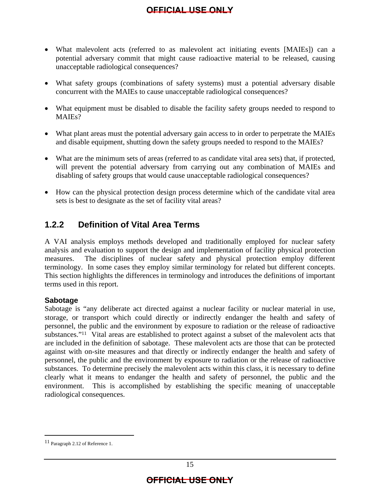- What malevolent acts (referred to as malevolent act initiating events [MAIEs]) can a potential adversary commit that might cause radioactive material to be released, causing unacceptable radiological consequences?
- What safety groups (combinations of safety systems) must a potential adversary disable concurrent with the MAIEs to cause unacceptable radiological consequences?
- What equipment must be disabled to disable the facility safety groups needed to respond to MAIEs?
- What plant areas must the potential adversary gain access to in order to perpetrate the MAIEs and disable equipment, shutting down the safety groups needed to respond to the MAIEs?
- What are the minimum sets of areas (referred to as candidate vital area sets) that, if protected, will prevent the potential adversary from carrying out any combination of MAIEs and disabling of safety groups that would cause unacceptable radiological consequences?
- How can the physical protection design process determine which of the candidate vital area sets is best to designate as the set of facility vital areas?

#### **1.2.2 Definition of Vital Area Terms**

A VAI analysis employs methods developed and traditionally employed for nuclear safety analysis and evaluation to support the design and implementation of facility physical protection measures. The disciplines of nuclear safety and physical protection employ different terminology. In some cases they employ similar terminology for related but different concepts. This section highlights the differences in terminology and introduces the definitions of important terms used in this report.

#### **Sabotage**

Sabotage is "any deliberate act directed against a nuclear facility or nuclear material in use, storage, or transport which could directly or indirectly endanger the health and safety of personnel, the public and the environment by exposure to radiation or the release of radioactive substances."11 Vital areas are established to protect against a subset of the malevolent acts that are included in the definition of sabotage. These malevolent acts are those that can be protected against with on-site measures and that directly or indirectly endanger the health and safety of personnel, the public and the environment by exposure to radiation or the release of radioactive substances. To determine precisely the malevolent acts within this class, it is necessary to define clearly what it means to endanger the health and safety of personnel, the public and the environment. This is accomplished by establishing the specific meaning of unacceptable radiological consequences.

<sup>11</sup> Paragraph 2.12 of Reference 1.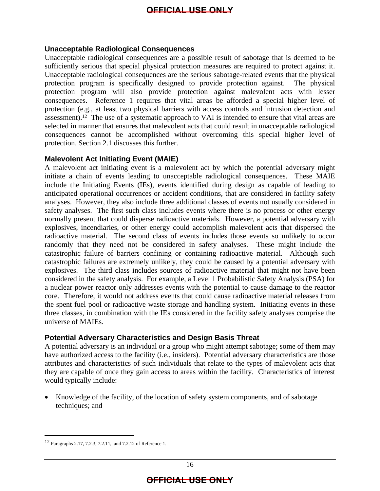#### **Unacceptable Radiological Consequences**

Unacceptable radiological consequences are a possible result of sabotage that is deemed to be sufficiently serious that special physical protection measures are required to protect against it. Unacceptable radiological consequences are the serious sabotage-related events that the physical protection program is specifically designed to provide protection against. The physical protection program will also provide protection against malevolent acts with lesser consequences. Reference 1 requires that vital areas be afforded a special higher level of protection (e.g., at least two physical barriers with access controls and intrusion detection and assessment).12 The use of a systematic approach to VAI is intended to ensure that vital areas are selected in manner that ensures that malevolent acts that could result in unacceptable radiological consequences cannot be accomplished without overcoming this special higher level of protection. Section 2.1 discusses this further.

#### **Malevolent Act Initiating Event (MAIE)**

A malevolent act initiating event is a malevolent act by which the potential adversary might initiate a chain of events leading to unacceptable radiological consequences. These MAIE include the Initiating Events (IEs), events identified during design as capable of leading to anticipated operational occurrences or accident conditions, that are considered in facility safety analyses. However, they also include three additional classes of events not usually considered in safety analyses. The first such class includes events where there is no process or other energy normally present that could disperse radioactive materials. However, a potential adversary with explosives, incendiaries, or other energy could accomplish malevolent acts that dispersed the radioactive material. The second class of events includes those events so unlikely to occur randomly that they need not be considered in safety analyses. These might include the catastrophic failure of barriers confining or containing radioactive material. Although such catastrophic failures are extremely unlikely, they could be caused by a potential adversary with explosives. The third class includes sources of radioactive material that might not have been considered in the safety analysis. For example, a Level 1 Probabilistic Safety Analysis (PSA) for a nuclear power reactor only addresses events with the potential to cause damage to the reactor core. Therefore, it would not address events that could cause radioactive material releases from the spent fuel pool or radioactive waste storage and handling system. Initiating events in these three classes, in combination with the IEs considered in the facility safety analyses comprise the universe of MAIEs.

#### **Potential Adversary Characteristics and Design Basis Threat**

A potential adversary is an individual or a group who might attempt sabotage; some of them may have authorized access to the facility (i.e., insiders). Potential adversary characteristics are those attributes and characteristics of such individuals that relate to the types of malevolent acts that they are capable of once they gain access to areas within the facility. Characteristics of interest would typically include:

• Knowledge of the facility, of the location of safety system components, and of sabotage techniques; and

<sup>12</sup> Paragraphs 2.17, 7.2.3, 7.2.11, and 7.2.12 of Reference 1.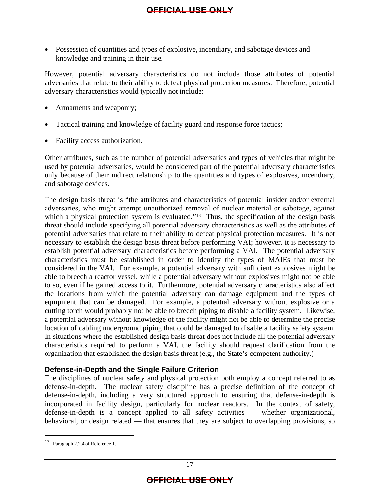• Possession of quantities and types of explosive, incendiary, and sabotage devices and knowledge and training in their use.

However, potential adversary characteristics do not include those attributes of potential adversaries that relate to their ability to defeat physical protection measures. Therefore, potential adversary characteristics would typically not include:

- Armaments and weaponry;
- Tactical training and knowledge of facility guard and response force tactics;
- Facility access authorization.

Other attributes, such as the number of potential adversaries and types of vehicles that might be used by potential adversaries, would be considered part of the potential adversary characteristics only because of their indirect relationship to the quantities and types of explosives, incendiary, and sabotage devices.

The design basis threat is "the attributes and characteristics of potential insider and/or external adversaries, who might attempt unauthorized removal of nuclear material or sabotage, against which a physical protection system is evaluated."<sup>13</sup> Thus, the specification of the design basis threat should include specifying all potential adversary characteristics as well as the attributes of potential adversaries that relate to their ability to defeat physical protection measures. It is not necessary to establish the design basis threat before performing VAI; however, it is necessary to establish potential adversary characteristics before performing a VAI. The potential adversary characteristics must be established in order to identify the types of MAIEs that must be considered in the VAI. For example, a potential adversary with sufficient explosives might be able to breech a reactor vessel, while a potential adversary without explosives might not be able to so, even if he gained access to it. Furthermore, potential adversary characteristics also affect the locations from which the potential adversary can damage equipment and the types of equipment that can be damaged. For example, a potential adversary without explosive or a cutting torch would probably not be able to breech piping to disable a facility system. Likewise, a potential adversary without knowledge of the facility might not be able to determine the precise location of cabling underground piping that could be damaged to disable a facility safety system. In situations where the established design basis threat does not include all the potential adversary characteristics required to perform a VAI, the facility should request clarification from the organization that established the design basis threat (e.g., the State's competent authority.)

#### **Defense-in-Depth and the Single Failure Criterion**

The disciplines of nuclear safety and physical protection both employ a concept referred to as defense-in-depth. The nuclear safety discipline has a precise definition of the concept of defense-in-depth, including a very structured approach to ensuring that defense-in-depth is incorporated in facility design, particularly for nuclear reactors. In the context of safety, defense-in-depth is a concept applied to all safety activities — whether organizational, behavioral, or design related — that ensures that they are subject to overlapping provisions, so

<sup>13</sup> Paragraph 2.2.4 of Reference 1.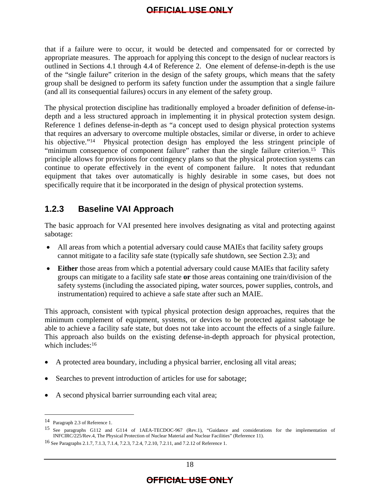that if a failure were to occur, it would be detected and compensated for or corrected by appropriate measures. The approach for applying this concept to the design of nuclear reactors is outlined in Sections 4.1 through 4.4 of Reference 2. One element of defense-in-depth is the use of the "single failure" criterion in the design of the safety groups, which means that the safety group shall be designed to perform its safety function under the assumption that a single failure (and all its consequential failures) occurs in any element of the safety group.

The physical protection discipline has traditionally employed a broader definition of defense-indepth and a less structured approach in implementing it in physical protection system design. Reference 1 defines defense-in-depth as "a concept used to design physical protection systems that requires an adversary to overcome multiple obstacles, similar or diverse, in order to achieve his objective."<sup>14</sup> Physical protection design has employed the less stringent principle of "minimum consequence of component failure" rather than the single failure criterion.<sup>15</sup> This principle allows for provisions for contingency plans so that the physical protection systems can continue to operate effectively in the event of component failure. It notes that redundant equipment that takes over automatically is highly desirable in some cases, but does not specifically require that it be incorporated in the design of physical protection systems.

#### **1.2.3 Baseline VAI Approach**

The basic approach for VAI presented here involves designating as vital and protecting against sabotage:

- All areas from which a potential adversary could cause MAIEs that facility safety groups cannot mitigate to a facility safe state (typically safe shutdown, see Section 2.3); and
- **Either** those areas from which a potential adversary could cause MAIEs that facility safety groups can mitigate to a facility safe state **or** those areas containing one train/division of the safety systems (including the associated piping, water sources, power supplies, controls, and instrumentation) required to achieve a safe state after such an MAIE.

This approach, consistent with typical physical protection design approaches, requires that the minimum complement of equipment, systems, or devices to be protected against sabotage be able to achieve a facility safe state, but does not take into account the effects of a single failure. This approach also builds on the existing defense-in-depth approach for physical protection, which includes:<sup>16</sup>

- A protected area boundary, including a physical barrier, enclosing all vital areas;
- Searches to prevent introduction of articles for use for sabotage;
- A second physical barrier surrounding each vital area;

1

<sup>14</sup> Paragraph 2.3 of Reference 1.

<sup>15</sup> See paragraphs G112 and G114 of 1AEA-TECDOC-967 (Rev.1), "Guidance and considerations for the implementation of INFCIRC/225/Rev.4, The Physical Protection of Nuclear Material and Nuclear Facilities" (Reference 11).

<sup>16</sup> See Paragraphs 2.1.7, 7.1.3, 7.1.4, 7.2.3, 7.2.4, 7.2.10, 7.2.11, and 7.2.12 of Reference 1.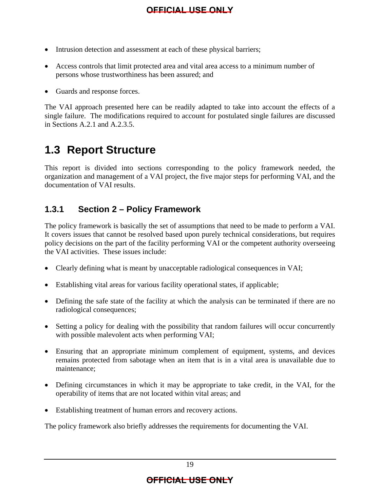- Intrusion detection and assessment at each of these physical barriers;
- Access controls that limit protected area and vital area access to a minimum number of persons whose trustworthiness has been assured; and
- Guards and response forces.

The VAI approach presented here can be readily adapted to take into account the effects of a single failure. The modifications required to account for postulated single failures are discussed in Sections A.2.1 and A.2.3.5.

### **1.3 Report Structure**

This report is divided into sections corresponding to the policy framework needed, the organization and management of a VAI project, the five major steps for performing VAI, and the documentation of VAI results.

#### **1.3.1 Section 2 – Policy Framework**

The policy framework is basically the set of assumptions that need to be made to perform a VAI. It covers issues that cannot be resolved based upon purely technical considerations, but requires policy decisions on the part of the facility performing VAI or the competent authority overseeing the VAI activities. These issues include:

- Clearly defining what is meant by unacceptable radiological consequences in VAI;
- Establishing vital areas for various facility operational states, if applicable;
- Defining the safe state of the facility at which the analysis can be terminated if there are no radiological consequences;
- Setting a policy for dealing with the possibility that random failures will occur concurrently with possible malevolent acts when performing VAI;
- Ensuring that an appropriate minimum complement of equipment, systems, and devices remains protected from sabotage when an item that is in a vital area is unavailable due to maintenance;
- Defining circumstances in which it may be appropriate to take credit, in the VAI, for the operability of items that are not located within vital areas; and
- Establishing treatment of human errors and recovery actions.

The policy framework also briefly addresses the requirements for documenting the VAI.

# \_\_\_\_\_\_\_\_\_\_ <sup>19</sup> **OFFICIAL USE ONLY**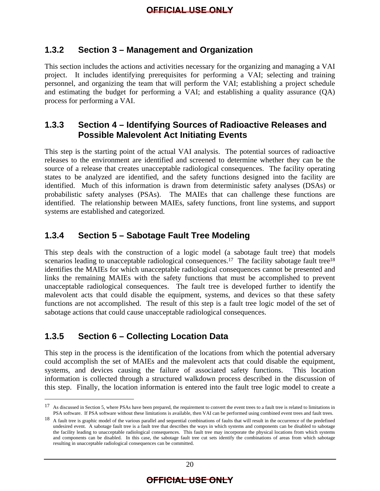#### **1.3.2 Section 3 – Management and Organization**

This section includes the actions and activities necessary for the organizing and managing a VAI project. It includes identifying prerequisites for performing a VAI; selecting and training personnel, and organizing the team that will perform the VAI; establishing a project schedule and estimating the budget for performing a VAI; and establishing a quality assurance (QA) process for performing a VAI.

#### **1.3.3 Section 4 – Identifying Sources of Radioactive Releases and Possible Malevolent Act Initiating Events**

This step is the starting point of the actual VAI analysis. The potential sources of radioactive releases to the environment are identified and screened to determine whether they can be the source of a release that creates unacceptable radiological consequences. The facility operating states to be analyzed are identified, and the safety functions designed into the facility are identified. Much of this information is drawn from deterministic safety analyses (DSAs) or probabilistic safety analyses (PSAs). The MAIEs that can challenge these functions are identified. The relationship between MAIEs, safety functions, front line systems, and support systems are established and categorized.

#### **1.3.4 Section 5 – Sabotage Fault Tree Modeling**

This step deals with the construction of a logic model (a sabotage fault tree) that models scenarios leading to unacceptable radiological consequences.<sup>17</sup> The facility sabotage fault tree<sup>18</sup> identifies the MAIEs for which unacceptable radiological consequences cannot be presented and links the remaining MAIEs with the safety functions that must be accomplished to prevent unacceptable radiological consequences. The fault tree is developed further to identify the malevolent acts that could disable the equipment, systems, and devices so that these safety functions are not accomplished. The result of this step is a fault tree logic model of the set of sabotage actions that could cause unacceptable radiological consequences.

#### **1.3.5 Section 6 – Collecting Location Data**

 $\overline{a}$ 

This step in the process is the identification of the locations from which the potential adversary could accomplish the set of MAIEs and the malevolent acts that could disable the equipment, systems, and devices causing the failure of associated safety functions. This location information is collected through a structured walkdown process described in the discussion of this step. Finally, the location information is entered into the fault tree logic model to create a

<sup>&</sup>lt;sup>17</sup> As discussed in Section 5, where PSAs have been prepared, the requirement to convert the event trees to a fault tree is related to limitations in PSA software. If PSA software without these limitations is available, then VAI can be performed using combined event trees and fault trees.

<sup>&</sup>lt;sup>18</sup> A fault tree is graphic model of the various parallel and sequential combinations of faults that will result in the occurrence of the predefined undesired event. A sabotage fault tree is a fault tree that describes the ways in which systems and components can be disabled to sabotage the facility leading to unacceptable radiological consequences. This fault tree may incorporate the physical locations from which systems and components can be disabled. In this case, the sabotage fault tree cut sets identify the combinations of areas from which sabotage resulting in unacceptable radiological consequences can be committed.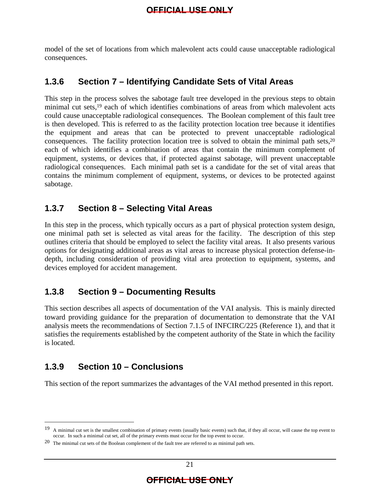model of the set of locations from which malevolent acts could cause unacceptable radiological consequences.

#### **1.3.6 Section 7 – Identifying Candidate Sets of Vital Areas**

This step in the process solves the sabotage fault tree developed in the previous steps to obtain minimal cut sets,19 each of which identifies combinations of areas from which malevolent acts could cause unacceptable radiological consequences. The Boolean complement of this fault tree is then developed. This is referred to as the facility protection location tree because it identifies the equipment and areas that can be protected to prevent unacceptable radiological consequences. The facility protection location tree is solved to obtain the minimal path sets,20 each of which identifies a combination of areas that contain the minimum complement of equipment, systems, or devices that, if protected against sabotage, will prevent unacceptable radiological consequences. Each minimal path set is a candidate for the set of vital areas that contains the minimum complement of equipment, systems, or devices to be protected against sabotage.

#### **1.3.7 Section 8 – Selecting Vital Areas**

In this step in the process, which typically occurs as a part of physical protection system design, one minimal path set is selected as vital areas for the facility. The description of this step outlines criteria that should be employed to select the facility vital areas. It also presents various options for designating additional areas as vital areas to increase physical protection defense-indepth, including consideration of providing vital area protection to equipment, systems, and devices employed for accident management.

#### **1.3.8 Section 9 – Documenting Results**

This section describes all aspects of documentation of the VAI analysis. This is mainly directed toward providing guidance for the preparation of documentation to demonstrate that the VAI analysis meets the recommendations of Section 7.1.5 of INFCIRC/225 (Reference 1), and that it satisfies the requirements established by the competent authority of the State in which the facility is located.

#### **1.3.9 Section 10 – Conclusions**

 $\overline{a}$ 

This section of the report summarizes the advantages of the VAI method presented in this report.

<sup>19</sup> A minimal cut set is the smallest combination of primary events (usually basic events) such that, if they all occur, will cause the top event to occur. In such a minimal cut set, all of the primary events must occur for the top event to occur.

<sup>20</sup> The minimal cut sets of the Boolean complement of the fault tree are referred to as minimal path sets.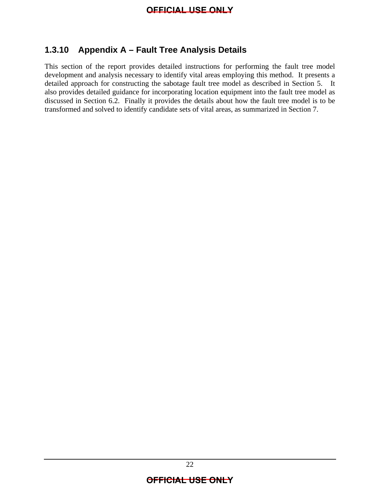#### **1.3.10 Appendix A – Fault Tree Analysis Details**

This section of the report provides detailed instructions for performing the fault tree model development and analysis necessary to identify vital areas employing this method. It presents a detailed approach for constructing the sabotage fault tree model as described in Section 5. It also provides detailed guidance for incorporating location equipment into the fault tree model as discussed in Section 6.2. Finally it provides the details about how the fault tree model is to be transformed and solved to identify candidate sets of vital areas, as summarized in Section 7.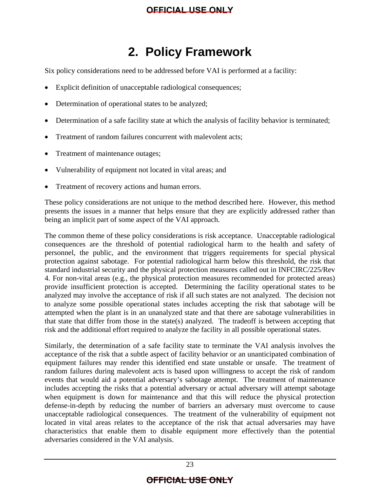### **2. Policy Framework**

Six policy considerations need to be addressed before VAI is performed at a facility:

- Explicit definition of unacceptable radiological consequences;
- Determination of operational states to be analyzed;
- Determination of a safe facility state at which the analysis of facility behavior is terminated;
- Treatment of random failures concurrent with malevolent acts;
- Treatment of maintenance outages;
- Vulnerability of equipment not located in vital areas; and
- Treatment of recovery actions and human errors.

These policy considerations are not unique to the method described here. However, this method presents the issues in a manner that helps ensure that they are explicitly addressed rather than being an implicit part of some aspect of the VAI approach.

The common theme of these policy considerations is risk acceptance. Unacceptable radiological consequences are the threshold of potential radiological harm to the health and safety of personnel, the public, and the environment that triggers requirements for special physical protection against sabotage. For potential radiological harm below this threshold, the risk that standard industrial security and the physical protection measures called out in INFCIRC/225/Rev 4. For non-vital areas (e.g., the physical protection measures recommended for protected areas) provide insufficient protection is accepted. Determining the facility operational states to be analyzed may involve the acceptance of risk if all such states are not analyzed. The decision not to analyze some possible operational states includes accepting the risk that sabotage will be attempted when the plant is in an unanalyzed state and that there are sabotage vulnerabilities in that state that differ from those in the state(s) analyzed. The tradeoff is between accepting that risk and the additional effort required to analyze the facility in all possible operational states.

Similarly, the determination of a safe facility state to terminate the VAI analysis involves the acceptance of the risk that a subtle aspect of facility behavior or an unanticipated combination of equipment failures may render this identified end state unstable or unsafe. The treatment of random failures during malevolent acts is based upon willingness to accept the risk of random events that would aid a potential adversary's sabotage attempt. The treatment of maintenance includes accepting the risks that a potential adversary or actual adversary will attempt sabotage when equipment is down for maintenance and that this will reduce the physical protection defense-in-depth by reducing the number of barriers an adversary must overcome to cause unacceptable radiological consequences. The treatment of the vulnerability of equipment not located in vital areas relates to the acceptance of the risk that actual adversaries may have characteristics that enable them to disable equipment more effectively than the potential adversaries considered in the VAI analysis.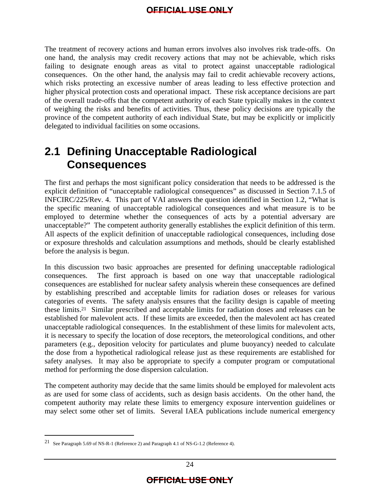The treatment of recovery actions and human errors involves also involves risk trade-offs. On one hand, the analysis may credit recovery actions that may not be achievable, which risks failing to designate enough areas as vital to protect against unacceptable radiological consequences. On the other hand, the analysis may fail to credit achievable recovery actions, which risks protecting an excessive number of areas leading to less effective protection and higher physical protection costs and operational impact. These risk acceptance decisions are part of the overall trade-offs that the competent authority of each State typically makes in the context of weighing the risks and benefits of activities. Thus, these policy decisions are typically the province of the competent authority of each individual State, but may be explicitly or implicitly delegated to individual facilities on some occasions.

### **2.1 Defining Unacceptable Radiological Consequences**

The first and perhaps the most significant policy consideration that needs to be addressed is the explicit definition of "unacceptable radiological consequences" as discussed in Section 7.1.5 of INFCIRC/225/Rev. 4. This part of VAI answers the question identified in Section 1.2, "What is the specific meaning of unacceptable radiological consequences and what measure is to be employed to determine whether the consequences of acts by a potential adversary are unacceptable?" The competent authority generally establishes the explicit definition of this term. All aspects of the explicit definition of unacceptable radiological consequences, including dose or exposure thresholds and calculation assumptions and methods, should be clearly established before the analysis is begun.

In this discussion two basic approaches are presented for defining unacceptable radiological consequences. The first approach is based on one way that unacceptable radiological consequences are established for nuclear safety analysis wherein these consequences are defined by establishing prescribed and acceptable limits for radiation doses or releases for various categories of events. The safety analysis ensures that the facility design is capable of meeting these limits.21 Similar prescribed and acceptable limits for radiation doses and releases can be established for malevolent acts. If these limits are exceeded, then the malevolent act has created unacceptable radiological consequences. In the establishment of these limits for malevolent acts, it is necessary to specify the location of dose receptors, the meteorological conditions, and other parameters (e.g., deposition velocity for particulates and plume buoyancy) needed to calculate the dose from a hypothetical radiological release just as these requirements are established for safety analyses. It may also be appropriate to specify a computer program or computational method for performing the dose dispersion calculation.

The competent authority may decide that the same limits should be employed for malevolent acts as are used for some class of accidents, such as design basis accidents. On the other hand, the competent authority may relate these limits to emergency exposure intervention guidelines or may select some other set of limits. Several IAEA publications include numerical emergency

<sup>21</sup> See Paragraph 5.69 of NS-R-1 (Reference 2) and Paragraph 4.1 of NS-G-1.2 (Reference 4).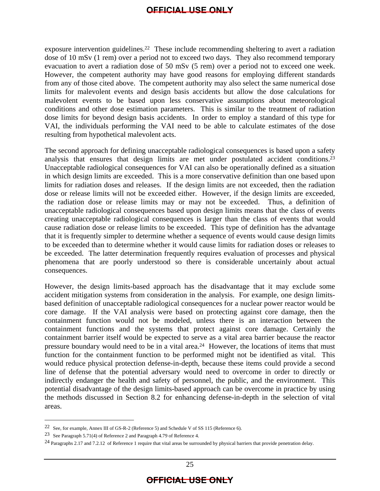exposure intervention guidelines.<sup>22</sup> These include recommending sheltering to avert a radiation dose of 10 mSv (1 rem) over a period not to exceed two days. They also recommend temporary evacuation to avert a radiation dose of 50 mSv (5 rem) over a period not to exceed one week. However, the competent authority may have good reasons for employing different standards from any of those cited above. The competent authority may also select the same numerical dose limits for malevolent events and design basis accidents but allow the dose calculations for malevolent events to be based upon less conservative assumptions about meteorological conditions and other dose estimation parameters. This is similar to the treatment of radiation dose limits for beyond design basis accidents. In order to employ a standard of this type for VAI, the individuals performing the VAI need to be able to calculate estimates of the dose resulting from hypothetical malevolent acts.

The second approach for defining unacceptable radiological consequences is based upon a safety analysis that ensures that design limits are met under postulated accident conditions.23 Unacceptable radiological consequences for VAI can also be operationally defined as a situation in which design limits are exceeded. This is a more conservative definition than one based upon limits for radiation doses and releases. If the design limits are not exceeded, then the radiation dose or release limits will not be exceeded either. However, if the design limits are exceeded, the radiation dose or release limits may or may not be exceeded. Thus, a definition of unacceptable radiological consequences based upon design limits means that the class of events creating unacceptable radiological consequences is larger than the class of events that would cause radiation dose or release limits to be exceeded. This type of definition has the advantage that it is frequently simpler to determine whether a sequence of events would cause design limits to be exceeded than to determine whether it would cause limits for radiation doses or releases to be exceeded. The latter determination frequently requires evaluation of processes and physical phenomena that are poorly understood so there is considerable uncertainly about actual consequences.

However, the design limits-based approach has the disadvantage that it may exclude some accident mitigation systems from consideration in the analysis. For example, one design limitsbased definition of unacceptable radiological consequences for a nuclear power reactor would be core damage. If the VAI analysis were based on protecting against core damage, then the containment function would not be modeled, unless there is an interaction between the containment functions and the systems that protect against core damage. Certainly the containment barrier itself would be expected to serve as a vital area barrier because the reactor pressure boundary would need to be in a vital area.24 However, the locations of items that must function for the containment function to be performed might not be identified as vital. This would reduce physical protection defense-in-depth, because these items could provide a second line of defense that the potential adversary would need to overcome in order to directly or indirectly endanger the health and safety of personnel, the public, and the environment. This potential disadvantage of the design limits-based approach can be overcome in practice by using the methods discussed in Section 8.2 for enhancing defense-in-depth in the selection of vital areas.

<sup>22</sup> See, for example, Annex III of GS-R-2 (Reference 5) and Schedule V of SS 115 (Reference 6).

<sup>23</sup> See Paragraph 5.71(4) of Reference 2 and Paragraph 4.79 of Reference 4.

<sup>24</sup> Paragraphs 2.17 and 7.2.12 of Reference 1 require that vital areas be surrounded by physical barriers that provide penetration delay.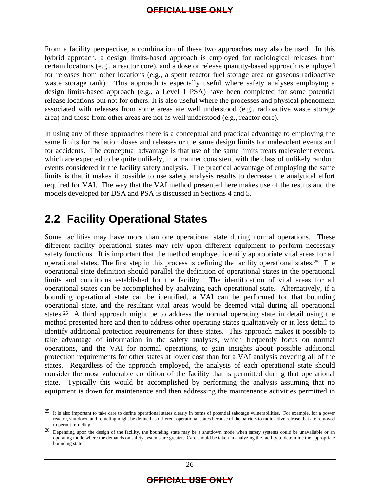From a facility perspective, a combination of these two approaches may also be used. In this hybrid approach, a design limits-based approach is employed for radiological releases from certain locations (e.g., a reactor core), and a dose or release quantity-based approach is employed for releases from other locations (e.g., a spent reactor fuel storage area or gaseous radioactive waste storage tank). This approach is especially useful where safety analyses employing a design limits-based approach (e.g., a Level 1 PSA) have been completed for some potential release locations but not for others. It is also useful where the processes and physical phenomena associated with releases from some areas are well understood (e.g., radioactive waste storage area) and those from other areas are not as well understood (e.g., reactor core).

In using any of these approaches there is a conceptual and practical advantage to employing the same limits for radiation doses and releases or the same design limits for malevolent events and for accidents. The conceptual advantage is that use of the same limits treats malevolent events, which are expected to be quite unlikely, in a manner consistent with the class of unlikely random events considered in the facility safety analysis. The practical advantage of employing the same limits is that it makes it possible to use safety analysis results to decrease the analytical effort required for VAI. The way that the VAI method presented here makes use of the results and the models developed for DSA and PSA is discussed in Sections 4 and 5.

### **2.2 Facility Operational States**

 $\overline{a}$ 

Some facilities may have more than one operational state during normal operations. These different facility operational states may rely upon different equipment to perform necessary safety functions. It is important that the method employed identify appropriate vital areas for all operational states. The first step in this process is defining the facility operational states.25 The operational state definition should parallel the definition of operational states in the operational limits and conditions established for the facility. The identification of vital areas for all operational states can be accomplished by analyzing each operational state. Alternatively, if a bounding operational state can be identified, a VAI can be performed for that bounding operational state, and the resultant vital areas would be deemed vital during all operational states.26 A third approach might be to address the normal operating state in detail using the method presented here and then to address other operating states qualitatively or in less detail to identify additional protection requirements for these states. This approach makes it possible to take advantage of information in the safety analyses, which frequently focus on normal operations, and the VAI for normal operations, to gain insights about possible additional protection requirements for other states at lower cost than for a VAI analysis covering all of the states. Regardless of the approach employed, the analysis of each operational state should consider the most vulnerable condition of the facility that is permitted during that operational state. Typically this would be accomplished by performing the analysis assuming that no equipment is down for maintenance and then addressing the maintenance activities permitted in

<sup>&</sup>lt;sup>25</sup> It is also important to take care to define operational states clearly in terms of potential sabotage vulnerabilities. For example, for a power reactor, shutdown and refueling might be defined as different operational states because of the barriers to radioactive release that are removed to permit refueling.

<sup>&</sup>lt;sup>26</sup> Depending upon the design of the facility, the bounding state may be a shutdown mode when safety systems could be unavailable or an operating mode where the demands on safety systems are greater. Care should be taken in analyzing the facility to determine the appropriate bounding state.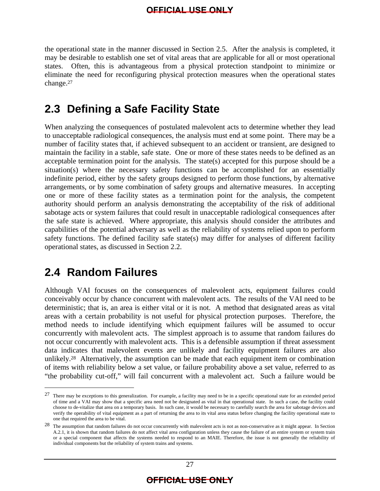the operational state in the manner discussed in Section 2.5. After the analysis is completed, it may be desirable to establish one set of vital areas that are applicable for all or most operational states. Often, this is advantageous from a physical protection standpoint to minimize or eliminate the need for reconfiguring physical protection measures when the operational states change.27

### **2.3 Defining a Safe Facility State**

When analyzing the consequences of postulated malevolent acts to determine whether they lead to unacceptable radiological consequences, the analysis must end at some point. There may be a number of facility states that, if achieved subsequent to an accident or transient, are designed to maintain the facility in a stable, safe state. One or more of these states needs to be defined as an acceptable termination point for the analysis. The state(s) accepted for this purpose should be a situation(s) where the necessary safety functions can be accomplished for an essentially indefinite period, either by the safety groups designed to perform those functions, by alternative arrangements, or by some combination of safety groups and alternative measures. In accepting one or more of these facility states as a termination point for the analysis, the competent authority should perform an analysis demonstrating the acceptability of the risk of additional sabotage acts or system failures that could result in unacceptable radiological consequences after the safe state is achieved. Where appropriate, this analysis should consider the attributes and capabilities of the potential adversary as well as the reliability of systems relied upon to perform safety functions. The defined facility safe state(s) may differ for analyses of different facility operational states, as discussed in Section 2.2.

### **2.4 Random Failures**

<u>.</u>

Although VAI focuses on the consequences of malevolent acts, equipment failures could conceivably occur by chance concurrent with malevolent acts. The results of the VAI need to be deterministic; that is, an area is either vital or it is not. A method that designated areas as vital areas with a certain probability is not useful for physical protection purposes. Therefore, the method needs to include identifying which equipment failures will be assumed to occur concurrently with malevolent acts. The simplest approach is to assume that random failures do not occur concurrently with malevolent acts. This is a defensible assumption if threat assessment data indicates that malevolent events are unlikely and facility equipment failures are also unlikely.28 Alternatively, the assumption can be made that each equipment item or combination of items with reliability below a set value, or failure probability above a set value, referred to as "the probability cut-off," will fail concurrent with a malevolent act. Such a failure would be

 $27$  There may be exceptions to this generalization. For example, a facility may need to be in a specific operational state for an extended period of time and a VAI may show that a specific area need not be designated as vital in that operational state. In such a case, the facility could choose to de-vitalize that area on a temporary basis. In such case, it would be necessary to carefully search the area for sabotage devices and verify the operability of vital equipment as a part of returning the area to its vital area status before changing the facility operational state to one that required the area to be vital.

<sup>28</sup> The assumption that random failures do not occur concurrently with malevolent acts is not as non-conservative as it might appear. In Section A.2.1, it is shown that random failures do not affect vital area configuration unless they cause the failure of an entire system or system train or a special component that affects the systems needed to respond to an MAIE. Therefore, the issue is not generally the reliability of individual components but the reliability of system trains and systems.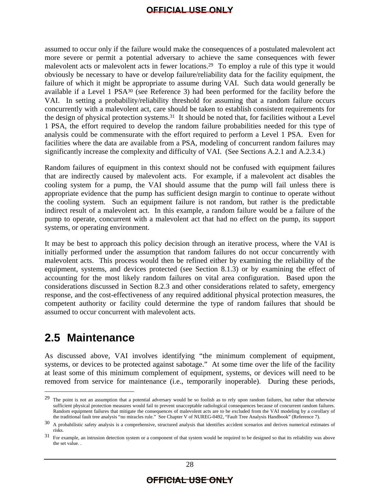assumed to occur only if the failure would make the consequences of a postulated malevolent act more severe or permit a potential adversary to achieve the same consequences with fewer malevolent acts or malevolent acts in fewer locations.29 To employ a rule of this type it would obviously be necessary to have or develop failure/reliability data for the facility equipment, the failure of which it might be appropriate to assume during VAI. Such data would generally be available if a Level 1 PSA30 (see Reference 3) had been performed for the facility before the VAI. In setting a probability/reliability threshold for assuming that a random failure occurs concurrently with a malevolent act, care should be taken to establish consistent requirements for the design of physical protection systems.31 It should be noted that, for facilities without a Level 1 PSA, the effort required to develop the random failure probabilities needed for this type of analysis could be commensurate with the effort required to perform a Level 1 PSA. Even for facilities where the data are available from a PSA, modeling of concurrent random failures may significantly increase the complexity and difficulty of VAI. (See Sections A.2.1 and A.2.3.4.)

Random failures of equipment in this context should not be confused with equipment failures that are indirectly caused by malevolent acts. For example, if a malevolent act disables the cooling system for a pump, the VAI should assume that the pump will fail unless there is appropriate evidence that the pump has sufficient design margin to continue to operate without the cooling system. Such an equipment failure is not random, but rather is the predictable indirect result of a malevolent act. In this example, a random failure would be a failure of the pump to operate, concurrent with a malevolent act that had no effect on the pump, its support systems, or operating environment.

It may be best to approach this policy decision through an iterative process, where the VAI is initially performed under the assumption that random failures do not occur concurrently with malevolent acts. This process would then be refined either by examining the reliability of the equipment, systems, and devices protected (see Section 8.1.3) or by examining the effect of accounting for the most likely random failures on vital area configuration. Based upon the considerations discussed in Section 8.2.3 and other considerations related to safety, emergency response, and the cost-effectiveness of any required additional physical protection measures, the competent authority or facility could determine the type of random failures that should be assumed to occur concurrent with malevolent acts.

### **2.5 Maintenance**

 $\overline{a}$ 

As discussed above, VAI involves identifying "the minimum complement of equipment, systems, or devices to be protected against sabotage." At some time over the life of the facility at least some of this minimum complement of equipment, systems, or devices will need to be removed from service for maintenance (i.e., temporarily inoperable). During these periods,

<sup>&</sup>lt;sup>29</sup> The point is not an assumption that a potential adversary would be so foolish as to rely upon random failures, but rather that otherwise sufficient physical protection measures would fail to prevent unacceptable radiological consequences because of concurrent random failures. Random equipment failures that mitigate the consequences of malevolent acts are to be excluded from the VAI modeling by a corollary of the traditional fault tree analysis "no miracles rule." See Chapter V of NUREG-0492, "Fault Tree Analysis Handbook" (Reference 7).

<sup>30</sup> A probabilistic safety analysis is a comprehensive, structured analysis that identifies accident scenarios and derives numerical estimates of risks.

 $31$  For example, an intrusion detection system or a component of that system would be required to be designed so that its reliability was above the set value. .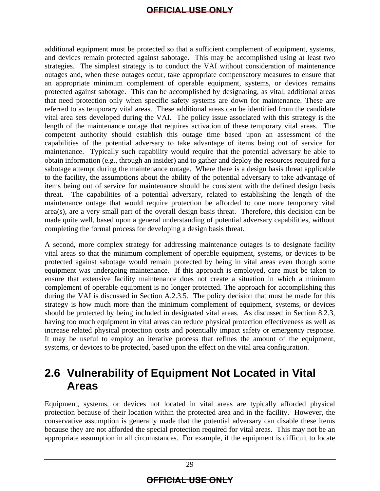additional equipment must be protected so that a sufficient complement of equipment, systems, and devices remain protected against sabotage. This may be accomplished using at least two strategies. The simplest strategy is to conduct the VAI without consideration of maintenance outages and, when these outages occur, take appropriate compensatory measures to ensure that an appropriate minimum complement of operable equipment, systems, or devices remains protected against sabotage. This can be accomplished by designating, as vital, additional areas that need protection only when specific safety systems are down for maintenance. These are referred to as temporary vital areas. These additional areas can be identified from the candidate vital area sets developed during the VAI. The policy issue associated with this strategy is the length of the maintenance outage that requires activation of these temporary vital areas. The competent authority should establish this outage time based upon an assessment of the capabilities of the potential adversary to take advantage of items being out of service for maintenance. Typically such capability would require that the potential adversary be able to obtain information (e.g., through an insider) and to gather and deploy the resources required for a sabotage attempt during the maintenance outage. Where there is a design basis threat applicable to the facility, the assumptions about the ability of the potential adversary to take advantage of items being out of service for maintenance should be consistent with the defined design basis threat. The capabilities of a potential adversary, related to establishing the length of the maintenance outage that would require protection be afforded to one more temporary vital area(s), are a very small part of the overall design basis threat. Therefore, this decision can be made quite well, based upon a general understanding of potential adversary capabilities, without completing the formal process for developing a design basis threat.

A second, more complex strategy for addressing maintenance outages is to designate facility vital areas so that the minimum complement of operable equipment, systems, or devices to be protected against sabotage would remain protected by being in vital areas even though some equipment was undergoing maintenance. If this approach is employed, care must be taken to ensure that extensive facility maintenance does not create a situation in which a minimum complement of operable equipment is no longer protected. The approach for accomplishing this during the VAI is discussed in Section A.2.3.5. The policy decision that must be made for this strategy is how much more than the minimum complement of equipment, systems, or devices should be protected by being included in designated vital areas. As discussed in Section 8.2.3, having too much equipment in vital areas can reduce physical protection effectiveness as well as increase related physical protection costs and potentially impact safety or emergency response. It may be useful to employ an iterative process that refines the amount of the equipment, systems, or devices to be protected, based upon the effect on the vital area configuration.

### **2.6 Vulnerability of Equipment Not Located in Vital Areas**

Equipment, systems, or devices not located in vital areas are typically afforded physical protection because of their location within the protected area and in the facility. However, the conservative assumption is generally made that the potential adversary can disable these items because they are not afforded the special protection required for vital areas. This may not be an appropriate assumption in all circumstances. For example, if the equipment is difficult to locate

# \_\_\_\_\_\_\_\_\_\_ <sup>29</sup> **OFFICIAL USE ONLY**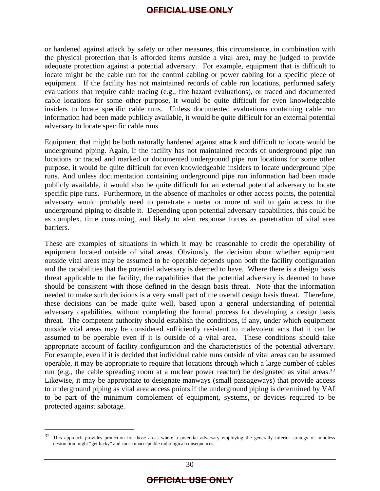or hardened against attack by safety or other measures, this circumstance, in combination with the physical protection that is afforded items outside a vital area, may be judged to provide adequate protection against a potential adversary. For example, equipment that is difficult to locate might be the cable run for the control cabling or power cabling for a specific piece of equipment. If the facility has not maintained records of cable run locations, performed safety evaluations that require cable tracing (e.g., fire hazard evaluations), or traced and documented cable locations for some other purpose, it would be quite difficult for even knowledgeable insiders to locate specific cable runs. Unless documented evaluations containing cable run information had been made publicly available, it would be quite difficult for an external potential adversary to locate specific cable runs.

Equipment that might be both naturally hardened against attack and difficult to locate would be underground piping. Again, if the facility has not maintained records of underground pipe run locations or traced and marked or documented underground pipe run locations for some other purpose, it would be quite difficult for even knowledgeable insiders to locate underground pipe runs. And unless documentation containing underground pipe run information had been made publicly available, it would also be quite difficult for an external potential adversary to locate specific pipe runs. Furthermore, in the absence of manholes or other access points, the potential adversary would probably need to penetrate a meter or more of soil to gain access to the underground piping to disable it. Depending upon potential adversary capabilities, this could be as complex, time consuming, and likely to alert response forces as penetration of vital area barriers.

These are examples of situations in which it may be reasonable to credit the operability of equipment located outside of vital areas. Obviously, the decision about whether equipment outside vital areas may be assumed to be operable depends upon both the facility configuration and the capabilities that the potential adversary is deemed to have. Where there is a design basis threat applicable to the facility, the capabilities that the potential adversary is deemed to have should be consistent with those defined in the design basis threat. Note that the information needed to make such decisions is a very small part of the overall design basis threat. Therefore, these decisions can be made quite well, based upon a general understanding of potential adversary capabilities, without completing the formal process for developing a design basis threat. The competent authority should establish the conditions, if any, under which equipment outside vital areas may be considered sufficiently resistant to malevolent acts that it can be assumed to be operable even if it is outside of a vital area. These conditions should take appropriate account of facility configuration and the characteristics of the potential adversary. For example, even if it is decided that individual cable runs outside of vital areas can be assumed operable, it may be appropriate to require that locations through which a large number of cables run (e.g., the cable spreading room at a nuclear power reactor) be designated as vital areas.32 Likewise, it may be appropriate to designate manways (small passageways) that provide access to underground piping as vital area access points if the underground piping is determined by VAI to be part of the minimum complement of equipment, systems, or devices required to be protected against sabotage.

1

<sup>32</sup> This approach provides protection for those areas where a potential adversary employing the generally inferior strategy of mindless destruction might "get lucky" and cause unacceptable radiological consequences.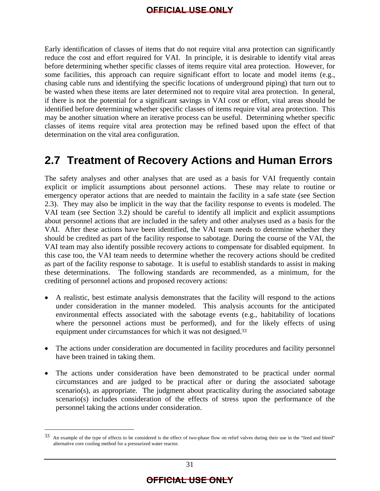Early identification of classes of items that do not require vital area protection can significantly reduce the cost and effort required for VAI. In principle, it is desirable to identify vital areas before determining whether specific classes of items require vital area protection. However, for some facilities, this approach can require significant effort to locate and model items (e.g., chasing cable runs and identifying the specific locations of underground piping) that turn out to be wasted when these items are later determined not to require vital area protection. In general, if there is not the potential for a significant savings in VAI cost or effort, vital areas should be identified before determining whether specific classes of items require vital area protection. This may be another situation where an iterative process can be useful. Determining whether specific classes of items require vital area protection may be refined based upon the effect of that determination on the vital area configuration.

### **2.7 Treatment of Recovery Actions and Human Errors**

The safety analyses and other analyses that are used as a basis for VAI frequently contain explicit or implicit assumptions about personnel actions. These may relate to routine or emergency operator actions that are needed to maintain the facility in a safe state (see Section 2.3). They may also be implicit in the way that the facility response to events is modeled. The VAI team (see Section 3.2) should be careful to identify all implicit and explicit assumptions about personnel actions that are included in the safety and other analyses used as a basis for the VAI. After these actions have been identified, the VAI team needs to determine whether they should be credited as part of the facility response to sabotage. During the course of the VAI, the VAI team may also identify possible recovery actions to compensate for disabled equipment. In this case too, the VAI team needs to determine whether the recovery actions should be credited as part of the facility response to sabotage. It is useful to establish standards to assist in making these determinations. The following standards are recommended, as a minimum, for the crediting of personnel actions and proposed recovery actions:

- A realistic, best estimate analysis demonstrates that the facility will respond to the actions under consideration in the manner modeled. This analysis accounts for the anticipated environmental effects associated with the sabotage events (e.g., habitability of locations where the personnel actions must be performed), and for the likely effects of using equipment under circumstances for which it was not designed.<sup>33</sup>
- The actions under consideration are documented in facility procedures and facility personnel have been trained in taking them.
- The actions under consideration have been demonstrated to be practical under normal circumstances and are judged to be practical after or during the associated sabotage scenario(s), as appropriate. The judgment about practicality during the associated sabotage scenario(s) includes consideration of the effects of stress upon the performance of the personnel taking the actions under consideration.

<sup>33</sup> An example of the type of effects to be considered is the effect of two-phase flow on relief valves during their use in the "feed and bleed" alternative core cooling method for a pressurized water reactor.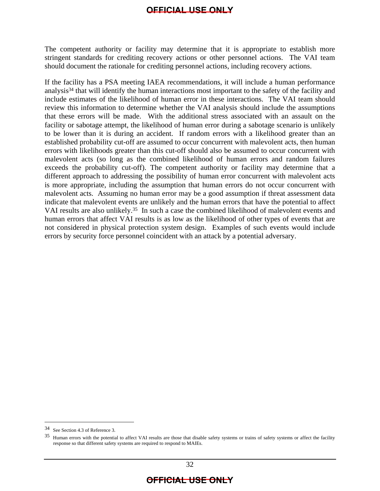The competent authority or facility may determine that it is appropriate to establish more stringent standards for crediting recovery actions or other personnel actions. The VAI team should document the rationale for crediting personnel actions, including recovery actions.

If the facility has a PSA meeting IAEA recommendations, it will include a human performance analysis34 that will identify the human interactions most important to the safety of the facility and include estimates of the likelihood of human error in these interactions. The VAI team should review this information to determine whether the VAI analysis should include the assumptions that these errors will be made. With the additional stress associated with an assault on the facility or sabotage attempt, the likelihood of human error during a sabotage scenario is unlikely to be lower than it is during an accident. If random errors with a likelihood greater than an established probability cut-off are assumed to occur concurrent with malevolent acts, then human errors with likelihoods greater than this cut-off should also be assumed to occur concurrent with malevolent acts (so long as the combined likelihood of human errors and random failures exceeds the probability cut-off). The competent authority or facility may determine that a different approach to addressing the possibility of human error concurrent with malevolent acts is more appropriate, including the assumption that human errors do not occur concurrent with malevolent acts. Assuming no human error may be a good assumption if threat assessment data indicate that malevolent events are unlikely and the human errors that have the potential to affect VAI results are also unlikely.35 In such a case the combined likelihood of malevolent events and human errors that affect VAI results is as low as the likelihood of other types of events that are not considered in physical protection system design. Examples of such events would include errors by security force personnel coincident with an attack by a potential adversary.

<sup>34</sup> See Section 4.3 of Reference 3.

<sup>&</sup>lt;sup>35</sup> Human errors with the potential to affect VAI results are those that disable safety systems or trains of safety systems or affect the facility response so that different safety systems are required to respond to MAIEs.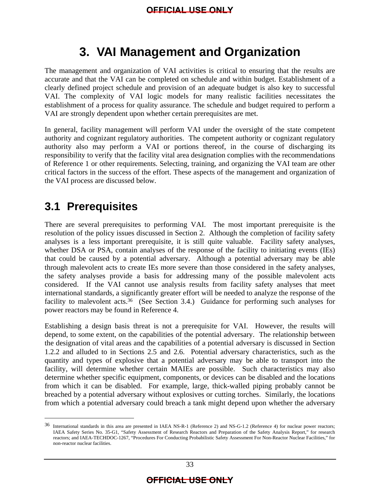### **3. VAI Management and Organization**

The management and organization of VAI activities is critical to ensuring that the results are accurate and that the VAI can be completed on schedule and within budget. Establishment of a clearly defined project schedule and provision of an adequate budget is also key to successful VAI. The complexity of VAI logic models for many realistic facilities necessitates the establishment of a process for quality assurance. The schedule and budget required to perform a VAI are strongly dependent upon whether certain prerequisites are met.

In general, facility management will perform VAI under the oversight of the state competent authority and cognizant regulatory authorities. The competent authority or cognizant regulatory authority also may perform a VAI or portions thereof, in the course of discharging its responsibility to verify that the facility vital area designation complies with the recommendations of Reference 1 or other requirements. Selecting, training, and organizing the VAI team are other critical factors in the success of the effort. These aspects of the management and organization of the VAI process are discussed below.

### **3.1 Prerequisites**

 $\overline{a}$ 

There are several prerequisites to performing VAI. The most important prerequisite is the resolution of the policy issues discussed in Section 2. Although the completion of facility safety analyses is a less important prerequisite, it is still quite valuable. Facility safety analyses, whether DSA or PSA, contain analyses of the response of the facility to initiating events (IEs) that could be caused by a potential adversary. Although a potential adversary may be able through malevolent acts to create IEs more severe than those considered in the safety analyses, the safety analyses provide a basis for addressing many of the possible malevolent acts considered. If the VAI cannot use analysis results from facility safety analyses that meet international standards, a significantly greater effort will be needed to analyze the response of the facility to malevolent acts.<sup>36</sup> (See Section 3.4.) Guidance for performing such analyses for power reactors may be found in Reference 4.

Establishing a design basis threat is not a prerequisite for VAI. However, the results will depend, to some extent, on the capabilities of the potential adversary. The relationship between the designation of vital areas and the capabilities of a potential adversary is discussed in Section 1.2.2 and alluded to in Sections 2.5 and 2.6. Potential adversary characteristics, such as the quantity and types of explosive that a potential adversary may be able to transport into the facility, will determine whether certain MAIEs are possible. Such characteristics may also determine whether specific equipment, components, or devices can be disabled and the locations from which it can be disabled. For example, large, thick-walled piping probably cannot be breached by a potential adversary without explosives or cutting torches. Similarly, the locations from which a potential adversary could breach a tank might depend upon whether the adversary

<sup>36</sup> International standards in this area are presented in IAEA NS-R-1 (Reference 2) and NS-G-1.2 (Reference 4) for nuclear power reactors; IAEA Safety Series No. 35-G1, "Safety Assessment of Research Reactors and Preparation of the Safety Analysis Report," for research reactors; and IAEA-TECHDOC-1267, "Procedures For Conducting Probabilistic Safety Assessment For Non-Reactor Nuclear Facilities," for non-reactor nuclear facilities.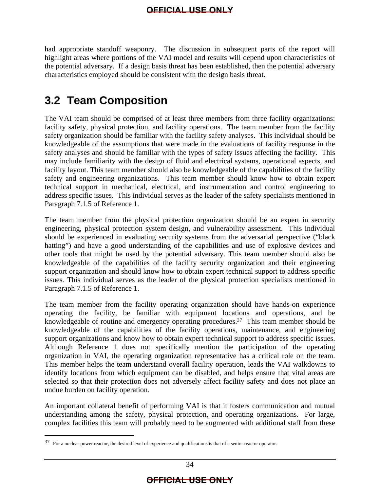had appropriate standoff weaponry. The discussion in subsequent parts of the report will highlight areas where portions of the VAI model and results will depend upon characteristics of the potential adversary. If a design basis threat has been established, then the potential adversary characteristics employed should be consistent with the design basis threat.

### **3.2 Team Composition**

The VAI team should be comprised of at least three members from three facility organizations: facility safety, physical protection, and facility operations. The team member from the facility safety organization should be familiar with the facility safety analyses. This individual should be knowledgeable of the assumptions that were made in the evaluations of facility response in the safety analyses and should be familiar with the types of safety issues affecting the facility. This may include familiarity with the design of fluid and electrical systems, operational aspects, and facility layout. This team member should also be knowledgeable of the capabilities of the facility safety and engineering organizations. This team member should know how to obtain expert technical support in mechanical, electrical, and instrumentation and control engineering to address specific issues. This individual serves as the leader of the safety specialists mentioned in Paragraph 7.1.5 of Reference 1.

The team member from the physical protection organization should be an expert in security engineering, physical protection system design, and vulnerability assessment. This individual should be experienced in evaluating security systems from the adversarial perspective ("black hatting") and have a good understanding of the capabilities and use of explosive devices and other tools that might be used by the potential adversary. This team member should also be knowledgeable of the capabilities of the facility security organization and their engineering support organization and should know how to obtain expert technical support to address specific issues. This individual serves as the leader of the physical protection specialists mentioned in Paragraph 7.1.5 of Reference 1.

The team member from the facility operating organization should have hands-on experience operating the facility, be familiar with equipment locations and operations, and be knowledgeable of routine and emergency operating procedures.37 This team member should be knowledgeable of the capabilities of the facility operations, maintenance, and engineering support organizations and know how to obtain expert technical support to address specific issues. Although Reference 1 does not specifically mention the participation of the operating organization in VAI, the operating organization representative has a critical role on the team. This member helps the team understand overall facility operation, leads the VAI walkdowns to identify locations from which equipment can be disabled, and helps ensure that vital areas are selected so that their protection does not adversely affect facility safety and does not place an undue burden on facility operation.

An important collateral benefit of performing VAI is that it fosters communication and mutual understanding among the safety, physical protection, and operating organizations. For large, complex facilities this team will probably need to be augmented with additional staff from these

1

<sup>37</sup> For a nuclear power reactor, the desired level of experience and qualifications is that of a senior reactor operator.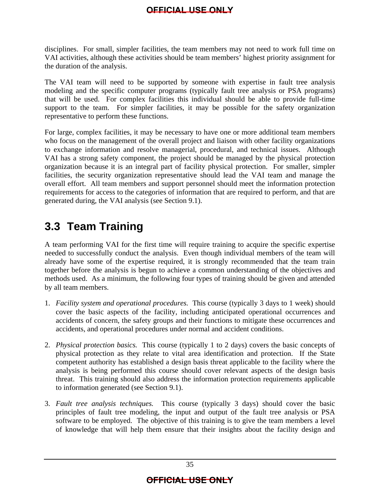disciplines. For small, simpler facilities, the team members may not need to work full time on VAI activities, although these activities should be team members' highest priority assignment for the duration of the analysis.

The VAI team will need to be supported by someone with expertise in fault tree analysis modeling and the specific computer programs (typically fault tree analysis or PSA programs) that will be used. For complex facilities this individual should be able to provide full-time support to the team. For simpler facilities, it may be possible for the safety organization representative to perform these functions.

For large, complex facilities, it may be necessary to have one or more additional team members who focus on the management of the overall project and liaison with other facility organizations to exchange information and resolve managerial, procedural, and technical issues. Although VAI has a strong safety component, the project should be managed by the physical protection organization because it is an integral part of facility physical protection. For smaller, simpler facilities, the security organization representative should lead the VAI team and manage the overall effort. All team members and support personnel should meet the information protection requirements for access to the categories of information that are required to perform, and that are generated during, the VAI analysis (see Section 9.1).

### **3.3 Team Training**

A team performing VAI for the first time will require training to acquire the specific expertise needed to successfully conduct the analysis. Even though individual members of the team will already have some of the expertise required, it is strongly recommended that the team train together before the analysis is begun to achieve a common understanding of the objectives and methods used. As a minimum, the following four types of training should be given and attended by all team members.

- 1. *Facility system and operational procedures.* This course (typically 3 days to 1 week) should cover the basic aspects of the facility, including anticipated operational occurrences and accidents of concern, the safety groups and their functions to mitigate these occurrences and accidents, and operational procedures under normal and accident conditions.
- 2. *Physical protection basics.* This course (typically 1 to 2 days) covers the basic concepts of physical protection as they relate to vital area identification and protection. If the State competent authority has established a design basis threat applicable to the facility where the analysis is being performed this course should cover relevant aspects of the design basis threat. This training should also address the information protection requirements applicable to information generated (see Section 9.1).
- 3. *Fault tree analysis techniques.* This course (typically 3 days) should cover the basic principles of fault tree modeling, the input and output of the fault tree analysis or PSA software to be employed. The objective of this training is to give the team members a level of knowledge that will help them ensure that their insights about the facility design and

# \_\_\_\_\_\_\_\_\_\_ <sup>35</sup> **OFFICIAL USE ONLY**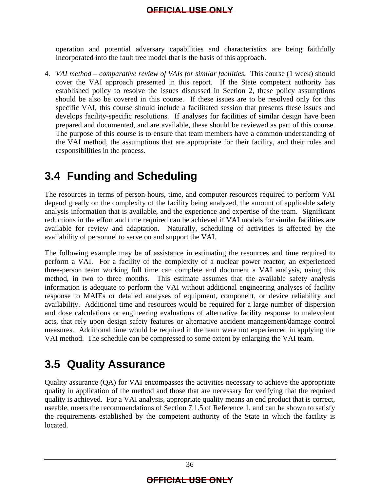operation and potential adversary capabilities and characteristics are being faithfully incorporated into the fault tree model that is the basis of this approach.

4. *VAI method – comparative review of VAIs for similar facilities.* This course (1 week) should cover the VAI approach presented in this report. If the State competent authority has established policy to resolve the issues discussed in Section 2, these policy assumptions should be also be covered in this course. If these issues are to be resolved only for this specific VAI, this course should include a facilitated session that presents these issues and develops facility-specific resolutions. If analyses for facilities of similar design have been prepared and documented, and are available, these should be reviewed as part of this course. The purpose of this course is to ensure that team members have a common understanding of the VAI method, the assumptions that are appropriate for their facility, and their roles and responsibilities in the process.

### **3.4 Funding and Scheduling**

The resources in terms of person-hours, time, and computer resources required to perform VAI depend greatly on the complexity of the facility being analyzed, the amount of applicable safety analysis information that is available, and the experience and expertise of the team. Significant reductions in the effort and time required can be achieved if VAI models for similar facilities are available for review and adaptation. Naturally, scheduling of activities is affected by the availability of personnel to serve on and support the VAI.

The following example may be of assistance in estimating the resources and time required to perform a VAI. For a facility of the complexity of a nuclear power reactor, an experienced three-person team working full time can complete and document a VAI analysis, using this method, in two to three months. This estimate assumes that the available safety analysis information is adequate to perform the VAI without additional engineering analyses of facility response to MAIEs or detailed analyses of equipment, component, or device reliability and availability. Additional time and resources would be required for a large number of dispersion and dose calculations or engineering evaluations of alternative facility response to malevolent acts, that rely upon design safety features or alternative accident management/damage control measures. Additional time would be required if the team were not experienced in applying the VAI method. The schedule can be compressed to some extent by enlarging the VAI team.

### **3.5 Quality Assurance**

Quality assurance (QA) for VAI encompasses the activities necessary to achieve the appropriate quality in application of the method and those that are necessary for verifying that the required quality is achieved. For a VAI analysis, appropriate quality means an end product that is correct, useable, meets the recommendations of Section 7.1.5 of Reference 1, and can be shown to satisfy the requirements established by the competent authority of the State in which the facility is located.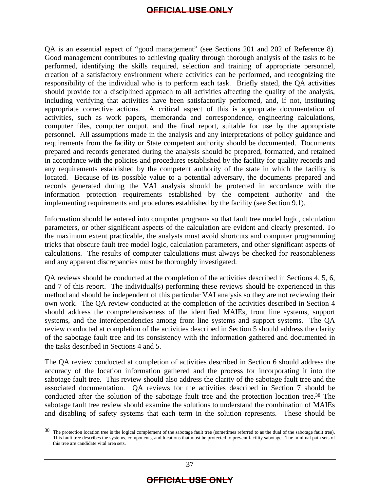QA is an essential aspect of "good management" (see Sections 201 and 202 of Reference 8). Good management contributes to achieving quality through thorough analysis of the tasks to be performed, identifying the skills required, selection and training of appropriate personnel, creation of a satisfactory environment where activities can be performed, and recognizing the responsibility of the individual who is to perform each task. Briefly stated, the QA activities should provide for a disciplined approach to all activities affecting the quality of the analysis, including verifying that activities have been satisfactorily performed, and, if not, instituting appropriate corrective actions. A critical aspect of this is appropriate documentation of activities, such as work papers, memoranda and correspondence, engineering calculations, computer files, computer output, and the final report, suitable for use by the appropriate personnel. All assumptions made in the analysis and any interpretations of policy guidance and requirements from the facility or State competent authority should be documented. Documents prepared and records generated during the analysis should be prepared, formatted, and retained in accordance with the policies and procedures established by the facility for quality records and any requirements established by the competent authority of the state in which the facility is located. Because of its possible value to a potential adversary, the documents prepared and records generated during the VAI analysis should be protected in accordance with the information protection requirements established by the competent authority and the implementing requirements and procedures established by the facility (see Section 9.1).

Information should be entered into computer programs so that fault tree model logic, calculation parameters, or other significant aspects of the calculation are evident and clearly presented. To the maximum extent practicable, the analysts must avoid shortcuts and computer programming tricks that obscure fault tree model logic, calculation parameters, and other significant aspects of calculations. The results of computer calculations must always be checked for reasonableness and any apparent discrepancies must be thoroughly investigated.

QA reviews should be conducted at the completion of the activities described in Sections 4, 5, 6, and 7 of this report. The individual(s) performing these reviews should be experienced in this method and should be independent of this particular VAI analysis so they are not reviewing their own work. The QA review conducted at the completion of the activities described in Section 4 should address the comprehensiveness of the identified MAIEs, front line systems, support systems, and the interdependencies among front line systems and support systems. The QA review conducted at completion of the activities described in Section 5 should address the clarity of the sabotage fault tree and its consistency with the information gathered and documented in the tasks described in Sections 4 and 5.

The QA review conducted at completion of activities described in Section 6 should address the accuracy of the location information gathered and the process for incorporating it into the sabotage fault tree. This review should also address the clarity of the sabotage fault tree and the associated documentation. QA reviews for the activities described in Section 7 should be conducted after the solution of the sabotage fault tree and the protection location tree.38 The sabotage fault tree review should examine the solutions to understand the combination of MAIEs and disabling of safety systems that each term in the solution represents. These should be

<sup>&</sup>lt;sup>38</sup> The protection location tree is the logical complement of the sabotage fault tree (sometimes referred to as the dual of the sabotage fault tree). This fault tree describes the systems, components, and locations that must be protected to prevent facility sabotage. The minimal path sets of this tree are candidate vital area sets.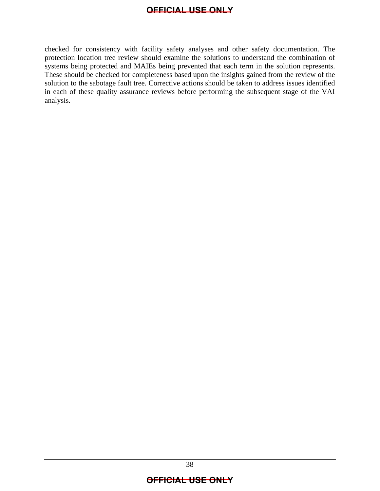checked for consistency with facility safety analyses and other safety documentation. The protection location tree review should examine the solutions to understand the combination of systems being protected and MAIEs being prevented that each term in the solution represents. These should be checked for completeness based upon the insights gained from the review of the solution to the sabotage fault tree. Corrective actions should be taken to address issues identified in each of these quality assurance reviews before performing the subsequent stage of the VAI analysis.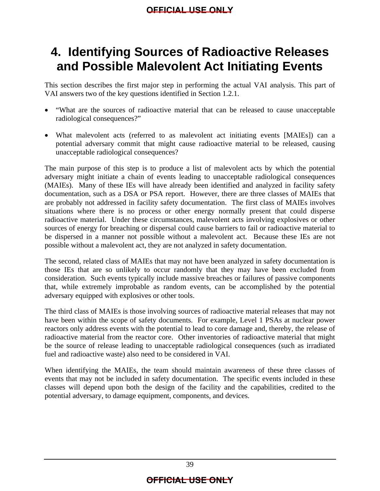## **4. Identifying Sources of Radioactive Releases and Possible Malevolent Act Initiating Events**

This section describes the first major step in performing the actual VAI analysis. This part of VAI answers two of the key questions identified in Section 1.2.1.

- "What are the sources of radioactive material that can be released to cause unacceptable radiological consequences?"
- What malevolent acts (referred to as malevolent act initiating events [MAIEs]) can a potential adversary commit that might cause radioactive material to be released, causing unacceptable radiological consequences?

The main purpose of this step is to produce a list of malevolent acts by which the potential adversary might initiate a chain of events leading to unacceptable radiological consequences (MAIEs). Many of these IEs will have already been identified and analyzed in facility safety documentation, such as a DSA or PSA report. However, there are three classes of MAIEs that are probably not addressed in facility safety documentation. The first class of MAIEs involves situations where there is no process or other energy normally present that could disperse radioactive material. Under these circumstances, malevolent acts involving explosives or other sources of energy for breaching or dispersal could cause barriers to fail or radioactive material to be dispersed in a manner not possible without a malevolent act. Because these IEs are not possible without a malevolent act, they are not analyzed in safety documentation.

The second, related class of MAIEs that may not have been analyzed in safety documentation is those IEs that are so unlikely to occur randomly that they may have been excluded from consideration. Such events typically include massive breaches or failures of passive components that, while extremely improbable as random events, can be accomplished by the potential adversary equipped with explosives or other tools.

The third class of MAIEs is those involving sources of radioactive material releases that may not have been within the scope of safety documents. For example, Level 1 PSAs at nuclear power reactors only address events with the potential to lead to core damage and, thereby, the release of radioactive material from the reactor core. Other inventories of radioactive material that might be the source of release leading to unacceptable radiological consequences (such as irradiated fuel and radioactive waste) also need to be considered in VAI.

When identifying the MAIEs, the team should maintain awareness of these three classes of events that may not be included in safety documentation. The specific events included in these classes will depend upon both the design of the facility and the capabilities, credited to the potential adversary, to damage equipment, components, and devices.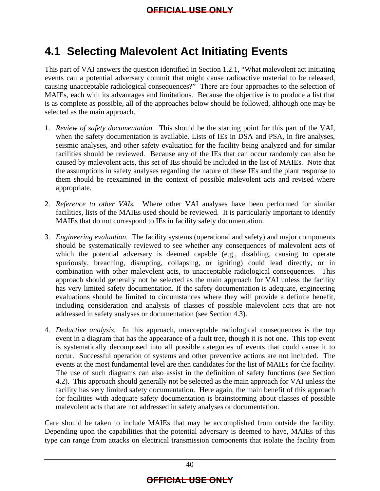## **4.1 Selecting Malevolent Act Initiating Events**

This part of VAI answers the question identified in Section 1.2.1, "What malevolent act initiating events can a potential adversary commit that might cause radioactive material to be released, causing unacceptable radiological consequences?" There are four approaches to the selection of MAIEs, each with its advantages and limitations. Because the objective is to produce a list that is as complete as possible, all of the approaches below should be followed, although one may be selected as the main approach.

- 1. *Review of safety documentation.* This should be the starting point for this part of the VAI, when the safety documentation is available. Lists of IEs in DSA and PSA, in fire analyses, seismic analyses, and other safety evaluation for the facility being analyzed and for similar facilities should be reviewed. Because any of the IEs that can occur randomly can also be caused by malevolent acts, this set of IEs should be included in the list of MAIEs. Note that the assumptions in safety analyses regarding the nature of these IEs and the plant response to them should be reexamined in the context of possible malevolent acts and revised where appropriate.
- 2. *Reference to other VAIs.* Where other VAI analyses have been performed for similar facilities, lists of the MAIEs used should be reviewed. It is particularly important to identify MAIEs that do not correspond to IEs in facility safety documentation.
- 3. *Engineering evaluation.* The facility systems (operational and safety) and major components should be systematically reviewed to see whether any consequences of malevolent acts of which the potential adversary is deemed capable (e.g., disabling, causing to operate spuriously, breaching, disrupting, collapsing, or igniting) could lead directly, or in combination with other malevolent acts, to unacceptable radiological consequences. This approach should generally not be selected as the main approach for VAI unless the facility has very limited safety documentation. If the safety documentation is adequate, engineering evaluations should be limited to circumstances where they will provide a definite benefit, including consideration and analysis of classes of possible malevolent acts that are not addressed in safety analyses or documentation (see Section 4.3).
- 4. *Deductive analysis.* In this approach, unacceptable radiological consequences is the top event in a diagram that has the appearance of a fault tree, though it is not one. This top event is systematically decomposed into all possible categories of events that could cause it to occur. Successful operation of systems and other preventive actions are not included. The events at the most fundamental level are then candidates for the list of MAIEs for the facility. The use of such diagrams can also assist in the definition of safety functions (see Section 4.2). This approach should generally not be selected as the main approach for VAI unless the facility has very limited safety documentation. Here again, the main benefit of this approach for facilities with adequate safety documentation is brainstorming about classes of possible malevolent acts that are not addressed in safety analyses or documentation.

Care should be taken to include MAIEs that may be accomplished from outside the facility. Depending upon the capabilities that the potential adversary is deemed to have, MAIEs of this type can range from attacks on electrical transmission components that isolate the facility from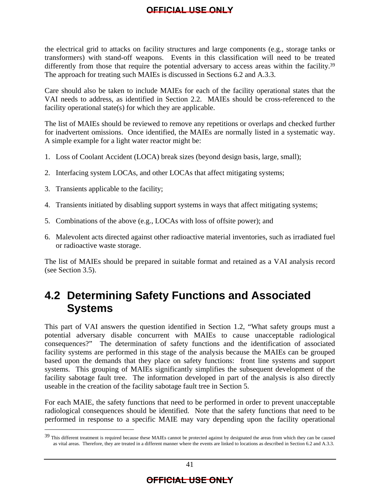the electrical grid to attacks on facility structures and large components (e.g., storage tanks or transformers) with stand-off weapons. Events in this classification will need to be treated differently from those that require the potential adversary to access areas within the facility.<sup>39</sup> The approach for treating such MAIEs is discussed in Sections 6.2 and A.3.3.

Care should also be taken to include MAIEs for each of the facility operational states that the VAI needs to address, as identified in Section 2.2. MAIEs should be cross-referenced to the facility operational state(s) for which they are applicable.

The list of MAIEs should be reviewed to remove any repetitions or overlaps and checked further for inadvertent omissions. Once identified, the MAIEs are normally listed in a systematic way. A simple example for a light water reactor might be:

- 1. Loss of Coolant Accident (LOCA) break sizes (beyond design basis, large, small);
- 2. Interfacing system LOCAs, and other LOCAs that affect mitigating systems;
- 3. Transients applicable to the facility;

 $\overline{a}$ 

- 4. Transients initiated by disabling support systems in ways that affect mitigating systems;
- 5. Combinations of the above (e.g., LOCAs with loss of offsite power); and
- 6. Malevolent acts directed against other radioactive material inventories, such as irradiated fuel or radioactive waste storage.

The list of MAIEs should be prepared in suitable format and retained as a VAI analysis record (see Section 3.5).

## **4.2 Determining Safety Functions and Associated Systems**

This part of VAI answers the question identified in Section 1.2, "What safety groups must a potential adversary disable concurrent with MAIEs to cause unacceptable radiological consequences?" The determination of safety functions and the identification of associated facility systems are performed in this stage of the analysis because the MAIEs can be grouped based upon the demands that they place on safety functions: front line systems and support systems. This grouping of MAIEs significantly simplifies the subsequent development of the facility sabotage fault tree. The information developed in part of the analysis is also directly useable in the creation of the facility sabotage fault tree in Section 5.

For each MAIE, the safety functions that need to be performed in order to prevent unacceptable radiological consequences should be identified. Note that the safety functions that need to be performed in response to a specific MAIE may vary depending upon the facility operational

<sup>&</sup>lt;sup>39</sup> This different treatment is required because these MAIEs cannot be protected against by designated the areas from which they can be caused as vital areas. Therefore, they are treated in a different manner where the events are linked to locations as described in Section 6.2 and A.3.3.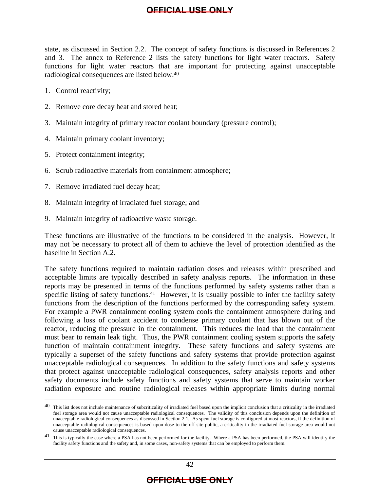state, as discussed in Section 2.2. The concept of safety functions is discussed in References 2 and 3. The annex to Reference 2 lists the safety functions for light water reactors. Safety functions for light water reactors that are important for protecting against unacceptable radiological consequences are listed below.40

1. Control reactivity;

 $\overline{a}$ 

- 2. Remove core decay heat and stored heat;
- 3. Maintain integrity of primary reactor coolant boundary (pressure control);
- 4. Maintain primary coolant inventory;
- 5. Protect containment integrity;
- 6. Scrub radioactive materials from containment atmosphere;
- 7. Remove irradiated fuel decay heat;
- 8. Maintain integrity of irradiated fuel storage; and
- 9. Maintain integrity of radioactive waste storage.

These functions are illustrative of the functions to be considered in the analysis. However, it may not be necessary to protect all of them to achieve the level of protection identified as the baseline in Section A.2.

The safety functions required to maintain radiation doses and releases within prescribed and acceptable limits are typically described in safety analysis reports. The information in these reports may be presented in terms of the functions performed by safety systems rather than a specific listing of safety functions.<sup>41</sup> However, it is usually possible to infer the facility safety functions from the description of the functions performed by the corresponding safety system. For example a PWR containment cooling system cools the containment atmosphere during and following a loss of coolant accident to condense primary coolant that has blown out of the reactor, reducing the pressure in the containment. This reduces the load that the containment must bear to remain leak tight. Thus, the PWR containment cooling system supports the safety function of maintain containment integrity. These safety functions and safety systems are typically a superset of the safety functions and safety systems that provide protection against unacceptable radiological consequences. In addition to the safety functions and safety systems that protect against unacceptable radiological consequences, safety analysis reports and other safety documents include safety functions and safety systems that serve to maintain worker radiation exposure and routine radiological releases within appropriate limits during normal

 $40$  This list does not include maintenance of subcriticality of irradiated fuel based upon the implicit conclusion that a criticality in the irradiated fuel storage area would not cause unacceptable radiological consequences. The validity of this conclusion depends upon the definition of unacceptable radiological consequences as discussed in Section 2.1. As spent fuel storage is configured at most reactors, if the definition of unacceptable radiological consequences is based upon dose to the off site public, a criticality in the irradiated fuel storage area would not cause unacceptable radiological consequences.

<sup>41</sup> This is typically the case where a PSA has not been performed for the facility. Where a PSA has been performed, the PSA will identify the facility safety functions and the safety and, in some cases, non-safety systems that can be employed to perform them.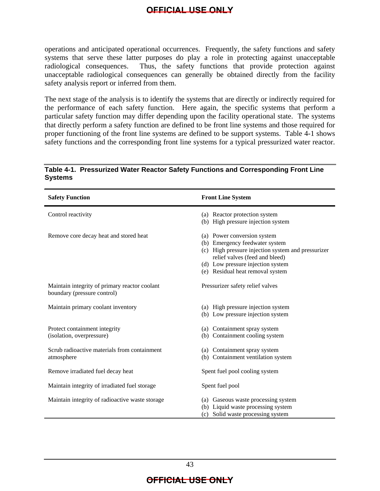operations and anticipated operational occurrences. Frequently, the safety functions and safety systems that serve these latter purposes do play a role in protecting against unacceptable radiological consequences. Thus, the safety functions that provide protection against unacceptable radiological consequences can generally be obtained directly from the facility safety analysis report or inferred from them.

The next stage of the analysis is to identify the systems that are directly or indirectly required for the performance of each safety function. Here again, the specific systems that perform a particular safety function may differ depending upon the facility operational state. The systems that directly perform a safety function are defined to be front line systems and those required for proper functioning of the front line systems are defined to be support systems. Table 4-1 shows safety functions and the corresponding front line systems for a typical pressurized water reactor.

| <b>Safety Function</b>                                                       | <b>Front Line System</b>                                                                                                                                                                                                       |
|------------------------------------------------------------------------------|--------------------------------------------------------------------------------------------------------------------------------------------------------------------------------------------------------------------------------|
| Control reactivity                                                           | (a) Reactor protection system<br>(b) High pressure injection system                                                                                                                                                            |
| Remove core decay heat and stored heat                                       | (a) Power conversion system<br>(b) Emergency feedwater system<br>(c) High pressure injection system and pressurizer<br>relief valves (feed and bleed)<br>(d) Low pressure injection system<br>(e) Residual heat removal system |
| Maintain integrity of primary reactor coolant<br>boundary (pressure control) | Pressurizer safety relief valves                                                                                                                                                                                               |
| Maintain primary coolant inventory                                           | (a) High pressure injection system<br>(b) Low pressure injection system                                                                                                                                                        |
| Protect containment integrity<br>(isolation, overpressure)                   | (a) Containment spray system<br>(b) Containment cooling system                                                                                                                                                                 |
| Scrub radioactive materials from containment<br>atmosphere                   | (a) Containment spray system<br>(b) Containment ventilation system                                                                                                                                                             |
| Remove irradiated fuel decay heat                                            | Spent fuel pool cooling system                                                                                                                                                                                                 |
| Maintain integrity of irradiated fuel storage                                | Spent fuel pool                                                                                                                                                                                                                |
| Maintain integrity of radioactive waste storage                              | (a) Gaseous waste processing system<br>(b) Liquid waste processing system<br>(c) Solid waste processing system                                                                                                                 |

#### **Table 4-1. Pressurized Water Reactor Safety Functions and Corresponding Front Line Systems**

# \_\_\_\_\_\_\_\_\_\_ <sup>43</sup> **OFFICIAL USE ONLY**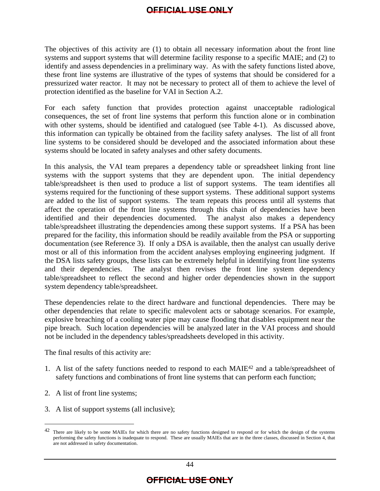The objectives of this activity are (1) to obtain all necessary information about the front line systems and support systems that will determine facility response to a specific MAIE; and (2) to identify and assess dependencies in a preliminary way. As with the safety functions listed above, these front line systems are illustrative of the types of systems that should be considered for a pressurized water reactor. It may not be necessary to protect all of them to achieve the level of protection identified as the baseline for VAI in Section A.2.

For each safety function that provides protection against unacceptable radiological consequences, the set of front line systems that perform this function alone or in combination with other systems, should be identified and catalogued (see Table 4-1). As discussed above, this information can typically be obtained from the facility safety analyses. The list of all front line systems to be considered should be developed and the associated information about these systems should be located in safety analyses and other safety documents.

In this analysis, the VAI team prepares a dependency table or spreadsheet linking front line systems with the support systems that they are dependent upon. The initial dependency table/spreadsheet is then used to produce a list of support systems. The team identifies all systems required for the functioning of these support systems. These additional support systems are added to the list of support systems. The team repeats this process until all systems that affect the operation of the front line systems through this chain of dependencies have been identified and their dependencies documented. The analyst also makes a dependency table/spreadsheet illustrating the dependencies among these support systems. If a PSA has been prepared for the facility, this information should be readily available from the PSA or supporting documentation (see Reference 3). If only a DSA is available, then the analyst can usually derive most or all of this information from the accident analyses employing engineering judgment. If the DSA lists safety groups, these lists can be extremely helpful in identifying front line systems and their dependencies. The analyst then revises the front line system dependency table/spreadsheet to reflect the second and higher order dependencies shown in the support system dependency table/spreadsheet.

These dependencies relate to the direct hardware and functional dependencies. There may be other dependencies that relate to specific malevolent acts or sabotage scenarios. For example, explosive breaching of a cooling water pipe may cause flooding that disables equipment near the pipe breach. Such location dependencies will be analyzed later in the VAI process and should not be included in the dependency tables/spreadsheets developed in this activity.

The final results of this activity are:

- 1. A list of the safety functions needed to respond to each MAIE42 and a table/spreadsheet of safety functions and combinations of front line systems that can perform each function;
- 2. A list of front line systems;

 $\overline{a}$ 

3. A list of support systems (all inclusive);

# \_\_\_\_\_\_\_\_\_\_ <sup>44</sup> **OFFICIAL USE ONLY**

 $42$  There are likely to be some MAIEs for which there are no safety functions designed to respond or for which the design of the systems performing the safety functions is inadequate to respond. These are usually MAIEs that are in the three classes, discussed in Section 4, that are not addressed in safety documentation.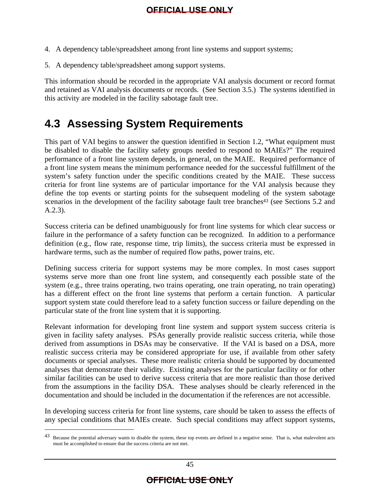- 4. A dependency table/spreadsheet among front line systems and support systems;
- 5. A dependency table/spreadsheet among support systems.

This information should be recorded in the appropriate VAI analysis document or record format and retained as VAI analysis documents or records. (See Section 3.5.) The systems identified in this activity are modeled in the facility sabotage fault tree.

### **4.3 Assessing System Requirements**

This part of VAI begins to answer the question identified in Section 1.2, "What equipment must be disabled to disable the facility safety groups needed to respond to MAIEs?" The required performance of a front line system depends, in general, on the MAIE. Required performance of a front line system means the minimum performance needed for the successful fulfillment of the system's safety function under the specific conditions created by the MAIE. These success criteria for front line systems are of particular importance for the VAI analysis because they define the top events or starting points for the subsequent modeling of the system sabotage scenarios in the development of the facility sabotage fault tree branches<sup>43</sup> (see Sections 5.2 and A.2.3).

Success criteria can be defined unambiguously for front line systems for which clear success or failure in the performance of a safety function can be recognized. In addition to a performance definition (e.g., flow rate, response time, trip limits), the success criteria must be expressed in hardware terms, such as the number of required flow paths, power trains, etc.

Defining success criteria for support systems may be more complex. In most cases support systems serve more than one front line system, and consequently each possible state of the system (e.g., three trains operating, two trains operating, one train operating, no train operating) has a different effect on the front line systems that perform a certain function. A particular support system state could therefore lead to a safety function success or failure depending on the particular state of the front line system that it is supporting.

Relevant information for developing front line system and support system success criteria is given in facility safety analyses. PSAs generally provide realistic success criteria, while those derived from assumptions in DSAs may be conservative. If the VAI is based on a DSA, more realistic success criteria may be considered appropriate for use, if available from other safety documents or special analyses. These more realistic criteria should be supported by documented analyses that demonstrate their validity. Existing analyses for the particular facility or for other similar facilities can be used to derive success criteria that are more realistic than those derived from the assumptions in the facility DSA. These analyses should be clearly referenced in the documentation and should be included in the documentation if the references are not accessible.

In developing success criteria for front line systems, care should be taken to assess the effects of any special conditions that MAIEs create. Such special conditions may affect support systems,

 $\overline{a}$ 

<sup>&</sup>lt;sup>43</sup> Because the potential adversary wants to disable the system, these top events are defined in a negative sense. That is, what malevolent acts must be accomplished to ensure that the success criteria are not met.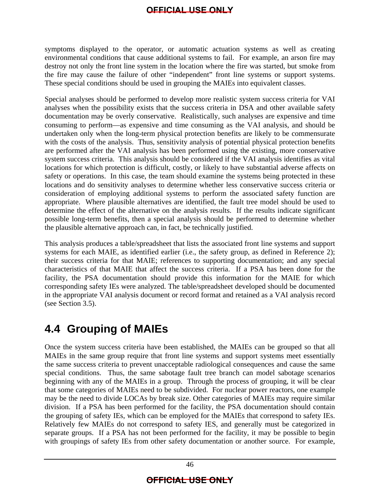symptoms displayed to the operator, or automatic actuation systems as well as creating environmental conditions that cause additional systems to fail. For example, an arson fire may destroy not only the front line system in the location where the fire was started, but smoke from the fire may cause the failure of other "independent" front line systems or support systems. These special conditions should be used in grouping the MAIEs into equivalent classes.

Special analyses should be performed to develop more realistic system success criteria for VAI analyses when the possibility exists that the success criteria in DSA and other available safety documentation may be overly conservative. Realistically, such analyses are expensive and time consuming to perform—as expensive and time consuming as the VAI analysis, and should be undertaken only when the long-term physical protection benefits are likely to be commensurate with the costs of the analysis. Thus, sensitivity analysis of potential physical protection benefits are performed after the VAI analysis has been performed using the existing, more conservative system success criteria. This analysis should be considered if the VAI analysis identifies as vital locations for which protection is difficult, costly, or likely to have substantial adverse affects on safety or operations. In this case, the team should examine the systems being protected in these locations and do sensitivity analyses to determine whether less conservative success criteria or consideration of employing additional systems to perform the associated safety function are appropriate. Where plausible alternatives are identified, the fault tree model should be used to determine the effect of the alternative on the analysis results. If the results indicate significant possible long-term benefits, then a special analysis should be performed to determine whether the plausible alternative approach can, in fact, be technically justified.

This analysis produces a table/spreadsheet that lists the associated front line systems and support systems for each MAIE, as identified earlier (i.e., the safety group, as defined in Reference 2); their success criteria for that MAIE; references to supporting documentation; and any special characteristics of that MAIE that affect the success criteria. If a PSA has been done for the facility, the PSA documentation should provide this information for the MAIE for which corresponding safety IEs were analyzed. The table/spreadsheet developed should be documented in the appropriate VAI analysis document or record format and retained as a VAI analysis record (see Section 3.5).

### **4.4 Grouping of MAIEs**

Once the system success criteria have been established, the MAIEs can be grouped so that all MAIEs in the same group require that front line systems and support systems meet essentially the same success criteria to prevent unacceptable radiological consequences and cause the same special conditions. Thus, the same sabotage fault tree branch can model sabotage scenarios beginning with any of the MAIEs in a group. Through the process of grouping, it will be clear that some categories of MAIEs need to be subdivided. For nuclear power reactors, one example may be the need to divide LOCAs by break size. Other categories of MAIEs may require similar division. If a PSA has been performed for the facility, the PSA documentation should contain the grouping of safety IEs, which can be employed for the MAIEs that correspond to safety IEs. Relatively few MAIEs do not correspond to safety IES, and generally must be categorized in separate groups. If a PSA has not been performed for the facility, it may be possible to begin with groupings of safety IEs from other safety documentation or another source. For example,

# \_\_\_\_\_\_\_\_\_\_ <sup>46</sup> **OFFICIAL USE ONLY**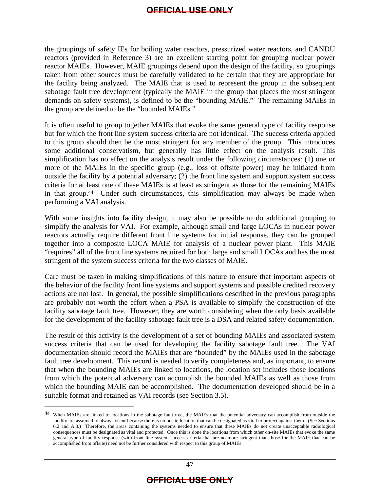the groupings of safety IEs for boiling water reactors, pressurized water reactors, and CANDU reactors (provided in Reference 3) are an excellent starting point for grouping nuclear power reactor MAIEs. However, MAIE groupings depend upon the design of the facility, so groupings taken from other sources must be carefully validated to be certain that they are appropriate for the facility being analyzed. The MAIE that is used to represent the group in the subsequent sabotage fault tree development (typically the MAIE in the group that places the most stringent demands on safety systems), is defined to be the "bounding MAIE." The remaining MAIEs in the group are defined to be the "bounded MAIEs."

It is often useful to group together MAIEs that evoke the same general type of facility response but for which the front line system success criteria are not identical. The success criteria applied to this group should then be the most stringent for any member of the group. This introduces some additional conservatism, but generally has little effect on the analysis result. This simplification has no effect on the analysis result under the following circumstances: (1) one or more of the MAIEs in the specific group (e.g., loss of offsite power) may be initiated from outside the facility by a potential adversary; (2) the front line system and support system success criteria for at least one of these MAIEs is at least as stringent as those for the remaining MAIEs in that group.44 Under such circumstances, this simplification may always be made when performing a VAI analysis.

With some insights into facility design, it may also be possible to do additional grouping to simplify the analysis for VAI. For example, although small and large LOCAs in nuclear power reactors actually require different front line systems for initial response, they can be grouped together into a composite LOCA MAIE for analysis of a nuclear power plant. This MAIE "requires" all of the front line systems required for both large and small LOCAs and has the most stringent of the system success criteria for the two classes of MAIE.

Care must be taken in making simplifications of this nature to ensure that important aspects of the behavior of the facility front line systems and support systems and possible credited recovery actions are not lost. In general, the possible simplifications described in the previous paragraphs are probably not worth the effort when a PSA is available to simplify the construction of the facility sabotage fault tree. However, they are worth considering when the only basis available for the development of the facility sabotage fault tree is a DSA and related safety documentation.

The result of this activity is the development of a set of bounding MAIEs and associated system success criteria that can be used for developing the facility sabotage fault tree. The VAI documentation should record the MAIEs that are "bounded" by the MAIEs used in the sabotage fault tree development. This record is needed to verify completeness and, as important, to ensure that when the bounding MAIEs are linked to locations, the location set includes those locations from which the potential adversary can accomplish the bounded MAIEs as well as those from which the bounding MAIE can be accomplished. The documentation developed should be in a suitable format and retained as VAI records (see Section 3.5).

 $\overline{a}$ 

# \_\_\_\_\_\_\_\_\_\_ <sup>47</sup> **OFFICIAL USE ONLY**

<sup>44</sup> When MAIEs are linked to locations in the sabotage fault tree, the MAIEs that the potential adversary can accomplish from outside the facility are assumed to always occur because there is no onsite location that can be designated as vital to protect against them. (See Sections 6.2 and A.3.) Therefore, the areas containing the systems needed to ensure that these MAIEs do not create unacceptable radiological consequences must be designated as vital and protected. Once this is done the locations from which other on-site MAIEs that evoke the same general type of facility response (with front line system success criteria that are no more stringent than those for the MAIE that can be accomplished from offsite) need not be further considered with respect to this group of MAIEs.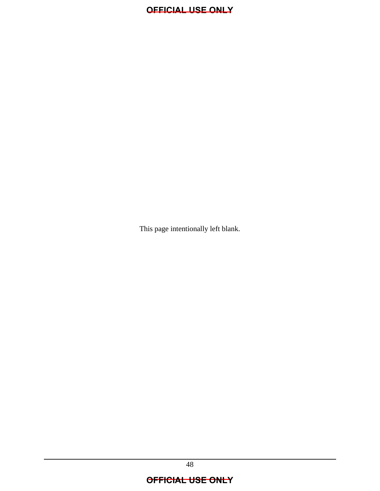This page intentionally left blank.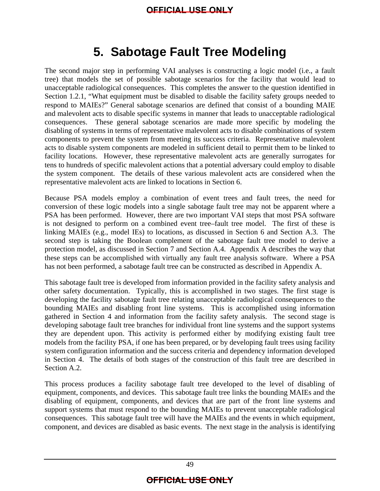## **5. Sabotage Fault Tree Modeling**

The second major step in performing VAI analyses is constructing a logic model (i.e., a fault tree) that models the set of possible sabotage scenarios for the facility that would lead to unacceptable radiological consequences. This completes the answer to the question identified in Section 1.2.1, "What equipment must be disabled to disable the facility safety groups needed to respond to MAIEs?" General sabotage scenarios are defined that consist of a bounding MAIE and malevolent acts to disable specific systems in manner that leads to unacceptable radiological consequences. These general sabotage scenarios are made more specific by modeling the disabling of systems in terms of representative malevolent acts to disable combinations of system components to prevent the system from meeting its success criteria. Representative malevolent acts to disable system components are modeled in sufficient detail to permit them to be linked to facility locations. However, these representative malevolent acts are generally surrogates for tens to hundreds of specific malevolent actions that a potential adversary could employ to disable the system component. The details of these various malevolent acts are considered when the representative malevolent acts are linked to locations in Section 6.

Because PSA models employ a combination of event trees and fault trees, the need for conversion of these logic models into a single sabotage fault tree may not be apparent where a PSA has been performed. However, there are two important VAI steps that most PSA software is not designed to perform on a combined event tree–fault tree model. The first of these is linking MAIEs (e.g., model IEs) to locations, as discussed in Section 6 and Section A.3. The second step is taking the Boolean complement of the sabotage fault tree model to derive a protection model, as discussed in Section 7 and Section A.4. Appendix A describes the way that these steps can be accomplished with virtually any fault tree analysis software. Where a PSA has not been performed, a sabotage fault tree can be constructed as described in Appendix A.

This sabotage fault tree is developed from information provided in the facility safety analysis and other safety documentation. Typically, this is accomplished in two stages. The first stage is developing the facility sabotage fault tree relating unacceptable radiological consequences to the bounding MAIEs and disabling front line systems. This is accomplished using information gathered in Section 4 and information from the facility safety analysis. The second stage is developing sabotage fault tree branches for individual front line systems and the support systems they are dependent upon. This activity is performed either by modifying existing fault tree models from the facility PSA, if one has been prepared, or by developing fault trees using facility system configuration information and the success criteria and dependency information developed in Section 4. The details of both stages of the construction of this fault tree are described in Section A.2.

This process produces a facility sabotage fault tree developed to the level of disabling of equipment, components, and devices. This sabotage fault tree links the bounding MAIEs and the disabling of equipment, components, and devices that are part of the front line systems and support systems that must respond to the bounding MAIEs to prevent unacceptable radiological consequences. This sabotage fault tree will have the MAIEs and the events in which equipment, component, and devices are disabled as basic events. The next stage in the analysis is identifying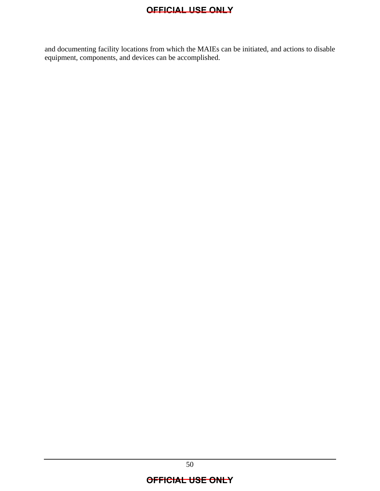and documenting facility locations from which the MAIEs can be initiated, and actions to disable equipment, components, and devices can be accomplished.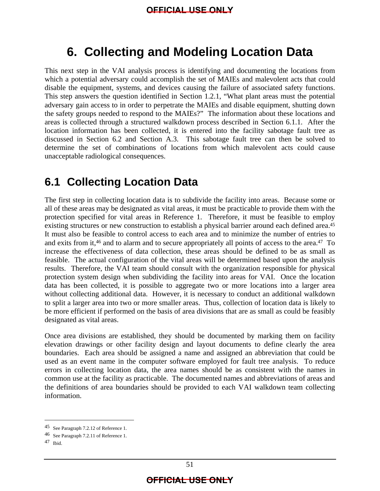## **6. Collecting and Modeling Location Data**

This next step in the VAI analysis process is identifying and documenting the locations from which a potential adversary could accomplish the set of MAIEs and malevolent acts that could disable the equipment, systems, and devices causing the failure of associated safety functions. This step answers the question identified in Section 1.2.1, "What plant areas must the potential adversary gain access to in order to perpetrate the MAIEs and disable equipment, shutting down the safety groups needed to respond to the MAIEs?" The information about these locations and areas is collected through a structured walkdown process described in Section 6.1.1. After the location information has been collected, it is entered into the facility sabotage fault tree as discussed in Section 6.2 and Section A.3. This sabotage fault tree can then be solved to determine the set of combinations of locations from which malevolent acts could cause unacceptable radiological consequences.

### **6.1 Collecting Location Data**

The first step in collecting location data is to subdivide the facility into areas. Because some or all of these areas may be designated as vital areas, it must be practicable to provide them with the protection specified for vital areas in Reference 1. Therefore, it must be feasible to employ existing structures or new construction to establish a physical barrier around each defined area.<sup>45</sup> It must also be feasible to control access to each area and to minimize the number of entries to and exits from it,46 and to alarm and to secure appropriately all points of access to the area.47 To increase the effectiveness of data collection, these areas should be defined to be as small as feasible. The actual configuration of the vital areas will be determined based upon the analysis results. Therefore, the VAI team should consult with the organization responsible for physical protection system design when subdividing the facility into areas for VAI. Once the location data has been collected, it is possible to aggregate two or more locations into a larger area without collecting additional data. However, it is necessary to conduct an additional walkdown to split a larger area into two or more smaller areas. Thus, collection of location data is likely to be more efficient if performed on the basis of area divisions that are as small as could be feasibly designated as vital areas.

Once area divisions are established, they should be documented by marking them on facility elevation drawings or other facility design and layout documents to define clearly the area boundaries. Each area should be assigned a name and assigned an abbreviation that could be used as an event name in the computer software employed for fault tree analysis. To reduce errors in collecting location data, the area names should be as consistent with the names in common use at the facility as practicable. The documented names and abbreviations of areas and the definitions of area boundaries should be provided to each VAI walkdown team collecting information.

1

<sup>45</sup> See Paragraph 7.2.12 of Reference 1.

<sup>46</sup> See Paragraph 7.2.11 of Reference 1.

<sup>47</sup> Ibid.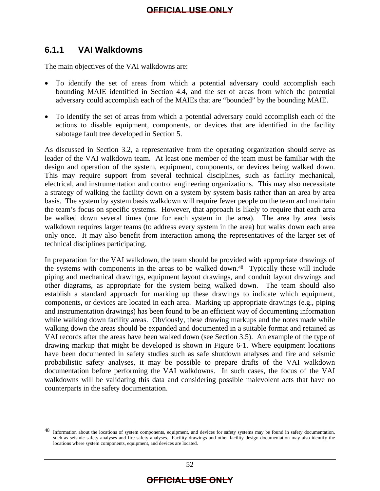### **6.1.1 VAI Walkdowns**

 $\overline{a}$ 

The main objectives of the VAI walkdowns are:

- To identify the set of areas from which a potential adversary could accomplish each bounding MAIE identified in Section 4.4, and the set of areas from which the potential adversary could accomplish each of the MAIEs that are "bounded" by the bounding MAIE.
- To identify the set of areas from which a potential adversary could accomplish each of the actions to disable equipment, components, or devices that are identified in the facility sabotage fault tree developed in Section 5.

As discussed in Section 3.2, a representative from the operating organization should serve as leader of the VAI walkdown team. At least one member of the team must be familiar with the design and operation of the system, equipment, components, or devices being walked down. This may require support from several technical disciplines, such as facility mechanical, electrical, and instrumentation and control engineering organizations. This may also necessitate a strategy of walking the facility down on a system by system basis rather than an area by area basis. The system by system basis walkdown will require fewer people on the team and maintain the team's focus on specific systems. However, that approach is likely to require that each area be walked down several times (one for each system in the area). The area by area basis walkdown requires larger teams (to address every system in the area) but walks down each area only once. It may also benefit from interaction among the representatives of the larger set of technical disciplines participating.

In preparation for the VAI walkdown, the team should be provided with appropriate drawings of the systems with components in the areas to be walked down. $48$  Typically these will include piping and mechanical drawings, equipment layout drawings, and conduit layout drawings and other diagrams, as appropriate for the system being walked down. The team should also establish a standard approach for marking up these drawings to indicate which equipment, components, or devices are located in each area. Marking up appropriate drawings (e.g., piping and instrumentation drawings) has been found to be an efficient way of documenting information while walking down facility areas. Obviously, these drawing markups and the notes made while walking down the areas should be expanded and documented in a suitable format and retained as VAI records after the areas have been walked down (see Section 3.5). An example of the type of drawing markup that might be developed is shown in Figure 6-1. Where equipment locations have been documented in safety studies such as safe shutdown analyses and fire and seismic probabilistic safety analyses, it may be possible to prepare drafts of the VAI walkdown documentation before performing the VAI walkdowns. In such cases, the focus of the VAI walkdowns will be validating this data and considering possible malevolent acts that have no counterparts in the safety documentation.

<sup>&</sup>lt;sup>48</sup> Information about the locations of system components, equipment, and devices for safety systems may be found in safety documentation, such as seismic safety analyses and fire safety analyses. Facility drawings and other facility design documentation may also identify the locations where system components, equipment, and devices are located.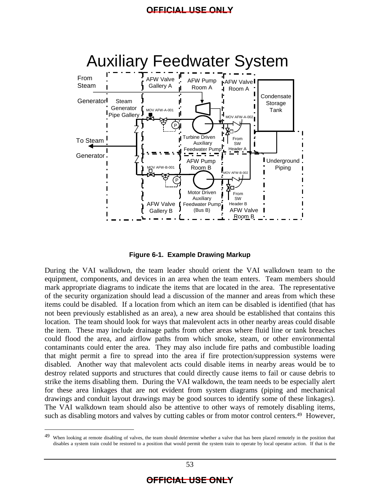

**Figure 6-1. Example Drawing Markup** 

During the VAI walkdown, the team leader should orient the VAI walkdown team to the equipment, components, and devices in an area when the team enters. Team members should mark appropriate diagrams to indicate the items that are located in the area. The representative of the security organization should lead a discussion of the manner and areas from which these items could be disabled. If a location from which an item can be disabled is identified (that has not been previously established as an area), a new area should be established that contains this location. The team should look for ways that malevolent acts in other nearby areas could disable the item. These may include drainage paths from other areas where fluid line or tank breaches could flood the area, and airflow paths from which smoke, steam, or other environmental contaminants could enter the area. They may also include fire paths and combustible loading that might permit a fire to spread into the area if fire protection/suppression systems were disabled. Another way that malevolent acts could disable items in nearby areas would be to destroy related supports and structures that could directly cause items to fail or cause debris to strike the items disabling them. During the VAI walkdown, the team needs to be especially alert for these area linkages that are not evident from system diagrams (piping and mechanical drawings and conduit layout drawings may be good sources to identify some of these linkages). The VAI walkdown team should also be attentive to other ways of remotely disabling items, such as disabling motors and valves by cutting cables or from motor control centers.<sup>49</sup> However,

1

# \_\_\_\_\_\_\_\_\_\_ <sup>53</sup> **OFFICIAL USE ONLY**

<sup>&</sup>lt;sup>49</sup> When looking at remote disabling of valves, the team should determine whether a valve that has been placed remotely in the position that disables a system train could be restored to a position that would permit the system train to operate by local operator action. If that is the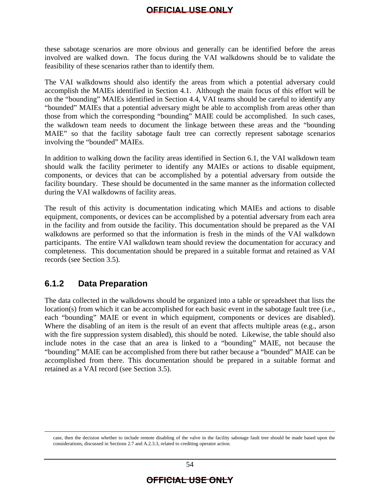these sabotage scenarios are more obvious and generally can be identified before the areas involved are walked down. The focus during the VAI walkdowns should be to validate the feasibility of these scenarios rather than to identify them.

The VAI walkdowns should also identify the areas from which a potential adversary could accomplish the MAIEs identified in Section 4.1. Although the main focus of this effort will be on the "bounding" MAIEs identified in Section 4.4, VAI teams should be careful to identify any "bounded" MAIEs that a potential adversary might be able to accomplish from areas other than those from which the corresponding "bounding" MAIE could be accomplished. In such cases, the walkdown team needs to document the linkage between these areas and the "bounding MAIE" so that the facility sabotage fault tree can correctly represent sabotage scenarios involving the "bounded" MAIEs.

In addition to walking down the facility areas identified in Section 6.1, the VAI walkdown team should walk the facility perimeter to identify any MAIEs or actions to disable equipment, components, or devices that can be accomplished by a potential adversary from outside the facility boundary. These should be documented in the same manner as the information collected during the VAI walkdowns of facility areas.

The result of this activity is documentation indicating which MAIEs and actions to disable equipment, components, or devices can be accomplished by a potential adversary from each area in the facility and from outside the facility. This documentation should be prepared as the VAI walkdowns are performed so that the information is fresh in the minds of the VAI walkdown participants. The entire VAI walkdown team should review the documentation for accuracy and completeness. This documentation should be prepared in a suitable format and retained as VAI records (see Section 3.5).

### **6.1.2 Data Preparation**

The data collected in the walkdowns should be organized into a table or spreadsheet that lists the location(s) from which it can be accomplished for each basic event in the sabotage fault tree (i.e., each "bounding" MAIE or event in which equipment, components or devices are disabled). Where the disabling of an item is the result of an event that affects multiple areas (e.g., arson with the fire suppression system disabled), this should be noted. Likewise, the table should also include notes in the case that an area is linked to a "bounding" MAIE, not because the "bounding" MAIE can be accomplished from there but rather because a "bounded" MAIE can be accomplished from there. This documentation should be prepared in a suitable format and retained as a VAI record (see Section 3.5).

# \_\_\_\_\_\_\_\_\_\_ <sup>54</sup> **OFFICIAL USE ONLY**

case, then the decision whether to include remote disabling of the valve in the facility sabotage fault tree should be made based upon the considerations, discussed in Sections 2.7 and A.2.3.3, related to crediting operator action.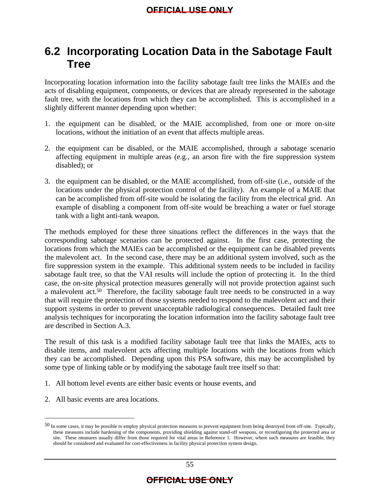### **6.2 Incorporating Location Data in the Sabotage Fault Tree**

Incorporating location information into the facility sabotage fault tree links the MAIEs and the acts of disabling equipment, components, or devices that are already represented in the sabotage fault tree, with the locations from which they can be accomplished. This is accomplished in a slightly different manner depending upon whether:

- 1. the equipment can be disabled, or the MAIE accomplished, from one or more on-site locations, without the initiation of an event that affects multiple areas.
- 2. the equipment can be disabled, or the MAIE accomplished, through a sabotage scenario affecting equipment in multiple areas (e.g., an arson fire with the fire suppression system disabled); or
- 3. the equipment can be disabled, or the MAIE accomplished, from off-site (i.e., outside of the locations under the physical protection control of the facility). An example of a MAIE that can be accomplished from off-site would be isolating the facility from the electrical grid. An example of disabling a component from off-site would be breaching a water or fuel storage tank with a light anti-tank weapon.

The methods employed for these three situations reflect the differences in the ways that the corresponding sabotage scenarios can be protected against. In the first case, protecting the locations from which the MAIEs can be accomplished or the equipment can be disabled prevents the malevolent act. In the second case, there may be an additional system involved, such as the fire suppression system in the example. This additional system needs to be included in facility sabotage fault tree, so that the VAI results will include the option of protecting it. In the third case, the on-site physical protection measures generally will not provide protection against such a malevolent act.<sup>50</sup> Therefore, the facility sabotage fault tree needs to be constructed in a way that will require the protection of those systems needed to respond to the malevolent act and their support systems in order to prevent unacceptable radiological consequences. Detailed fault tree analysis techniques for incorporating the location information into the facility sabotage fault tree are described in Section A.3.

The result of this task is a modified facility sabotage fault tree that links the MAIEs, acts to disable items, and malevolent acts affecting multiple locations with the locations from which they can be accomplished. Depending upon this PSA software, this may be accomplished by some type of linking table or by modifying the sabotage fault tree itself so that:

- 1. All bottom level events are either basic events or house events, and
- 2. All basic events are area locations.

 $\overline{a}$ 

# \_\_\_\_\_\_\_\_\_\_ <sup>55</sup> **OFFICIAL USE ONLY**

<sup>50</sup> In some cases, it may be possible to employ physical protection measures to prevent equipment from being destroyed from off-site. Typically, these measures include hardening of the components, providing shielding against stand-off weapons, or reconfiguring the protected area or site. These measures usually differ from those required for vital areas in Reference 1. However, where such measures are feasible, they should be considered and evaluated for cost-effectiveness in facility physical protection system design.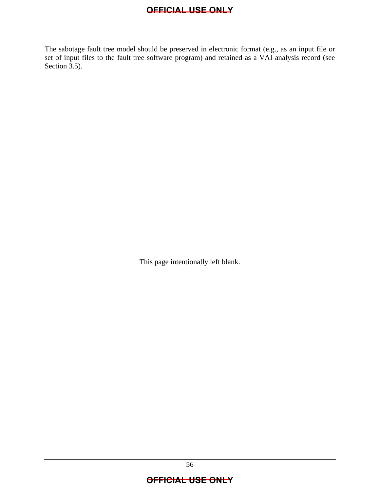The sabotage fault tree model should be preserved in electronic format (e.g., as an input file or set of input files to the fault tree software program) and retained as a VAI analysis record (see Section 3.5).

This page intentionally left blank.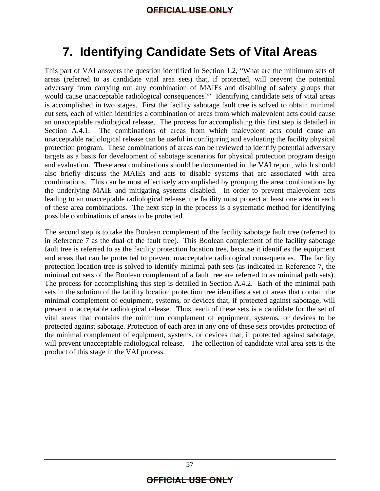## **7. Identifying Candidate Sets of Vital Areas**

This part of VAI answers the question identified in Section 1.2, "What are the minimum sets of areas (referred to as candidate vital area sets) that, if protected, will prevent the potential adversary from carrying out any combination of MAIEs and disabling of safety groups that would cause unacceptable radiological consequences?" Identifying candidate sets of vital areas is accomplished in two stages. First the facility sabotage fault tree is solved to obtain minimal cut sets, each of which identifies a combination of areas from which malevolent acts could cause an unacceptable radiological release. The process for accomplishing this first step is detailed in Section A.4.1. The combinations of areas from which malevolent acts could cause an unacceptable radiological release can be useful in configuring and evaluating the facility physical protection program. These combinations of areas can be reviewed to identify potential adversary targets as a basis for development of sabotage scenarios for physical protection program design and evaluation. These area combinations should be documented in the VAI report, which should also briefly discuss the MAIEs and acts to disable systems that are associated with area combinations. This can be most effectively accomplished by grouping the area combinations by the underlying MAIE and mitigating systems disabled. In order to prevent malevolent acts leading to an unacceptable radiological release, the facility must protect at least one area in each of these area combinations. The next step in the process is a systematic method for identifying possible combinations of areas to be protected.

The second step is to take the Boolean complement of the facility sabotage fault tree (referred to in Reference 7 as the dual of the fault tree). This Boolean complement of the facility sabotage fault tree is referred to as the facility protection location tree, because it identifies the equipment and areas that can be protected to prevent unacceptable radiological consequences. The facility protection location tree is solved to identify minimal path sets (as indicated in Reference 7, the minimal cut sets of the Boolean complement of a fault tree are referred to as minimal path sets). The process for accomplishing this step is detailed in Section A.4.2. Each of the minimal path sets in the solution of the facility location protection tree identifies a set of areas that contain the minimal complement of equipment, systems, or devices that, if protected against sabotage, will prevent unacceptable radiological release. Thus, each of these sets is a candidate for the set of vital areas that contains the minimum complement of equipment, systems, or devices to be protected against sabotage. Protection of each area in any one of these sets provides protection of the minimal complement of equipment, systems, or devices that, if protected against sabotage, will prevent unacceptable radiological release. The collection of candidate vital area sets is the product of this stage in the VAI process.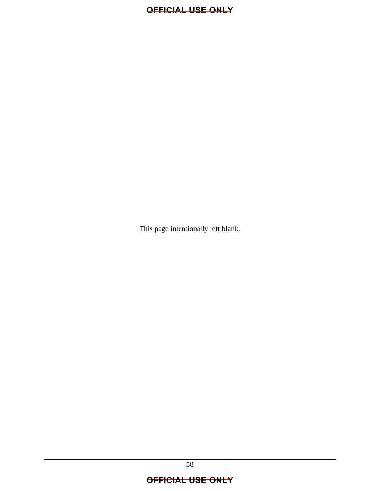This page intentionally left blank.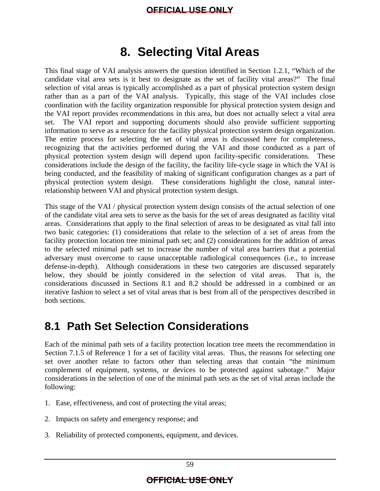## **8. Selecting Vital Areas**

This final stage of VAI analysis answers the question identified in Section 1.2.1, "Which of the candidate vital area sets is it best to designate as the set of facility vital areas?" The final selection of vital areas is typically accomplished as a part of physical protection system design rather than as a part of the VAI analysis. Typically, this stage of the VAI includes close coordination with the facility organization responsible for physical protection system design and the VAI report provides recommendations in this area, but does not actually select a vital area set. The VAI report and supporting documents should also provide sufficient supporting information to serve as a resource for the facility physical protection system design organization. The entire process for selecting the set of vital areas is discussed here for completeness, recognizing that the activities performed during the VAI and those conducted as a part of physical protection system design will depend upon facility-specific considerations. These considerations include the design of the facility, the facility life-cycle stage in which the VAI is being conducted, and the feasibility of making of significant configuration changes as a part of physical protection system design. These considerations highlight the close, natural interrelationship between VAI and physical protection system design.

This stage of the VAI / physical protection system design consists of the actual selection of one of the candidate vital area sets to serve as the basis for the set of areas designated as facility vital areas. Considerations that apply to the final selection of areas to be designated as vital fall into two basic categories: (1) considerations that relate to the selection of a set of areas from the facility protection location tree minimal path set; and (2) considerations for the addition of areas to the selected minimal path set to increase the number of vital area barriers that a potential adversary must overcome to cause unacceptable radiological consequences (i.e., to increase defense-in-depth). Although considerations in these two categories are discussed separately below, they should be jointly considered in the selection of vital areas. That is, the considerations discussed in Sections 8.1 and 8.2 should be addressed in a combined or an iterative fashion to select a set of vital areas that is best from all of the perspectives described in both sections.

### **8.1 Path Set Selection Considerations**

Each of the minimal path sets of a facility protection location tree meets the recommendation in Section 7.1.5 of Reference 1 for a set of facility vital areas. Thus, the reasons for selecting one set over another relate to factors other than selecting areas that contain "the minimum complement of equipment, systems, or devices to be protected against sabotage." Major considerations in the selection of one of the minimal path sets as the set of vital areas include the following:

- 1. Ease, effectiveness, and cost of protecting the vital areas;
- 2. Impacts on safety and emergency response; and
- 3. Reliability of protected components, equipment, and devices.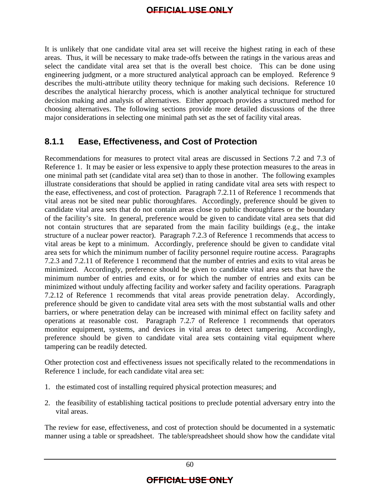It is unlikely that one candidate vital area set will receive the highest rating in each of these areas. Thus, it will be necessary to make trade-offs between the ratings in the various areas and select the candidate vital area set that is the overall best choice. This can be done using engineering judgment, or a more structured analytical approach can be employed. Reference 9 describes the multi-attribute utility theory technique for making such decisions. Reference 10 describes the analytical hierarchy process, which is another analytical technique for structured decision making and analysis of alternatives. Either approach provides a structured method for choosing alternatives. The following sections provide more detailed discussions of the three major considerations in selecting one minimal path set as the set of facility vital areas.

#### **8.1.1 Ease, Effectiveness, and Cost of Protection**

Recommendations for measures to protect vital areas are discussed in Sections 7.2 and 7.3 of Reference 1. It may be easier or less expensive to apply these protection measures to the areas in one minimal path set (candidate vital area set) than to those in another. The following examples illustrate considerations that should be applied in rating candidate vital area sets with respect to the ease, effectiveness, and cost of protection. Paragraph 7.2.11 of Reference 1 recommends that vital areas not be sited near public thoroughfares. Accordingly, preference should be given to candidate vital area sets that do not contain areas close to public thoroughfares or the boundary of the facility's site. In general, preference would be given to candidate vital area sets that did not contain structures that are separated from the main facility buildings (e.g., the intake structure of a nuclear power reactor). Paragraph 7.2.3 of Reference 1 recommends that access to vital areas be kept to a minimum. Accordingly, preference should be given to candidate vital area sets for which the minimum number of facility personnel require routine access. Paragraphs 7.2.3 and 7.2.11 of Reference 1 recommend that the number of entries and exits to vital areas be minimized. Accordingly, preference should be given to candidate vital area sets that have the minimum number of entries and exits, or for which the number of entries and exits can be minimized without unduly affecting facility and worker safety and facility operations. Paragraph 7.2.12 of Reference 1 recommends that vital areas provide penetration delay. Accordingly, preference should be given to candidate vital area sets with the most substantial walls and other barriers, or where penetration delay can be increased with minimal effect on facility safety and operations at reasonable cost. Paragraph 7.2.7 of Reference 1 recommends that operators monitor equipment, systems, and devices in vital areas to detect tampering. Accordingly, preference should be given to candidate vital area sets containing vital equipment where tampering can be readily detected.

Other protection cost and effectiveness issues not specifically related to the recommendations in Reference 1 include, for each candidate vital area set:

- 1. the estimated cost of installing required physical protection measures; and
- 2. the feasibility of establishing tactical positions to preclude potential adversary entry into the vital areas.

The review for ease, effectiveness, and cost of protection should be documented in a systematic manner using a table or spreadsheet. The table/spreadsheet should show how the candidate vital

# \_\_\_\_\_\_\_\_\_\_ <sup>60</sup> **OFFICIAL USE ONLY**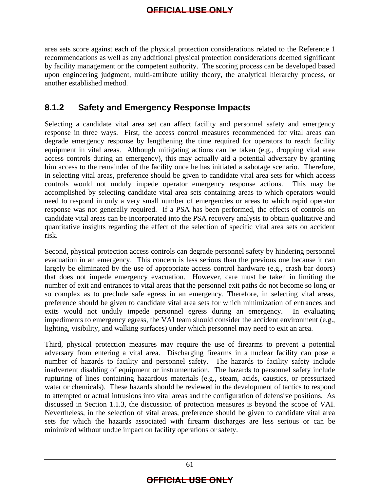area sets score against each of the physical protection considerations related to the Reference 1 recommendations as well as any additional physical protection considerations deemed significant by facility management or the competent authority. The scoring process can be developed based upon engineering judgment, multi-attribute utility theory, the analytical hierarchy process, or another established method.

### **8.1.2 Safety and Emergency Response Impacts**

Selecting a candidate vital area set can affect facility and personnel safety and emergency response in three ways. First, the access control measures recommended for vital areas can degrade emergency response by lengthening the time required for operators to reach facility equipment in vital areas. Although mitigating actions can be taken (e.g., dropping vital area access controls during an emergency), this may actually aid a potential adversary by granting him access to the remainder of the facility once he has initiated a sabotage scenario. Therefore, in selecting vital areas, preference should be given to candidate vital area sets for which access controls would not unduly impede operator emergency response actions. This may be accomplished by selecting candidate vital area sets containing areas to which operators would need to respond in only a very small number of emergencies or areas to which rapid operator response was not generally required. If a PSA has been performed, the effects of controls on candidate vital areas can be incorporated into the PSA recovery analysis to obtain qualitative and quantitative insights regarding the effect of the selection of specific vital area sets on accident risk.

Second, physical protection access controls can degrade personnel safety by hindering personnel evacuation in an emergency. This concern is less serious than the previous one because it can largely be eliminated by the use of appropriate access control hardware (e.g., crash bar doors) that does not impede emergency evacuation. However, care must be taken in limiting the number of exit and entrances to vital areas that the personnel exit paths do not become so long or so complex as to preclude safe egress in an emergency. Therefore, in selecting vital areas, preference should be given to candidate vital area sets for which minimization of entrances and exits would not unduly impede personnel egress during an emergency. In evaluating impediments to emergency egress, the VAI team should consider the accident environment (e.g., lighting, visibility, and walking surfaces) under which personnel may need to exit an area.

Third, physical protection measures may require the use of firearms to prevent a potential adversary from entering a vital area. Discharging firearms in a nuclear facility can pose a number of hazards to facility and personnel safety. The hazards to facility safety include inadvertent disabling of equipment or instrumentation. The hazards to personnel safety include rupturing of lines containing hazardous materials (e.g., steam, acids, caustics, or pressurized water or chemicals). These hazards should be reviewed in the development of tactics to respond to attempted or actual intrusions into vital areas and the configuration of defensive positions. As discussed in Section 1.1.3, the discussion of protection measures is beyond the scope of VAI. Nevertheless, in the selection of vital areas, preference should be given to candidate vital area sets for which the hazards associated with firearm discharges are less serious or can be minimized without undue impact on facility operations or safety.

# \_\_\_\_\_\_\_\_\_\_ <sup>61</sup> **OFFICIAL USE ONLY**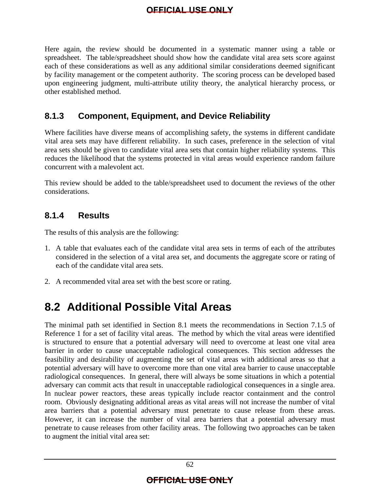Here again, the review should be documented in a systematic manner using a table or spreadsheet. The table/spreadsheet should show how the candidate vital area sets score against each of these considerations as well as any additional similar considerations deemed significant by facility management or the competent authority. The scoring process can be developed based upon engineering judgment, multi-attribute utility theory, the analytical hierarchy process, or other established method.

### **8.1.3 Component, Equipment, and Device Reliability**

Where facilities have diverse means of accomplishing safety, the systems in different candidate vital area sets may have different reliability. In such cases, preference in the selection of vital area sets should be given to candidate vital area sets that contain higher reliability systems. This reduces the likelihood that the systems protected in vital areas would experience random failure concurrent with a malevolent act.

This review should be added to the table/spreadsheet used to document the reviews of the other considerations.

### **8.1.4 Results**

The results of this analysis are the following:

- 1. A table that evaluates each of the candidate vital area sets in terms of each of the attributes considered in the selection of a vital area set, and documents the aggregate score or rating of each of the candidate vital area sets.
- 2. A recommended vital area set with the best score or rating.

### **8.2 Additional Possible Vital Areas**

The minimal path set identified in Section 8.1 meets the recommendations in Section 7.1.5 of Reference 1 for a set of facility vital areas. The method by which the vital areas were identified is structured to ensure that a potential adversary will need to overcome at least one vital area barrier in order to cause unacceptable radiological consequences. This section addresses the feasibility and desirability of augmenting the set of vital areas with additional areas so that a potential adversary will have to overcome more than one vital area barrier to cause unacceptable radiological consequences. In general, there will always be some situations in which a potential adversary can commit acts that result in unacceptable radiological consequences in a single area. In nuclear power reactors, these areas typically include reactor containment and the control room. Obviously designating additional areas as vital areas will not increase the number of vital area barriers that a potential adversary must penetrate to cause release from these areas. However, it can increase the number of vital area barriers that a potential adversary must penetrate to cause releases from other facility areas. The following two approaches can be taken to augment the initial vital area set:

# \_\_\_\_\_\_\_\_\_\_ <sup>62</sup> **OFFICIAL USE ONLY**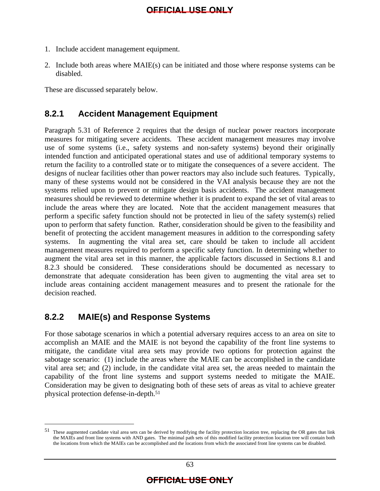- 1. Include accident management equipment.
- 2. Include both areas where MAIE(s) can be initiated and those where response systems can be disabled.

These are discussed separately below.

### **8.2.1 Accident Management Equipment**

Paragraph 5.31 of Reference 2 requires that the design of nuclear power reactors incorporate measures for mitigating severe accidents. These accident management measures may involve use of some systems (i.e., safety systems and non-safety systems) beyond their originally intended function and anticipated operational states and use of additional temporary systems to return the facility to a controlled state or to mitigate the consequences of a severe accident. The designs of nuclear facilities other than power reactors may also include such features. Typically, many of these systems would not be considered in the VAI analysis because they are not the systems relied upon to prevent or mitigate design basis accidents. The accident management measures should be reviewed to determine whether it is prudent to expand the set of vital areas to include the areas where they are located. Note that the accident management measures that perform a specific safety function should not be protected in lieu of the safety system(s) relied upon to perform that safety function. Rather, consideration should be given to the feasibility and benefit of protecting the accident management measures in addition to the corresponding safety systems. In augmenting the vital area set, care should be taken to include all accident management measures required to perform a specific safety function. In determining whether to augment the vital area set in this manner, the applicable factors discussed in Sections 8.1 and 8.2.3 should be considered. These considerations should be documented as necessary to demonstrate that adequate consideration has been given to augmenting the vital area set to include areas containing accident management measures and to present the rationale for the decision reached.

### **8.2.2 MAIE(s) and Response Systems**

1

For those sabotage scenarios in which a potential adversary requires access to an area on site to accomplish an MAIE and the MAIE is not beyond the capability of the front line systems to mitigate, the candidate vital area sets may provide two options for protection against the sabotage scenario: (1) include the areas where the MAIE can be accomplished in the candidate vital area set; and (2) include, in the candidate vital area set, the areas needed to maintain the capability of the front line systems and support systems needed to mitigate the MAIE. Consideration may be given to designating both of these sets of areas as vital to achieve greater physical protection defense-in-depth.51

<sup>51</sup> These augmented candidate vital area sets can be derived by modifying the facility protection location tree, replacing the OR gates that link the MAIEs and front line systems with AND gates. The minimal path sets of this modified facility protection location tree will contain both the locations from which the MAIEs can be accomplished and the locations from which the associated front line systems can be disabled.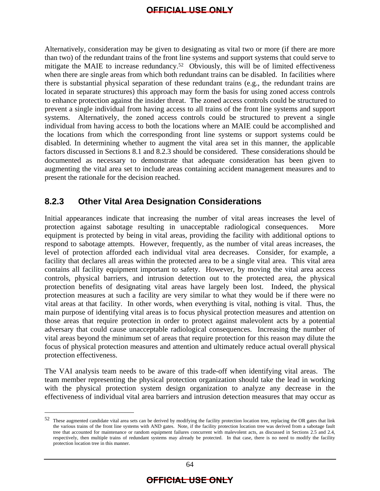Alternatively, consideration may be given to designating as vital two or more (if there are more than two) of the redundant trains of the front line systems and support systems that could serve to mitigate the MAIE to increase redundancy.<sup>52</sup> Obviously, this will be of limited effectiveness when there are single areas from which both redundant trains can be disabled. In facilities where there is substantial physical separation of these redundant trains (e.g., the redundant trains are located in separate structures) this approach may form the basis for using zoned access controls to enhance protection against the insider threat. The zoned access controls could be structured to prevent a single individual from having access to all trains of the front line systems and support systems. Alternatively, the zoned access controls could be structured to prevent a single individual from having access to both the locations where an MAIE could be accomplished and the locations from which the corresponding front line systems or support systems could be disabled. In determining whether to augment the vital area set in this manner, the applicable factors discussed in Sections 8.1 and 8.2.3 should be considered. These considerations should be documented as necessary to demonstrate that adequate consideration has been given to augmenting the vital area set to include areas containing accident management measures and to present the rationale for the decision reached.

### **8.2.3 Other Vital Area Designation Considerations**

Initial appearances indicate that increasing the number of vital areas increases the level of protection against sabotage resulting in unacceptable radiological consequences. More equipment is protected by being in vital areas, providing the facility with additional options to respond to sabotage attempts. However, frequently, as the number of vital areas increases, the level of protection afforded each individual vital area decreases. Consider, for example, a facility that declares all areas within the protected area to be a single vital area. This vital area contains all facility equipment important to safety. However, by moving the vital area access controls, physical barriers, and intrusion detection out to the protected area, the physical protection benefits of designating vital areas have largely been lost. Indeed, the physical protection measures at such a facility are very similar to what they would be if there were no vital areas at that facility. In other words, when everything is vital, nothing is vital. Thus, the main purpose of identifying vital areas is to focus physical protection measures and attention on those areas that require protection in order to protect against malevolent acts by a potential adversary that could cause unacceptable radiological consequences. Increasing the number of vital areas beyond the minimum set of areas that require protection for this reason may dilute the focus of physical protection measures and attention and ultimately reduce actual overall physical protection effectiveness.

The VAI analysis team needs to be aware of this trade-off when identifying vital areas. The team member representing the physical protection organization should take the lead in working with the physical protection system design organization to analyze any decrease in the effectiveness of individual vital area barriers and intrusion detection measures that may occur as

 $\overline{a}$ 

<sup>52</sup> These augmented candidate vital area sets can be derived by modifying the facility protection location tree, replacing the OR gates that link the various trains of the front line systems with AND gates. Note, if the facility protection location tree was derived from a sabotage fault tree that accounted for maintenance or random equipment failures concurrent with malevolent acts, as discussed in Sections 2.5 and 2.4, respectively, then multiple trains of redundant systems may already be protected. In that case, there is no need to modify the facility protection location tree in this manner.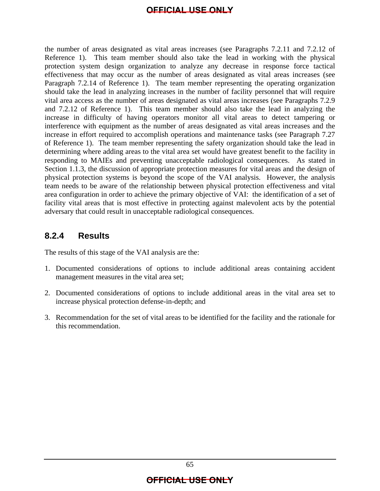the number of areas designated as vital areas increases (see Paragraphs 7.2.11 and 7.2.12 of Reference 1). This team member should also take the lead in working with the physical protection system design organization to analyze any decrease in response force tactical effectiveness that may occur as the number of areas designated as vital areas increases (see Paragraph 7.2.14 of Reference 1). The team member representing the operating organization should take the lead in analyzing increases in the number of facility personnel that will require vital area access as the number of areas designated as vital areas increases (see Paragraphs 7.2.9 and 7.2.12 of Reference 1). This team member should also take the lead in analyzing the increase in difficulty of having operators monitor all vital areas to detect tampering or interference with equipment as the number of areas designated as vital areas increases and the increase in effort required to accomplish operations and maintenance tasks (see Paragraph 7.27 of Reference 1). The team member representing the safety organization should take the lead in determining where adding areas to the vital area set would have greatest benefit to the facility in responding to MAIEs and preventing unacceptable radiological consequences. As stated in Section 1.1.3, the discussion of appropriate protection measures for vital areas and the design of physical protection systems is beyond the scope of the VAI analysis. However, the analysis team needs to be aware of the relationship between physical protection effectiveness and vital area configuration in order to achieve the primary objective of VAI: the identification of a set of facility vital areas that is most effective in protecting against malevolent acts by the potential adversary that could result in unacceptable radiological consequences.

### **8.2.4 Results**

The results of this stage of the VAI analysis are the:

- 1. Documented considerations of options to include additional areas containing accident management measures in the vital area set;
- 2. Documented considerations of options to include additional areas in the vital area set to increase physical protection defense-in-depth; and
- 3. Recommendation for the set of vital areas to be identified for the facility and the rationale for this recommendation.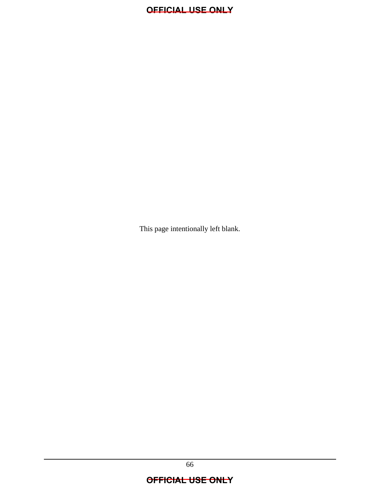This page intentionally left blank.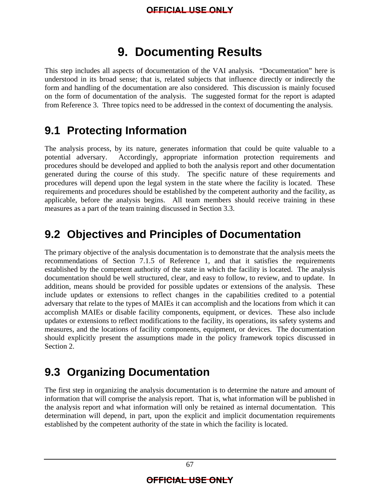## **9. Documenting Results**

This step includes all aspects of documentation of the VAI analysis. "Documentation" here is understood in its broad sense; that is, related subjects that influence directly or indirectly the form and handling of the documentation are also considered. This discussion is mainly focused on the form of documentation of the analysis. The suggested format for the report is adapted from Reference 3. Three topics need to be addressed in the context of documenting the analysis.

### **9.1 Protecting Information**

The analysis process, by its nature, generates information that could be quite valuable to a potential adversary. Accordingly, appropriate information protection requirements and procedures should be developed and applied to both the analysis report and other documentation generated during the course of this study. The specific nature of these requirements and procedures will depend upon the legal system in the state where the facility is located. These requirements and procedures should be established by the competent authority and the facility, as applicable, before the analysis begins. All team members should receive training in these measures as a part of the team training discussed in Section 3.3.

### **9.2 Objectives and Principles of Documentation**

The primary objective of the analysis documentation is to demonstrate that the analysis meets the recommendations of Section 7.1.5 of Reference 1, and that it satisfies the requirements established by the competent authority of the state in which the facility is located. The analysis documentation should be well structured, clear, and easy to follow, to review, and to update. In addition, means should be provided for possible updates or extensions of the analysis. These include updates or extensions to reflect changes in the capabilities credited to a potential adversary that relate to the types of MAIEs it can accomplish and the locations from which it can accomplish MAIEs or disable facility components, equipment, or devices. These also include updates or extensions to reflect modifications to the facility, its operations, its safety systems and measures, and the locations of facility components, equipment, or devices. The documentation should explicitly present the assumptions made in the policy framework topics discussed in Section 2.

### **9.3 Organizing Documentation**

The first step in organizing the analysis documentation is to determine the nature and amount of information that will comprise the analysis report. That is, what information will be published in the analysis report and what information will only be retained as internal documentation. This determination will depend, in part, upon the explicit and implicit documentation requirements established by the competent authority of the state in which the facility is located.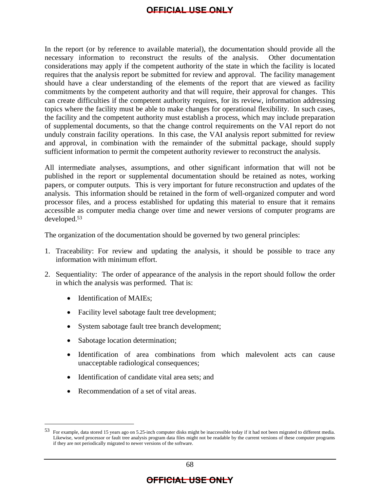In the report (or by reference to available material), the documentation should provide all the necessary information to reconstruct the results of the analysis. Other documentation considerations may apply if the competent authority of the state in which the facility is located requires that the analysis report be submitted for review and approval. The facility management should have a clear understanding of the elements of the report that are viewed as facility commitments by the competent authority and that will require, their approval for changes. This can create difficulties if the competent authority requires, for its review, information addressing topics where the facility must be able to make changes for operational flexibility. In such cases, the facility and the competent authority must establish a process, which may include preparation of supplemental documents, so that the change control requirements on the VAI report do not unduly constrain facility operations. In this case, the VAI analysis report submitted for review and approval, in combination with the remainder of the submittal package, should supply sufficient information to permit the competent authority reviewer to reconstruct the analysis.

All intermediate analyses, assumptions, and other significant information that will not be published in the report or supplemental documentation should be retained as notes, working papers, or computer outputs. This is very important for future reconstruction and updates of the analysis. This information should be retained in the form of well-organized computer and word processor files, and a process established for updating this material to ensure that it remains accessible as computer media change over time and newer versions of computer programs are developed.53

The organization of the documentation should be governed by two general principles:

- 1. Traceability: For review and updating the analysis, it should be possible to trace any information with minimum effort.
- 2. Sequentiality: The order of appearance of the analysis in the report should follow the order in which the analysis was performed. That is:
	- Identification of MAIEs;

1

- Facility level sabotage fault tree development;
- System sabotage fault tree branch development;
- Sabotage location determination;
- Identification of area combinations from which malevolent acts can cause unacceptable radiological consequences;
- Identification of candidate vital area sets; and
- Recommendation of a set of vital areas.

# \_\_\_\_\_\_\_\_\_\_ <sup>68</sup> **OFFICIAL USE ONLY**

 $53$  For example, data stored 15 years ago on 5.25-inch computer disks might be inaccessible today if it had not been migrated to different media. Likewise, word processor or fault tree analysis program data files might not be readable by the current versions of these computer programs if they are not periodically migrated to newer versions of the software.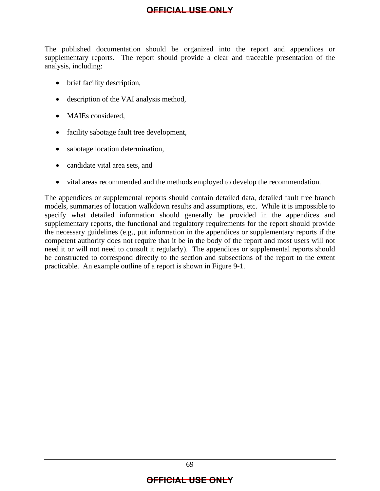The published documentation should be organized into the report and appendices or supplementary reports. The report should provide a clear and traceable presentation of the analysis, including:

- brief facility description,
- description of the VAI analysis method,
- MAIEs considered,
- facility sabotage fault tree development,
- sabotage location determination,
- candidate vital area sets, and
- vital areas recommended and the methods employed to develop the recommendation.

The appendices or supplemental reports should contain detailed data, detailed fault tree branch models, summaries of location walkdown results and assumptions, etc. While it is impossible to specify what detailed information should generally be provided in the appendices and supplementary reports, the functional and regulatory requirements for the report should provide the necessary guidelines (e.g., put information in the appendices or supplementary reports if the competent authority does not require that it be in the body of the report and most users will not need it or will not need to consult it regularly). The appendices or supplemental reports should be constructed to correspond directly to the section and subsections of the report to the extent practicable. An example outline of a report is shown in Figure 9-1.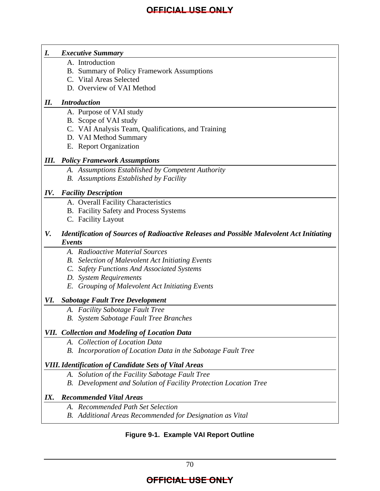#### *I. Executive Summary*

- A. Introduction
- B. Summary of Policy Framework Assumptions
- C. Vital Areas Selected
- D. Overview of VAI Method

#### *II. Introduction*

- A. Purpose of VAI study
- B. Scope of VAI study
- C. VAI Analysis Team, Qualifications, and Training
- D. VAI Method Summary
- E. Report Organization

#### *III. Policy Framework Assumptions*

- *A. Assumptions Established by Competent Authority*
- *B. Assumptions Established by Facility*

#### *IV. Facility Description*

- A. Overall Facility Characteristics
- B. Facility Safety and Process Systems
- C. Facility Layout
- *V. Identification of Sources of Radioactive Releases and Possible Malevolent Act Initiating Events* 
	- *A. Radioactive Material Sources*
	- *B. Selection of Malevolent Act Initiating Events*
	- *C. Safety Functions And Associated Systems*
	- *D. System Requirements*
	- *E. Grouping of Malevolent Act Initiating Events*

#### *VI. Sabotage Fault Tree Development*

- *A. Facility Sabotage Fault Tree*
- *B. System Sabotage Fault Tree Branches*

#### *VII. Collection and Modeling of Location Data*

- *A. Collection of Location Data*
- *B. Incorporation of Location Data in the Sabotage Fault Tree*

#### *VIII. Identification of Candidate Sets of Vital Areas*

- *A. Solution of the Facility Sabotage Fault Tree*
- *B. Development and Solution of Facility Protection Location Tree*

#### *IX. Recommended Vital Areas*

- *A. Recommended Path Set Selection*
- *B. Additional Areas Recommended for Designation as Vital*

#### **Figure 9-1. Example VAI Report Outline**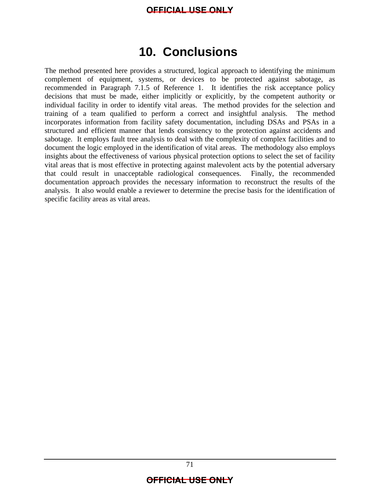### **10. Conclusions**

The method presented here provides a structured, logical approach to identifying the minimum complement of equipment, systems, or devices to be protected against sabotage, as recommended in Paragraph 7.1.5 of Reference 1. It identifies the risk acceptance policy decisions that must be made, either implicitly or explicitly, by the competent authority or individual facility in order to identify vital areas. The method provides for the selection and training of a team qualified to perform a correct and insightful analysis. The method incorporates information from facility safety documentation, including DSAs and PSAs in a structured and efficient manner that lends consistency to the protection against accidents and sabotage. It employs fault tree analysis to deal with the complexity of complex facilities and to document the logic employed in the identification of vital areas. The methodology also employs insights about the effectiveness of various physical protection options to select the set of facility vital areas that is most effective in protecting against malevolent acts by the potential adversary that could result in unacceptable radiological consequences. Finally, the recommended documentation approach provides the necessary information to reconstruct the results of the analysis. It also would enable a reviewer to determine the precise basis for the identification of specific facility areas as vital areas.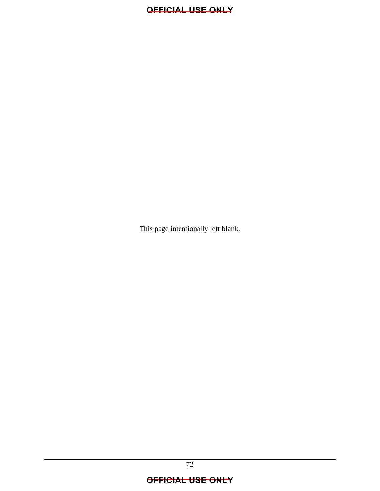This page intentionally left blank.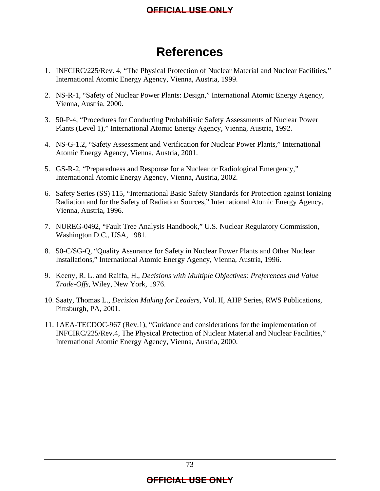## **References**

- 1. INFCIRC/225/Rev. 4, "The Physical Protection of Nuclear Material and Nuclear Facilities," International Atomic Energy Agency, Vienna, Austria, 1999.
- 2. NS-R-1, "Safety of Nuclear Power Plants: Design," International Atomic Energy Agency, Vienna, Austria, 2000.
- 3. 50-P-4, "Procedures for Conducting Probabilistic Safety Assessments of Nuclear Power Plants (Level 1)," International Atomic Energy Agency, Vienna, Austria, 1992.
- 4. NS-G-1.2, "Safety Assessment and Verification for Nuclear Power Plants," International Atomic Energy Agency, Vienna, Austria, 2001.
- 5. GS-R-2, "Preparedness and Response for a Nuclear or Radiological Emergency," International Atomic Energy Agency, Vienna, Austria, 2002.
- 6. Safety Series (SS) 115, "International Basic Safety Standards for Protection against Ionizing Radiation and for the Safety of Radiation Sources," International Atomic Energy Agency, Vienna, Austria, 1996.
- 7. NUREG-0492, "Fault Tree Analysis Handbook," U.S. Nuclear Regulatory Commission, Washington D.C., USA, 1981.
- 8. 50-C/SG-Q, "Quality Assurance for Safety in Nuclear Power Plants and Other Nuclear Installations," International Atomic Energy Agency, Vienna, Austria, 1996.
- 9. Keeny, R. L. and Raiffa, H., *Decisions with Multiple Objectives: Preferences and Value Trade-Offs*, Wiley, New York, 1976.
- 10. Saaty, Thomas L., *Decision Making for Leaders,* Vol. II, AHP Series, RWS Publications, Pittsburgh, PA, 2001.
- 11. 1AEA-TECDOC-967 (Rev.1), "Guidance and considerations for the implementation of INFCIRC/225/Rev.4, The Physical Protection of Nuclear Material and Nuclear Facilities," International Atomic Energy Agency, Vienna, Austria, 2000.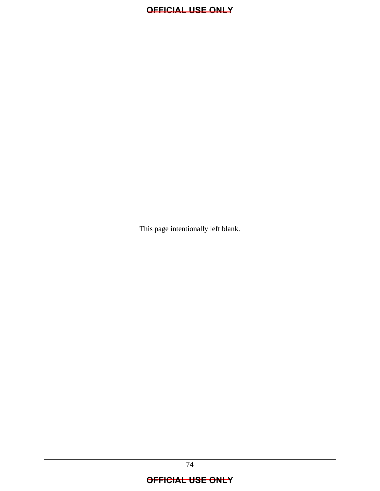This page intentionally left blank.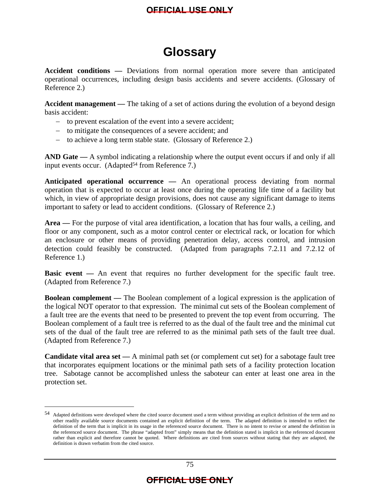### **Glossary**

**Accident conditions —** Deviations from normal operation more severe than anticipated operational occurrences, including design basis accidents and severe accidents. (Glossary of Reference 2.)

**Accident management —** The taking of a set of actions during the evolution of a beyond design basis accident:

- − to prevent escalation of the event into a severe accident;
- − to mitigate the consequences of a severe accident; and
- − to achieve a long term stable state. (Glossary of Reference 2.)

**AND Gate —** A symbol indicating a relationship where the output event occurs if and only if all input events occur. (Adapted<sup>54</sup> from Reference 7.)

**Anticipated operational occurrence —** An operational process deviating from normal operation that is expected to occur at least once during the operating life time of a facility but which, in view of appropriate design provisions, does not cause any significant damage to items important to safety or lead to accident conditions. (Glossary of Reference 2.)

**Area —** For the purpose of vital area identification, a location that has four walls, a ceiling, and floor or any component, such as a motor control center or electrical rack, or location for which an enclosure or other means of providing penetration delay, access control, and intrusion detection could feasibly be constructed. (Adapted from paragraphs 7.2.11 and 7.2.12 of Reference 1.)

**Basic event** — An event that requires no further development for the specific fault tree. (Adapted from Reference 7.)

**Boolean complement —** The Boolean complement of a logical expression is the application of the logical NOT operator to that expression. The minimal cut sets of the Boolean complement of a fault tree are the events that need to be presented to prevent the top event from occurring. The Boolean complement of a fault tree is referred to as the dual of the fault tree and the minimal cut sets of the dual of the fault tree are referred to as the minimal path sets of the fault tree dual. (Adapted from Reference 7.)

**Candidate vital area set —** A minimal path set (or complement cut set) for a sabotage fault tree that incorporates equipment locations or the minimal path sets of a facility protection location tree. Sabotage cannot be accomplished unless the saboteur can enter at least one area in the protection set.

 $\overline{a}$ 

# \_\_\_\_\_\_\_\_\_\_ <sup>75</sup> **OFFICIAL USE ONLY**

<sup>54</sup> Adapted definitions were developed where the cited source document used a term without providing an explicit definition of the term and no other readily available source documents contained an explicit definition of the term. The adapted definition is intended to reflect the definition of the term that is implicit in its usage in the referenced source document. There is no intent to revise or amend the definition in the referenced source document. The phrase "adapted from" simply means that the definition stated is implicit in the referenced document rather than explicit and therefore cannot be quoted. Where definitions are cited from sources without stating that they are adapted, the definition is drawn verbatim from the cited source.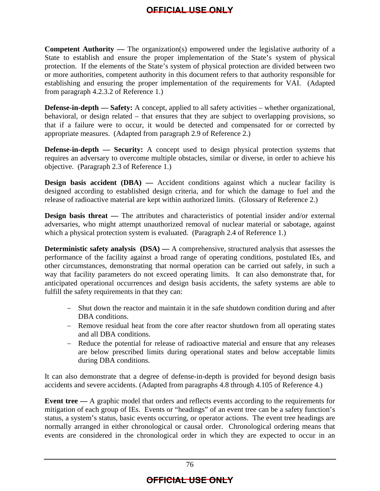**Competent Authority** — The organization(s) empowered under the legislative authority of a State to establish and ensure the proper implementation of the State's system of physical protection. If the elements of the State's system of physical protection are divided between two or more authorities, competent authority in this document refers to that authority responsible for establishing and ensuring the proper implementation of the requirements for VAI. (Adapted from paragraph 4.2.3.2 of Reference 1.)

**Defense-in-depth — Safety:** A concept, applied to all safety activities – whether organizational, behavioral, or design related – that ensures that they are subject to overlapping provisions, so that if a failure were to occur, it would be detected and compensated for or corrected by appropriate measures. (Adapted from paragraph 2.9 of Reference 2.)

**Defense-in-depth — Security:** A concept used to design physical protection systems that requires an adversary to overcome multiple obstacles, similar or diverse, in order to achieve his objective. (Paragraph 2.3 of Reference 1.)

**Design basis accident (DBA)** — Accident conditions against which a nuclear facility is designed according to established design criteria, and for which the damage to fuel and the release of radioactive material are kept within authorized limits. (Glossary of Reference 2.)

**Design basis threat** — The attributes and characteristics of potential insider and/or external adversaries, who might attempt unauthorized removal of nuclear material or sabotage, against which a physical protection system is evaluated. (Paragraph 2.4 of Reference 1.)

**Deterministic safety analysis (DSA) — A comprehensive, structured analysis that assesses the** performance of the facility against a broad range of operating conditions, postulated IEs, and other circumstances, demonstrating that normal operation can be carried out safely, in such a way that facility parameters do not exceed operating limits. It can also demonstrate that, for anticipated operational occurrences and design basis accidents, the safety systems are able to fulfill the safety requirements in that they can:

- − Shut down the reactor and maintain it in the safe shutdown condition during and after DBA conditions.
- − Remove residual heat from the core after reactor shutdown from all operating states and all DBA conditions.
- − Reduce the potential for release of radioactive material and ensure that any releases are below prescribed limits during operational states and below acceptable limits during DBA conditions.

It can also demonstrate that a degree of defense-in-depth is provided for beyond design basis accidents and severe accidents. (Adapted from paragraphs 4.8 through 4.105 of Reference 4.)

**Event tree —** A graphic model that orders and reflects events according to the requirements for mitigation of each group of IEs. Events or "headings" of an event tree can be a safety function's status, a system's status, basic events occurring, or operator actions. The event tree headings are normally arranged in either chronological or causal order. Chronological ordering means that events are considered in the chronological order in which they are expected to occur in an

# \_\_\_\_\_\_\_\_\_\_ <sup>76</sup> **OFFICIAL USE ONLY**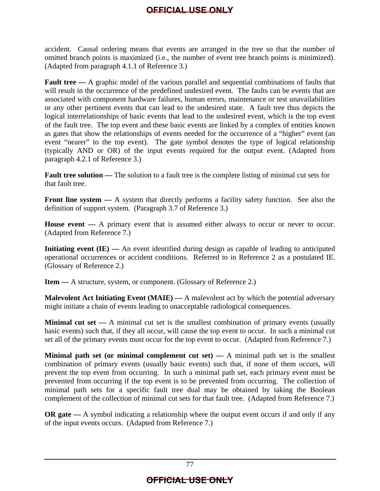accident. Causal ordering means that events are arranged in the tree so that the number of omitted branch points is maximized (i.e., the number of event tree branch points is minimized). (Adapted from paragraph 4.1.1 of Reference 3.)

**Fault tree —** A graphic model of the various parallel and sequential combinations of faults that will result in the occurrence of the predefined undesired event. The faults can be events that are associated with component hardware failures, human errors, maintenance or test unavailabilities or any other pertinent events that can lead to the undesired state. A fault tree thus depicts the logical interrelationships of basic events that lead to the undesired event, which is the top event of the fault tree. The top event and these basic events are linked by a complex of entities known as gates that show the relationships of events needed for the occurrence of a "higher" event (an event "nearer" to the top event). The gate symbol denotes the type of logical relationship (typically AND or OR) of the input events required for the output event. (Adapted from paragraph 4.2.1 of Reference 3.)

**Fault tree solution** — The solution to a fault tree is the complete listing of minimal cut sets for that fault tree.

**Front line system — A** system that directly performs a facility safety function. See also the definition of support system. (Paragraph 3.7 of Reference 3.)

**House event** — A primary event that is assumed either always to occur or never to occur. (Adapted from Reference 7.)

**Initiating event (IE)** — An event identified during design as capable of leading to anticipated operational occurrences or accident conditions. Referred to in Reference 2 as a postulated IE. (Glossary of Reference 2.)

**Item** — A structure, system, or component. (Glossary of Reference 2.)

**Malevolent Act Initiating Event (MAIE)** — A malevolent act by which the potential adversary might initiate a chain of events leading to unacceptable radiological consequences.

**Minimal cut set —** A minimal cut set is the smallest combination of primary events (usually basic events) such that, if they all occur, will cause the top event to occur. In such a minimal cut set all of the primary events must occur for the top event to occur. (Adapted from Reference 7.)

**Minimal path set (or minimal complement cut set) —** A minimal path set is the smallest combination of primary events (usually basic events) such that, if none of them occurs, will prevent the top event from occurring. In such a minimal path set, each primary event must be prevented from occurring if the top event is to be prevented from occurring. The collection of minimal path sets for a specific fault tree dual may be obtained by taking the Boolean complement of the collection of minimal cut sets for that fault tree. (Adapted from Reference 7.)

**OR gate** — A symbol indicating a relationship where the output event occurs if and only if any of the input events occurs. (Adapted from Reference 7.)

# \_\_\_\_\_\_\_\_\_\_ <sup>77</sup> **OFFICIAL USE ONLY**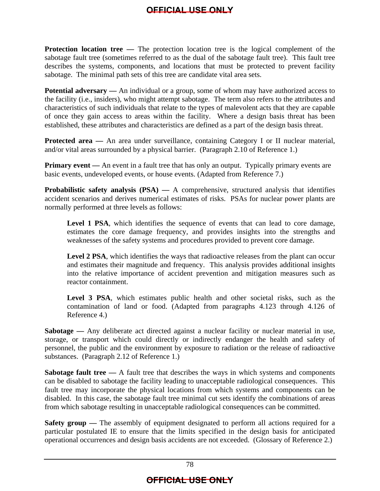**Protection location tree —** The protection location tree is the logical complement of the sabotage fault tree (sometimes referred to as the dual of the sabotage fault tree). This fault tree describes the systems, components, and locations that must be protected to prevent facility sabotage. The minimal path sets of this tree are candidate vital area sets.

**Potential adversary** — An individual or a group, some of whom may have authorized access to the facility (i.e., insiders), who might attempt sabotage. The term also refers to the attributes and characteristics of such individuals that relate to the types of malevolent acts that they are capable of once they gain access to areas within the facility. Where a design basis threat has been established, these attributes and characteristics are defined as a part of the design basis threat.

**Protected area** — An area under surveillance, containing Category I or II nuclear material, and/or vital areas surrounded by a physical barrier. (Paragraph 2.10 of Reference 1.)

**Primary event** — An event in a fault tree that has only an output. Typically primary events are basic events, undeveloped events, or house events. (Adapted from Reference 7.)

**Probabilistic safety analysis (PSA) — A comprehensive, structured analysis that identifies** accident scenarios and derives numerical estimates of risks. PSAs for nuclear power plants are normally performed at three levels as follows:

Level 1 PSA, which identifies the sequence of events that can lead to core damage, estimates the core damage frequency, and provides insights into the strengths and weaknesses of the safety systems and procedures provided to prevent core damage.

Level 2 PSA, which identifies the ways that radioactive releases from the plant can occur and estimates their magnitude and frequency. This analysis provides additional insights into the relative importance of accident prevention and mitigation measures such as reactor containment.

Level 3 PSA, which estimates public health and other societal risks, such as the contamination of land or food. (Adapted from paragraphs 4.123 through 4.126 of Reference 4.)

**Sabotage** — Any deliberate act directed against a nuclear facility or nuclear material in use, storage, or transport which could directly or indirectly endanger the health and safety of personnel, the public and the environment by exposure to radiation or the release of radioactive substances. (Paragraph 2.12 of Reference 1.)

**Sabotage fault tree —** A fault tree that describes the ways in which systems and components can be disabled to sabotage the facility leading to unacceptable radiological consequences. This fault tree may incorporate the physical locations from which systems and components can be disabled. In this case, the sabotage fault tree minimal cut sets identify the combinations of areas from which sabotage resulting in unacceptable radiological consequences can be committed.

**Safety group** — The assembly of equipment designated to perform all actions required for a particular postulated IE to ensure that the limits specified in the design basis for anticipated operational occurrences and design basis accidents are not exceeded. (Glossary of Reference 2.)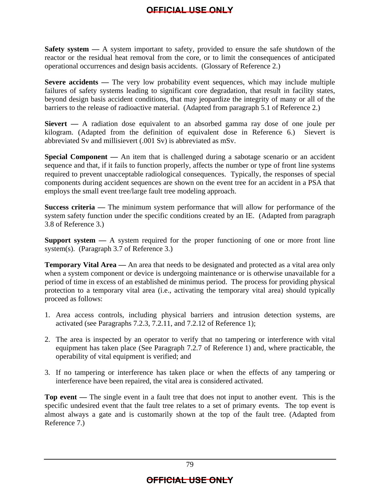**Safety system —** A system important to safety, provided to ensure the safe shutdown of the reactor or the residual heat removal from the core, or to limit the consequences of anticipated operational occurrences and design basis accidents. (Glossary of Reference 2.)

**Severe accidents —** The very low probability event sequences, which may include multiple failures of safety systems leading to significant core degradation, that result in facility states, beyond design basis accident conditions, that may jeopardize the integrity of many or all of the barriers to the release of radioactive material. (Adapted from paragraph 5.1 of Reference 2.)

**Sievert —** A radiation dose equivalent to an absorbed gamma ray dose of one joule per kilogram. (Adapted from the definition of equivalent dose in Reference 6.) Sievert is abbreviated Sv and millisievert (.001 Sv) is abbreviated as mSv.

**Special Component** — An item that is challenged during a sabotage scenario or an accident sequence and that, if it fails to function properly, affects the number or type of front line systems required to prevent unacceptable radiological consequences. Typically, the responses of special components during accident sequences are shown on the event tree for an accident in a PSA that employs the small event tree/large fault tree modeling approach.

**Success criteria —** The minimum system performance that will allow for performance of the system safety function under the specific conditions created by an IE. (Adapted from paragraph 3.8 of Reference 3.)

**Support system —** A system required for the proper functioning of one or more front line system(s). (Paragraph 3.7 of Reference 3.)

**Temporary Vital Area —** An area that needs to be designated and protected as a vital area only when a system component or device is undergoing maintenance or is otherwise unavailable for a period of time in excess of an established de minimus period. The process for providing physical protection to a temporary vital area (i.e., activating the temporary vital area) should typically proceed as follows:

- 1. Area access controls, including physical barriers and intrusion detection systems, are activated (see Paragraphs 7.2.3, 7.2.11, and 7.2.12 of Reference 1);
- 2. The area is inspected by an operator to verify that no tampering or interference with vital equipment has taken place (See Paragraph 7.2.7 of Reference 1) and, where practicable, the operability of vital equipment is verified; and
- 3. If no tampering or interference has taken place or when the effects of any tampering or interference have been repaired, the vital area is considered activated.

**Top event —** The single event in a fault tree that does not input to another event. This is the specific undesired event that the fault tree relates to a set of primary events. The top event is almost always a gate and is customarily shown at the top of the fault tree. (Adapted from Reference 7.)

# \_\_\_\_\_\_\_\_\_\_ <sup>79</sup> **OFFICIAL USE ONLY**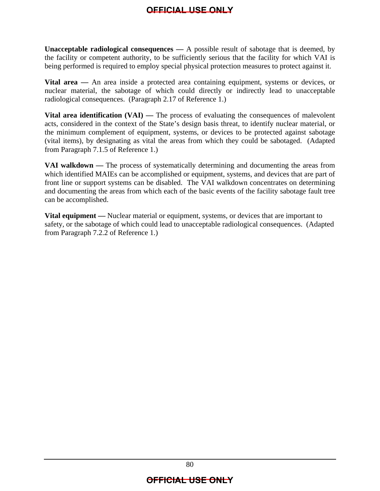**Unacceptable radiological consequences —** A possible result of sabotage that is deemed, by the facility or competent authority, to be sufficiently serious that the facility for which VAI is being performed is required to employ special physical protection measures to protect against it.

**Vital area —** An area inside a protected area containing equipment, systems or devices, or nuclear material, the sabotage of which could directly or indirectly lead to unacceptable radiological consequences. (Paragraph 2.17 of Reference 1.)

**Vital area identification (VAI) — The process of evaluating the consequences of malevolent** acts, considered in the context of the State's design basis threat, to identify nuclear material, or the minimum complement of equipment, systems, or devices to be protected against sabotage (vital items), by designating as vital the areas from which they could be sabotaged. (Adapted from Paragraph 7.1.5 of Reference 1.)

**VAI walkdown —** The process of systematically determining and documenting the areas from which identified MAIEs can be accomplished or equipment, systems, and devices that are part of front line or support systems can be disabled. The VAI walkdown concentrates on determining and documenting the areas from which each of the basic events of the facility sabotage fault tree can be accomplished.

**Vital equipment** — Nuclear material or equipment, systems, or devices that are important to safety, or the sabotage of which could lead to unacceptable radiological consequences. (Adapted from Paragraph 7.2.2 of Reference 1.)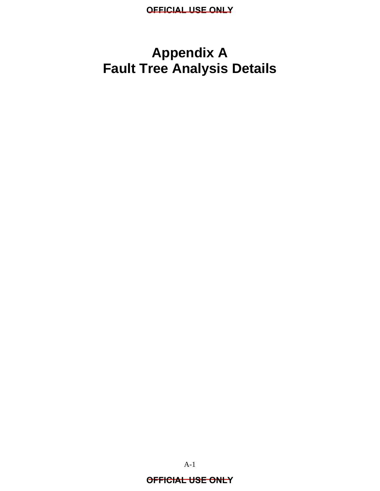### **Appendix A Fault Tree Analysis Details**

# A-1<br>**OFFICIAL USE ONLY**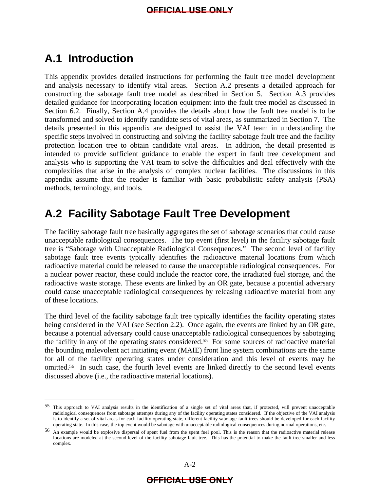### **A.1 Introduction**

<u>.</u>

This appendix provides detailed instructions for performing the fault tree model development and analysis necessary to identify vital areas. Section A.2 presents a detailed approach for constructing the sabotage fault tree model as described in Section 5. Section A.3 provides detailed guidance for incorporating location equipment into the fault tree model as discussed in Section 6.2. Finally, Section A.4 provides the details about how the fault tree model is to be transformed and solved to identify candidate sets of vital areas, as summarized in Section 7. The details presented in this appendix are designed to assist the VAI team in understanding the specific steps involved in constructing and solving the facility sabotage fault tree and the facility protection location tree to obtain candidate vital areas. In addition, the detail presented is intended to provide sufficient guidance to enable the expert in fault tree development and analysis who is supporting the VAI team to solve the difficulties and deal effectively with the complexities that arise in the analysis of complex nuclear facilities. The discussions in this appendix assume that the reader is familiar with basic probabilistic safety analysis (PSA) methods, terminology, and tools.

### **A.2 Facility Sabotage Fault Tree Development**

The facility sabotage fault tree basically aggregates the set of sabotage scenarios that could cause unacceptable radiological consequences. The top event (first level) in the facility sabotage fault tree is "Sabotage with Unacceptable Radiological Consequences." The second level of facility sabotage fault tree events typically identifies the radioactive material locations from which radioactive material could be released to cause the unacceptable radiological consequences. For a nuclear power reactor, these could include the reactor core, the irradiated fuel storage, and the radioactive waste storage. These events are linked by an OR gate, because a potential adversary could cause unacceptable radiological consequences by releasing radioactive material from any of these locations.

The third level of the facility sabotage fault tree typically identifies the facility operating states being considered in the VAI (see Section 2.2). Once again, the events are linked by an OR gate, because a potential adversary could cause unacceptable radiological consequences by sabotaging the facility in any of the operating states considered.55 For some sources of radioactive material the bounding malevolent act initiating event (MAIE) front line system combinations are the same for all of the facility operating states under consideration and this level of events may be omitted.56 In such case, the fourth level events are linked directly to the second level events discussed above (i.e., the radioactive material locations).

<sup>55</sup> This approach to VAI analysis results in the identification of a single set of vital areas that, if protected, will prevent unacceptable radiological consequences from sabotage attempts during any of the facility operating states considered. If the objective of the VAI analysis is to identify a set of vital areas for each facility operating state, different facility sabotage fault trees should be developed for each facility operating state. In this case, the top event would be sabotage with unacceptable radiological consequences during normal operations, etc.

<sup>56</sup> An example would be explosive dispersal of spent fuel from the spent fuel pool. This is the reason that the radioactive material release locations are modeled at the second level of the facility sabotage fault tree. This has the potential to make the fault tree smaller and less complex.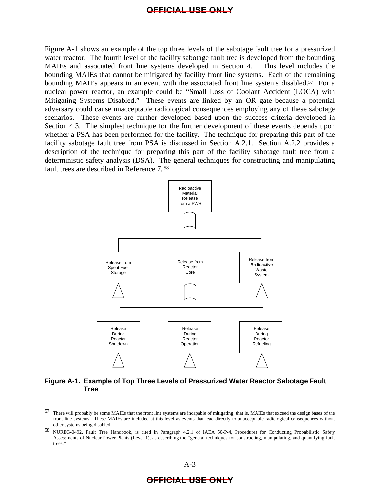Figure A-1 shows an example of the top three levels of the sabotage fault tree for a pressurized water reactor. The fourth level of the facility sabotage fault tree is developed from the bounding MAIEs and associated front line systems developed in Section 4. This level includes the bounding MAIEs that cannot be mitigated by facility front line systems. Each of the remaining bounding MAIEs appears in an event with the associated front line systems disabled.<sup>57</sup> For a nuclear power reactor, an example could be "Small Loss of Coolant Accident (LOCA) with Mitigating Systems Disabled." These events are linked by an OR gate because a potential adversary could cause unacceptable radiological consequences employing any of these sabotage scenarios. These events are further developed based upon the success criteria developed in Section 4.3. The simplest technique for the further development of these events depends upon whether a PSA has been performed for the facility. The technique for preparing this part of the facility sabotage fault tree from PSA is discussed in Section A.2.1. Section A.2.2 provides a description of the technique for preparing this part of the facility sabotage fault tree from a deterministic safety analysis (DSA). The general techniques for constructing and manipulating fault trees are described in Reference 7. 58



**Figure A-1. Example of Top Three Levels of Pressurized Water Reactor Sabotage Fault Tree** 

 $\overline{a}$ 

# A-3<br>**OFFICIAL USE ONLY**

<sup>57</sup> There will probably be some MAIEs that the front line systems are incapable of mitigating; that is, MAIEs that exceed the design bases of the front line systems. These MAIEs are included at this level as events that lead directly to unacceptable radiological consequences without other systems being disabled.

<sup>58</sup> NUREG-0492, Fault Tree Handbook, is cited in Paragraph 4.2.1 of IAEA 50-P-4, Procedures for Conducting Probabilistic Safety Assessments of Nuclear Power Plants (Level 1), as describing the "general techniques for constructing, manipulating, and quantifying fault trees."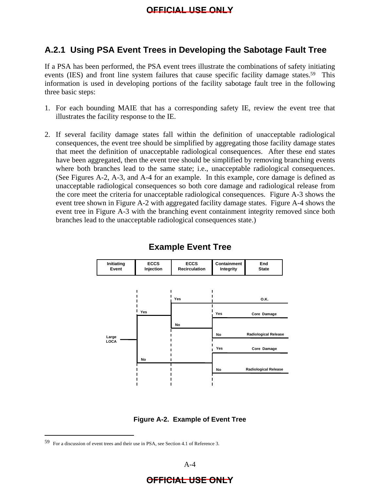#### **A.2.1 Using PSA Event Trees in Developing the Sabotage Fault Tree**

If a PSA has been performed, the PSA event trees illustrate the combinations of safety initiating events (IES) and front line system failures that cause specific facility damage states.<sup>59</sup> This information is used in developing portions of the facility sabotage fault tree in the following three basic steps:

- 1. For each bounding MAIE that has a corresponding safety IE, review the event tree that illustrates the facility response to the IE.
- 2. If several facility damage states fall within the definition of unacceptable radiological consequences, the event tree should be simplified by aggregating those facility damage states that meet the definition of unacceptable radiological consequences. After these end states have been aggregated, then the event tree should be simplified by removing branching events where both branches lead to the same state; i.e., unacceptable radiological consequences. (See Figures A-2, A-3, and A-4 for an example. In this example, core damage is defined as unacceptable radiological consequences so both core damage and radiological release from the core meet the criteria for unacceptable radiological consequences. Figure A-3 shows the event tree shown in Figure A-2 with aggregated facility damage states. Figure A-4 shows the event tree in Figure A-3 with the branching event containment integrity removed since both branches lead to the unacceptable radiological consequences state.)



#### **Example Event Tree**

#### **Figure A-2. Example of Event Tree**

 $\overline{a}$ 

# A-4<br>**OFFICIAL USE ONLY**

<sup>59</sup> For a discussion of event trees and their use in PSA, see Section 4.1 of Reference 3.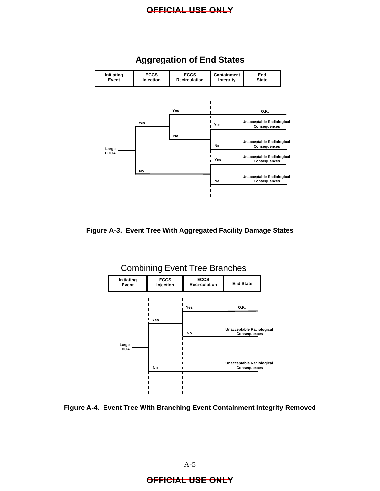

#### **Aggregation of End States**

**Figure A-3. Event Tree With Aggregated Facility Damage States** 



**Figure A-4. Event Tree With Branching Event Containment Integrity Removed** 

# A-5<br>**OFFICIAL USE ONLY**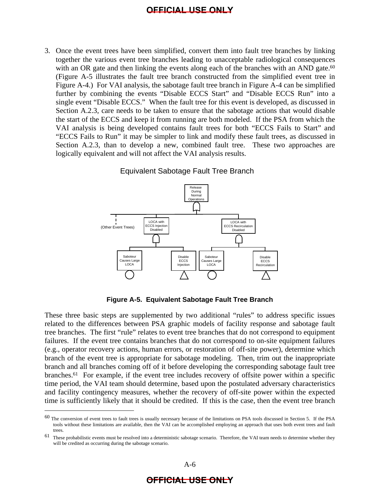3. Once the event trees have been simplified, convert them into fault tree branches by linking together the various event tree branches leading to unacceptable radiological consequences with an OR gate and then linking the events along each of the branches with an AND gate.<sup>60</sup> (Figure A-5 illustrates the fault tree branch constructed from the simplified event tree in Figure A-4.) For VAI analysis, the sabotage fault tree branch in Figure A-4 can be simplified further by combining the events "Disable ECCS Start" and "Disable ECCS Run" into a single event "Disable ECCS." When the fault tree for this event is developed, as discussed in Section A.2.3, care needs to be taken to ensure that the sabotage actions that would disable the start of the ECCS and keep it from running are both modeled. If the PSA from which the VAI analysis is being developed contains fault trees for both "ECCS Fails to Start" and "ECCS Fails to Run" it may be simpler to link and modify these fault trees, as discussed in Section A.2.3, than to develop a new, combined fault tree. These two approaches are logically equivalent and will not affect the VAI analysis results.



#### Equivalent Sabotage Fault Tree Branch

**Figure A-5. Equivalent Sabotage Fault Tree Branch** 

These three basic steps are supplemented by two additional "rules" to address specific issues related to the differences between PSA graphic models of facility response and sabotage fault tree branches. The first "rule" relates to event tree branches that do not correspond to equipment failures. If the event tree contains branches that do not correspond to on-site equipment failures (e.g., operator recovery actions, human errors, or restoration of off-site power), determine which branch of the event tree is appropriate for sabotage modeling. Then, trim out the inappropriate branch and all branches coming off of it before developing the corresponding sabotage fault tree branches.61 For example, if the event tree includes recovery of offsite power within a specific time period, the VAI team should determine, based upon the postulated adversary characteristics and facility contingency measures, whether the recovery of off-site power within the expected time is sufficiently likely that it should be credited. If this is the case, then the event tree branch

<u>.</u>

# A-6<br>**OFFICIAL USE ONLY**

<sup>60</sup> The conversion of event trees to fault trees is usually necessary because of the limitations on PSA tools discussed in Section 5. If the PSA tools without these limitations are available, then the VAI can be accomplished employing an approach that uses both event trees and fault trees.

<sup>61</sup> These probabilistic events must be resolved into a deterministic sabotage scenario. Therefore, the VAI team needs to determine whether they will be credited as occurring during the sabotage scenario.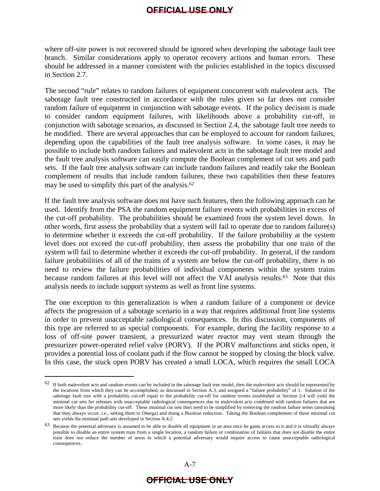where off-site power is not recovered should be ignored when developing the sabotage fault tree branch. Similar considerations apply to operator recovery actions and human errors. These should be addressed in a manner consistent with the policies established in the topics discussed in Section 2.7.

The second "rule" relates to random failures of equipment concurrent with malevolent acts. The sabotage fault tree constructed in accordance with the rules given so far does not consider random failure of equipment in conjunction with sabotage events. If the policy decision is made to consider random equipment failures, with likelihoods above a probability cut-off, in conjunction with sabotage scenarios, as discussed in Section 2.4, the sabotage fault tree needs to be modified. There are several approaches that can be employed to account for random failures, depending upon the capabilities of the fault tree analysis software. In some cases, it may be possible to include both random failures and malevolent acts in the sabotage fault tree model and the fault tree analysis software can easily compute the Boolean complement of cut sets and path sets. If the fault tree analysis software can include random failures and readily take the Boolean complement of results that include random failures, these two capabilities then these features may be used to simplify this part of the analysis.62

If the fault tree analysis software does not have such features, then the following approach can be used. Identify from the PSA the random equipment failure events with probabilities in excess of the cut-off probability. The probabilities should be examined from the system level down. In other words, first assess the probability that a system will fail to operate due to random failure(s) to determine whether it exceeds the cut-off probability. If the failure probability at the system level does not exceed the cut-off probability, then assess the probability that one train of the system will fail to determine whether it exceeds the cut-off probability. In general, if the random failure probabilities of all of the trains of a system are below the cut-off probability, there is no need to review the failure probabilities of individual components within the system trains because random failures at this level will not affect the VAI analysis results.<sup>63</sup> Note that this analysis needs to include support systems as well as front line systems.

The one exception to this generalization is when a random failure of a component or device affects the progression of a sabotage scenario in a way that requires additional front line systems in order to prevent unacceptable radiological consequences. In this discussion, components of this type are referred to as special components. For example, during the facility response to a loss of off-site power transient, a pressurized water reactor may vent steam through the pressurizer power-operated relief valve (PORV). If the PORV malfunctions and sticks open, it provides a potential loss of coolant path if the flow cannot be stopped by closing the block valve. In this case, the stuck open PORV has created a small LOCA, which requires the small LOCA

 $\overline{a}$ 

# A-7<br>**OFFICIAL USE ONLY**

 $62$  If both malevolent acts and random events can be included in the sabotage fault tree model, then the malevolent acts should be represented by the locations from which they can be accomplished, as discussed in Section A.3, and assigned a "failure probability" of 1. Solution of the sabotage fault tree with a probability cut-off equal to the probability cut-off for random events established in Section 2.4 will yield the minimal cut sets for releases with unacceptable radiological consequences due to malevolent acts combined with random failures that are more likely than the probability cut-off. These minimal cut sets then need to be simplified by removing the random failure terms (assuming that they always occur; i.e., setting them to Omega) and doing a Boolean reduction. Taking the Boolean complement of these minimal cut sets yields the minimal path sets developed in Section A.4.2.

<sup>63</sup> Because the potential adversary is assumed to be able to disable all equipment in an area once he gains access to it and it is virtually always possible to disable an entire system train from a single location, a random failure or combination of failures that does not disable the entire train does not reduce the number of areas to which a potential adversary would require access to cause unacceptable radiological consequences.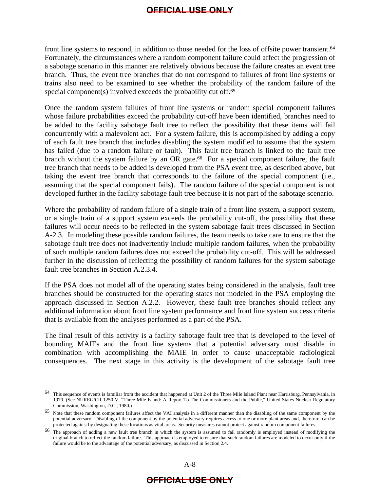front line systems to respond, in addition to those needed for the loss of offsite power transient.64 Fortunately, the circumstances where a random component failure could affect the progression of a sabotage scenario in this manner are relatively obvious because the failure creates an event tree branch. Thus, the event tree branches that do not correspond to failures of front line systems or trains also need to be examined to see whether the probability of the random failure of the special component(s) involved exceeds the probability cut off.65

Once the random system failures of front line systems or random special component failures whose failure probabilities exceed the probability cut-off have been identified, branches need to be added to the facility sabotage fault tree to reflect the possibility that these items will fail concurrently with a malevolent act. For a system failure, this is accomplished by adding a copy of each fault tree branch that includes disabling the system modified to assume that the system has failed (due to a random failure or fault). This fault tree branch is linked to the fault tree branch without the system failure by an OR gate.<sup>66</sup> For a special component failure, the fault tree branch that needs to be added is developed from the PSA event tree, as described above, but taking the event tree branch that corresponds to the failure of the special component (i.e., assuming that the special component fails). The random failure of the special component is not developed further in the facility sabotage fault tree because it is not part of the sabotage scenario.

Where the probability of random failure of a single train of a front line system, a support system, or a single train of a support system exceeds the probability cut-off, the possibility that these failures will occur needs to be reflected in the system sabotage fault trees discussed in Section A-2.3. In modeling these possible random failures, the team needs to take care to ensure that the sabotage fault tree does not inadvertently include multiple random failures, when the probability of such multiple random failures does not exceed the probability cut-off. This will be addressed further in the discussion of reflecting the possibility of random failures for the system sabotage fault tree branches in Section A.2.3.4.

If the PSA does not model all of the operating states being considered in the analysis, fault tree branches should be constructed for the operating states not modeled in the PSA employing the approach discussed in Section A.2.2. However, these fault tree branches should reflect any additional information about front line system performance and front line system success criteria that is available from the analyses performed as a part of the PSA.

The final result of this activity is a facility sabotage fault tree that is developed to the level of bounding MAIEs and the front line systems that a potential adversary must disable in combination with accomplishing the MAIE in order to cause unacceptable radiological consequences. The next stage in this activity is the development of the sabotage fault tree

<u>.</u>

# A-8<br>**OFFICIAL USE ONLY**

<sup>64</sup> This sequence of events is familiar from the accident that happened at Unit 2 of the Three Mile Island Plant near Harrisburg, Pennsylvania, in 1979. (See NUREG/CR-1250-V, "Three Mile Island: A Report To The Commissioners and the Public," United States Nuclear Regulatory Commission, Washington, D.C., 1980.)

<sup>65</sup> Note that these random component failures affect the VAI analysis in a different manner than the disabling of the same component by the potential adversary. Disabling of the component by the potential adversary requires access to one or more plant areas and, therefore, can be protected against by designating these locations as vital areas. Security measures cannot protect against random component failures.

<sup>66</sup> The approach of adding a new fault tree branch in which the system is assumed to fail randomly is employed instead of modifying the original branch to reflect the random failure. This approach is employed to ensure that such random failures are modeled to occur only if the failure would be to the advantage of the potential adversary, as discussed in Section 2.4.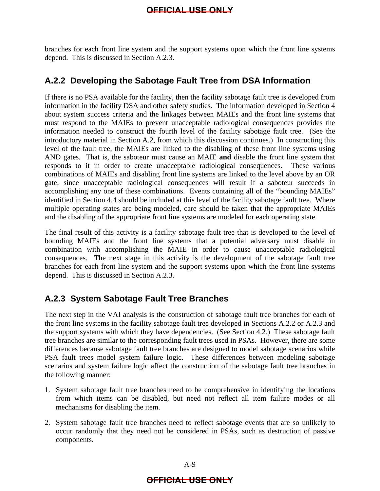branches for each front line system and the support systems upon which the front line systems depend. This is discussed in Section A.2.3.

#### **A.2.2 Developing the Sabotage Fault Tree from DSA Information**

If there is no PSA available for the facility, then the facility sabotage fault tree is developed from information in the facility DSA and other safety studies. The information developed in Section 4 about system success criteria and the linkages between MAIEs and the front line systems that must respond to the MAIEs to prevent unacceptable radiological consequences provides the information needed to construct the fourth level of the facility sabotage fault tree. (See the introductory material in Section A.2, from which this discussion continues.) In constructing this level of the fault tree, the MAIEs are linked to the disabling of these front line systems using AND gates. That is, the saboteur must cause an MAIE **and** disable the front line system that responds to it in order to create unacceptable radiological consequences. These various combinations of MAIEs and disabling front line systems are linked to the level above by an OR gate, since unacceptable radiological consequences will result if a saboteur succeeds in accomplishing any one of these combinations. Events containing all of the "bounding MAIEs" identified in Section 4.4 should be included at this level of the facility sabotage fault tree. Where multiple operating states are being modeled, care should be taken that the appropriate MAIEs and the disabling of the appropriate front line systems are modeled for each operating state.

The final result of this activity is a facility sabotage fault tree that is developed to the level of bounding MAIEs and the front line systems that a potential adversary must disable in combination with accomplishing the MAIE in order to cause unacceptable radiological consequences. The next stage in this activity is the development of the sabotage fault tree branches for each front line system and the support systems upon which the front line systems depend. This is discussed in Section A.2.3.

#### **A.2.3 System Sabotage Fault Tree Branches**

The next step in the VAI analysis is the construction of sabotage fault tree branches for each of the front line systems in the facility sabotage fault tree developed in Sections A.2.2 or A.2.3 and the support systems with which they have dependencies. (See Section 4.2.) These sabotage fault tree branches are similar to the corresponding fault trees used in PSAs. However, there are some differences because sabotage fault tree branches are designed to model sabotage scenarios while PSA fault trees model system failure logic. These differences between modeling sabotage scenarios and system failure logic affect the construction of the sabotage fault tree branches in the following manner:

- 1. System sabotage fault tree branches need to be comprehensive in identifying the locations from which items can be disabled, but need not reflect all item failure modes or all mechanisms for disabling the item.
- 2. System sabotage fault tree branches need to reflect sabotage events that are so unlikely to occur randomly that they need not be considered in PSAs, such as destruction of passive components.

# A-9<br>**OFFICIAL USE ONLY**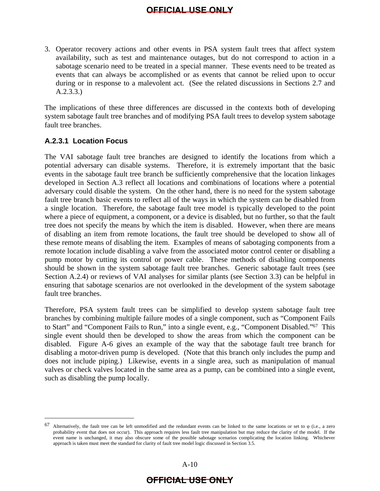3. Operator recovery actions and other events in PSA system fault trees that affect system availability, such as test and maintenance outages, but do not correspond to action in a sabotage scenario need to be treated in a special manner. These events need to be treated as events that can always be accomplished or as events that cannot be relied upon to occur during or in response to a malevolent act. (See the related discussions in Sections 2.7 and A.2.3.3.)

The implications of these three differences are discussed in the contexts both of developing system sabotage fault tree branches and of modifying PSA fault trees to develop system sabotage fault tree branches.

#### **A.2.3.1 Location Focus**

 $\overline{a}$ 

The VAI sabotage fault tree branches are designed to identify the locations from which a potential adversary can disable systems. Therefore, it is extremely important that the basic events in the sabotage fault tree branch be sufficiently comprehensive that the location linkages developed in Section A.3 reflect all locations and combinations of locations where a potential adversary could disable the system. On the other hand, there is no need for the system sabotage fault tree branch basic events to reflect all of the ways in which the system can be disabled from a single location. Therefore, the sabotage fault tree model is typically developed to the point where a piece of equipment, a component, or a device is disabled, but no further, so that the fault tree does not specify the means by which the item is disabled. However, when there are means of disabling an item from remote locations, the fault tree should be developed to show all of these remote means of disabling the item. Examples of means of sabotaging components from a remote location include disabling a valve from the associated motor control center or disabling a pump motor by cutting its control or power cable. These methods of disabling components should be shown in the system sabotage fault tree branches. Generic sabotage fault trees (see Section A.2.4) or reviews of VAI analyses for similar plants (see Section 3.3) can be helpful in ensuring that sabotage scenarios are not overlooked in the development of the system sabotage fault tree branches.

Therefore, PSA system fault trees can be simplified to develop system sabotage fault tree branches by combining multiple failure modes of a single component, such as "Component Fails to Start" and "Component Fails to Run," into a single event, e.g., "Component Disabled."67 This single event should then be developed to show the areas from which the component can be disabled. Figure A-6 gives an example of the way that the sabotage fault tree branch for disabling a motor-driven pump is developed. (Note that this branch only includes the pump and does not include piping.) Likewise, events in a single area, such as manipulation of manual valves or check valves located in the same area as a pump, can be combined into a single event, such as disabling the pump locally.

# A-10<br>**OFFICIAL USE ONLY**

<sup>67</sup> Alternatively, the fault tree can be left unmodified and the redundant events can be linked to the same locations or set to φ (i.e., a zero probability event that does not occur). This approach requires less fault tree manipulation but may reduce the clarity of the model. If the event name is unchanged, it may also obscure some of the possible sabotage scenarios complicating the location linking. Whichever approach is taken must meet the standard for clarity of fault tree model logic discussed in Section 3.5.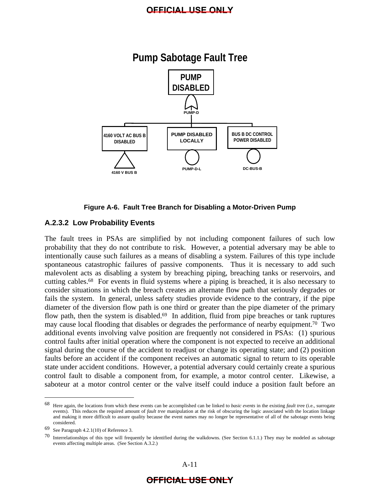

#### **Figure A-6. Fault Tree Branch for Disabling a Motor-Driven Pump**

#### **A.2.3.2 Low Probability Events**

The fault trees in PSAs are simplified by not including component failures of such low probability that they do not contribute to risk. However, a potential adversary may be able to intentionally cause such failures as a means of disabling a system. Failures of this type include spontaneous catastrophic failures of passive components. Thus it is necessary to add such malevolent acts as disabling a system by breaching piping, breaching tanks or reservoirs, and cutting cables.68 For events in fluid systems where a piping is breached, it is also necessary to consider situations in which the breach creates an alternate flow path that seriously degrades or fails the system. In general, unless safety studies provide evidence to the contrary, if the pipe diameter of the diversion flow path is one third or greater than the pipe diameter of the primary flow path, then the system is disabled.<sup>69</sup> In addition, fluid from pipe breaches or tank ruptures may cause local flooding that disables or degrades the performance of nearby equipment.70 Two additional events involving valve position are frequently not considered in PSAs: (1) spurious control faults after initial operation where the component is not expected to receive an additional signal during the course of the accident to readjust or change its operating state; and (2) position faults before an accident if the component receives an automatic signal to return to its operable state under accident conditions. However, a potential adversary could certainly create a spurious control fault to disable a component from, for example, a motor control center. Likewise, a saboteur at a motor control center or the valve itself could induce a position fault before an

<u>.</u>

# A-11<br>**OFFICIAL USE ONLY**

<sup>68</sup> Here again, the locations from which these events can be accomplished can be linked to *basic events* in the existing *fault tre*e (i.e., surrogate events). This reduces the required amount of *fault tree* manipulation at the risk of obscuring the logic associated with the location linkage and making it more difficult to assure quality because the event names may no longer be representative of all of the sabotage events being considered.

<sup>69</sup> See Paragraph 4.2.1(10) of Reference 3.

 $70$  Interrelationships of this type will frequently be identified during the walkdowns. (See Section 6.1.1.) They may be modeled as sabotage events affecting multiple areas. (See Section A.3.2.)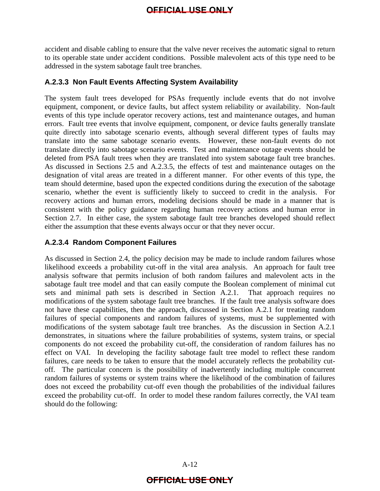accident and disable cabling to ensure that the valve never receives the automatic signal to return to its operable state under accident conditions. Possible malevolent acts of this type need to be addressed in the system sabotage fault tree branches.

#### **A.2.3.3 Non Fault Events Affecting System Availability**

The system fault trees developed for PSAs frequently include events that do not involve equipment, component, or device faults, but affect system reliability or availability. Non-fault events of this type include operator recovery actions, test and maintenance outages, and human errors. Fault tree events that involve equipment, component, or device faults generally translate quite directly into sabotage scenario events, although several different types of faults may translate into the same sabotage scenario events. However, these non-fault events do not translate directly into sabotage scenario events. Test and maintenance outage events should be deleted from PSA fault trees when they are translated into system sabotage fault tree branches. As discussed in Sections 2.5 and A.2.3.5, the effects of test and maintenance outages on the designation of vital areas are treated in a different manner. For other events of this type, the team should determine, based upon the expected conditions during the execution of the sabotage scenario, whether the event is sufficiently likely to succeed to credit in the analysis. For recovery actions and human errors, modeling decisions should be made in a manner that is consistent with the policy guidance regarding human recovery actions and human error in Section 2.7. In either case, the system sabotage fault tree branches developed should reflect either the assumption that these events always occur or that they never occur.

#### **A.2.3.4 Random Component Failures**

As discussed in Section 2.4, the policy decision may be made to include random failures whose likelihood exceeds a probability cut-off in the vital area analysis. An approach for fault tree analysis software that permits inclusion of both random failures and malevolent acts in the sabotage fault tree model and that can easily compute the Boolean complement of minimal cut sets and minimal path sets is described in Section A.2.1. That approach requires no modifications of the system sabotage fault tree branches. If the fault tree analysis software does not have these capabilities, then the approach, discussed in Section A.2.1 for treating random failures of special components and random failures of systems, must be supplemented with modifications of the system sabotage fault tree branches. As the discussion in Section A.2.1 demonstrates, in situations where the failure probabilities of systems, system trains, or special components do not exceed the probability cut-off, the consideration of random failures has no effect on VAI. In developing the facility sabotage fault tree model to reflect these random failures, care needs to be taken to ensure that the model accurately reflects the probability cutoff. The particular concern is the possibility of inadvertently including multiple concurrent random failures of systems or system trains where the likelihood of the combination of failures does not exceed the probability cut-off even though the probabilities of the individual failures exceed the probability cut-off. In order to model these random failures correctly, the VAI team should do the following:

# A-12<br>**OFFICIAL USE ONLY**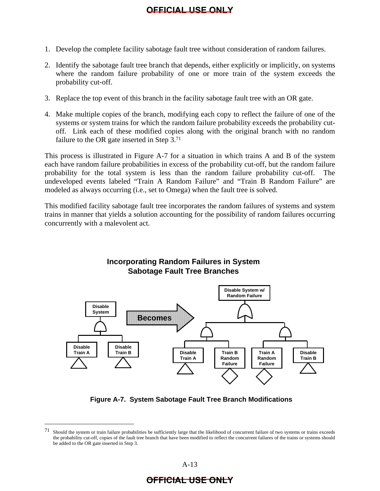- 1. Develop the complete facility sabotage fault tree without consideration of random failures.
- 2. Identify the sabotage fault tree branch that depends, either explicitly or implicitly, on systems where the random failure probability of one or more train of the system exceeds the probability cut-off.
- 3. Replace the top event of this branch in the facility sabotage fault tree with an OR gate.
- 4. Make multiple copies of the branch, modifying each copy to reflect the failure of one of the systems or system trains for which the random failure probability exceeds the probability cutoff. Link each of these modified copies along with the original branch with no random failure to the OR gate inserted in Step 3.71

This process is illustrated in Figure A-7 for a situation in which trains A and B of the system each have random failure probabilities in excess of the probability cut-off, but the random failure probability for the total system is less than the random failure probability cut-off. The undeveloped events labeled "Train A Random Failure" and "Train B Random Failure" are modeled as always occurring (i.e., set to Omega) when the fault tree is solved.

This modified facility sabotage fault tree incorporates the random failures of systems and system trains in manner that yields a solution accounting for the possibility of random failures occurring concurrently with a malevolent act.



**Figure A-7. System Sabotage Fault Tree Branch Modifications** 

 $\overline{a}$ 

# A-13<br>**OFFICIAL USE ONLY**

<sup>71</sup> Should the system or train failure probabilities be sufficiently large that the likelihood of concurrent failure of two systems or trains exceeds the probability cut-off, copies of the fault tree branch that have been modified to reflect the concurrent failures of the trains or systems should be added to the OR gate inserted in Step 3.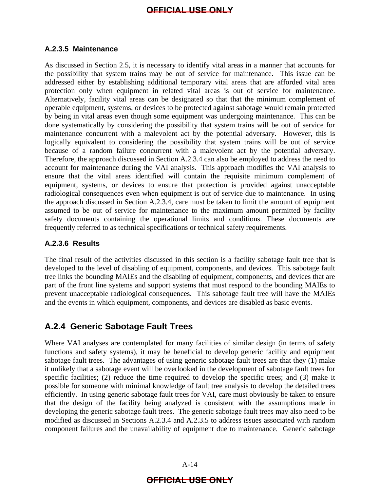#### **A.2.3.5 Maintenance**

As discussed in Section 2.5, it is necessary to identify vital areas in a manner that accounts for the possibility that system trains may be out of service for maintenance. This issue can be addressed either by establishing additional temporary vital areas that are afforded vital area protection only when equipment in related vital areas is out of service for maintenance. Alternatively, facility vital areas can be designated so that that the minimum complement of operable equipment, systems, or devices to be protected against sabotage would remain protected by being in vital areas even though some equipment was undergoing maintenance. This can be done systematically by considering the possibility that system trains will be out of service for maintenance concurrent with a malevolent act by the potential adversary. However, this is logically equivalent to considering the possibility that system trains will be out of service because of a random failure concurrent with a malevolent act by the potential adversary. Therefore, the approach discussed in Section A.2.3.4 can also be employed to address the need to account for maintenance during the VAI analysis. This approach modifies the VAI analysis to ensure that the vital areas identified will contain the requisite minimum complement of equipment, systems, or devices to ensure that protection is provided against unacceptable radiological consequences even when equipment is out of service due to maintenance. In using the approach discussed in Section A.2.3.4, care must be taken to limit the amount of equipment assumed to be out of service for maintenance to the maximum amount permitted by facility safety documents containing the operational limits and conditions. These documents are frequently referred to as technical specifications or technical safety requirements.

#### **A.2.3.6 Results**

The final result of the activities discussed in this section is a facility sabotage fault tree that is developed to the level of disabling of equipment, components, and devices. This sabotage fault tree links the bounding MAIEs and the disabling of equipment, components, and devices that are part of the front line systems and support systems that must respond to the bounding MAIEs to prevent unacceptable radiological consequences. This sabotage fault tree will have the MAIEs and the events in which equipment, components, and devices are disabled as basic events.

#### **A.2.4 Generic Sabotage Fault Trees**

Where VAI analyses are contemplated for many facilities of similar design (in terms of safety functions and safety systems), it may be beneficial to develop generic facility and equipment sabotage fault trees. The advantages of using generic sabotage fault trees are that they (1) make it unlikely that a sabotage event will be overlooked in the development of sabotage fault trees for specific facilities; (2) reduce the time required to develop the specific trees; and (3) make it possible for someone with minimal knowledge of fault tree analysis to develop the detailed trees efficiently. In using generic sabotage fault trees for VAI, care must obviously be taken to ensure that the design of the facility being analyzed is consistent with the assumptions made in developing the generic sabotage fault trees. The generic sabotage fault trees may also need to be modified as discussed in Sections A.2.3.4 and A.2.3.5 to address issues associated with random component failures and the unavailability of equipment due to maintenance. Generic sabotage

# A-14<br>**OFFICIAL USE ONLY**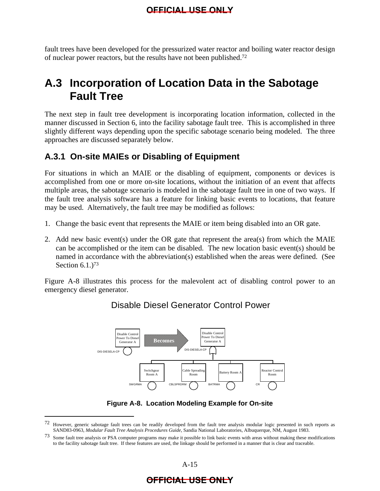fault trees have been developed for the pressurized water reactor and boiling water reactor design of nuclear power reactors, but the results have not been published.72

### **A.3 Incorporation of Location Data in the Sabotage Fault Tree**

The next step in fault tree development is incorporating location information, collected in the manner discussed in Section 6, into the facility sabotage fault tree. This is accomplished in three slightly different ways depending upon the specific sabotage scenario being modeled. The three approaches are discussed separately below.

#### **A.3.1 On-site MAIEs or Disabling of Equipment**

For situations in which an MAIE or the disabling of equipment, components or devices is accomplished from one or more on-site locations, without the initiation of an event that affects multiple areas, the sabotage scenario is modeled in the sabotage fault tree in one of two ways. If the fault tree analysis software has a feature for linking basic events to locations, that feature may be used. Alternatively, the fault tree may be modified as follows:

- 1. Change the basic event that represents the MAIE or item being disabled into an OR gate.
- 2. Add new basic event(s) under the OR gate that represent the area(s) from which the MAIE can be accomplished or the item can be disabled. The new location basic event(s) should be named in accordance with the abbreviation(s) established when the areas were defined. (See Section 6.1.)<sup>73</sup>

Figure A-8 illustrates this process for the malevolent act of disabling control power to an emergency diesel generator.



#### Disable Diesel Generator Control Power

**Figure A-8. Location Modeling Example for On-site** 

 $\overline{a}$ 

# A-15<br>**OFFICIAL USE ONLY**

<sup>72</sup> However, generic sabotage fault trees can be readily developed from the fault tree analysis modular logic presented in such reports as SAND83-0963, *Modular Fault Tree Analysis Procedures Guide*, Sandia National Laboratories, Albuquerque, NM, August 1983.

<sup>73</sup> Some fault tree analysis or PSA computer programs may make it possible to link basic events with areas without making these modifications to the facility sabotage fault tree. If these features are used, the linkage should be performed in a manner that is clear and traceable.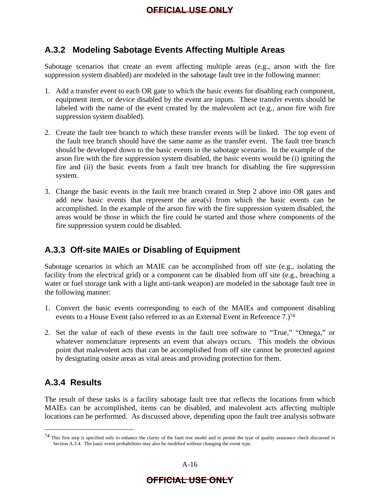#### **A.3.2 Modeling Sabotage Events Affecting Multiple Areas**

Sabotage scenarios that create an event affecting multiple areas (e.g., arson with the fire suppression system disabled) are modeled in the sabotage fault tree in the following manner:

- 1. Add a transfer event to each OR gate to which the basic events for disabling each component, equipment item, or device disabled by the event are inputs. These transfer events should be labeled with the name of the event created by the malevolent act (e.g., arson fire with fire suppression system disabled).
- 2. Create the fault tree branch to which these transfer events will be linked. The top event of the fault tree branch should have the same name as the transfer event. The fault tree branch should be developed down to the basic events in the sabotage scenario. In the example of the arson fire with the fire suppression system disabled, the basic events would be (i) igniting the fire and (ii) the basic events from a fault tree branch for disabling the fire suppression system.
- 3. Change the basic events in the fault tree branch created in Step 2 above into OR gates and add new basic events that represent the area(s) from which the basic events can be accomplished. In the example of the arson fire with the fire suppression system disabled, the areas would be those in which the fire could be started and those where components of the fire suppression system could be disabled.

#### **A.3.3 Off-site MAIEs or Disabling of Equipment**

Sabotage scenarios in which an MAIE can be accomplished from off site (e.g., isolating the facility from the electrical grid) or a component can be disabled from off site (e.g., breaching a water or fuel storage tank with a light anti-tank weapon) are modeled in the sabotage fault tree in the following manner:

- 1. Convert the basic events corresponding to each of the MAIEs and component disabling events to a House Event (also referred to as an External Event in Reference 7.)<sup>74</sup>
- 2. Set the value of each of these events in the fault tree software to "True," "Omega," or whatever nomenclature represents an event that always occurs. This models the obvious point that malevolent acts that can be accomplished from off site cannot be protected against by designating onsite areas as vital areas and providing protection for them.

#### **A.3.4 Results**

 $\overline{a}$ 

The result of these tasks is a facility sabotage fault tree that reflects the locations from which MAIEs can be accomplished, items can be disabled, and malevolent acts affecting multiple locations can be performed. As discussed above, depending upon the fault tree analysis software

# A-16<br>**OFFICIAL USE ONLY**

<sup>74</sup> This first step is specified only to enhance the clarity of the fault tree model and to permit the type of quality assurance check discussed in Section A.3.4. The basic event probabilities may also be modified without changing the event type.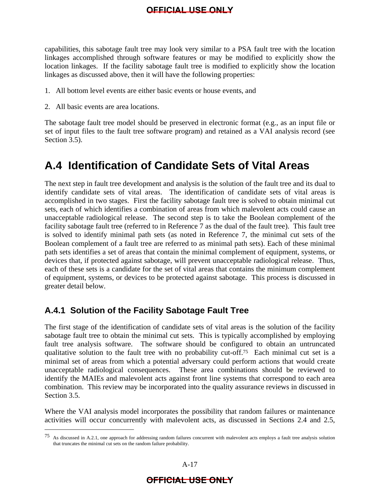capabilities, this sabotage fault tree may look very similar to a PSA fault tree with the location linkages accomplished through software features or may be modified to explicitly show the location linkages. If the facility sabotage fault tree is modified to explicitly show the location linkages as discussed above, then it will have the following properties:

- 1. All bottom level events are either basic events or house events, and
- 2. All basic events are area locations.

 $\overline{a}$ 

The sabotage fault tree model should be preserved in electronic format (e.g., as an input file or set of input files to the fault tree software program) and retained as a VAI analysis record (see Section 3.5).

### **A.4 Identification of Candidate Sets of Vital Areas**

The next step in fault tree development and analysis is the solution of the fault tree and its dual to identify candidate sets of vital areas. The identification of candidate sets of vital areas is accomplished in two stages. First the facility sabotage fault tree is solved to obtain minimal cut sets, each of which identifies a combination of areas from which malevolent acts could cause an unacceptable radiological release. The second step is to take the Boolean complement of the facility sabotage fault tree (referred to in Reference 7 as the dual of the fault tree). This fault tree is solved to identify minimal path sets (as noted in Reference 7, the minimal cut sets of the Boolean complement of a fault tree are referred to as minimal path sets). Each of these minimal path sets identifies a set of areas that contain the minimal complement of equipment, systems, or devices that, if protected against sabotage, will prevent unacceptable radiological release. Thus, each of these sets is a candidate for the set of vital areas that contains the minimum complement of equipment, systems, or devices to be protected against sabotage. This process is discussed in greater detail below.

#### **A.4.1 Solution of the Facility Sabotage Fault Tree**

The first stage of the identification of candidate sets of vital areas is the solution of the facility sabotage fault tree to obtain the minimal cut sets. This is typically accomplished by employing fault tree analysis software. The software should be configured to obtain an untruncated qualitative solution to the fault tree with no probability cut-off.75 Each minimal cut set is a minimal set of areas from which a potential adversary could perform actions that would create unacceptable radiological consequences. These area combinations should be reviewed to identify the MAIEs and malevolent acts against front line systems that correspond to each area combination. This review may be incorporated into the quality assurance reviews in discussed in Section 3.5.

Where the VAI analysis model incorporates the possibility that random failures or maintenance activities will occur concurrently with malevolent acts, as discussed in Sections 2.4 and 2.5,

# A-17<br>**OFFICIAL USE ONLY**

<sup>75</sup> As discussed in A.2.1, one approach for addressing random failures concurrent with malevolent acts employs a fault tree analysis solution that truncates the minimal cut sets on the random failure probability.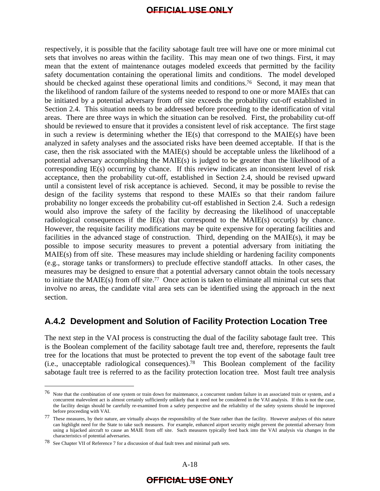respectively, it is possible that the facility sabotage fault tree will have one or more minimal cut sets that involves no areas within the facility. This may mean one of two things. First, it may mean that the extent of maintenance outages modeled exceeds that permitted by the facility safety documentation containing the operational limits and conditions. The model developed should be checked against these operational limits and conditions.76 Second, it may mean that the likelihood of random failure of the systems needed to respond to one or more MAIEs that can be initiated by a potential adversary from off site exceeds the probability cut-off established in Section 2.4. This situation needs to be addressed before proceeding to the identification of vital areas. There are three ways in which the situation can be resolved. First, the probability cut-off should be reviewed to ensure that it provides a consistent level of risk acceptance. The first stage in such a review is determining whether the  $IE(s)$  that correspond to the  $MAIE(s)$  have been analyzed in safety analyses and the associated risks have been deemed acceptable. If that is the case, then the risk associated with the MAIE(s) should be acceptable unless the likelihood of a potential adversary accomplishing the MAIE(s) is judged to be greater than the likelihood of a corresponding IE(s) occurring by chance. If this review indicates an inconsistent level of risk acceptance, then the probability cut-off, established in Section 2.4, should be revised upward until a consistent level of risk acceptance is achieved. Second, it may be possible to revise the design of the facility systems that respond to these MAIEs so that their random failure probability no longer exceeds the probability cut-off established in Section 2.4. Such a redesign would also improve the safety of the facility by decreasing the likelihood of unacceptable radiological consequences if the  $IE(s)$  that correspond to the  $MAIE(s)$  occur(s) by chance. However, the requisite facility modifications may be quite expensive for operating facilities and facilities in the advanced stage of construction. Third, depending on the MAIE(s), it may be possible to impose security measures to prevent a potential adversary from initiating the MAIE(s) from off site. These measures may include shielding or hardening facility components (e.g., storage tanks or transformers) to preclude effective standoff attacks. In other cases, the measures may be designed to ensure that a potential adversary cannot obtain the tools necessary to initiate the MAIE(s) from off site.77 Once action is taken to eliminate all minimal cut sets that involve no areas, the candidate vital area sets can be identified using the approach in the next section.

#### **A.4.2 Development and Solution of Facility Protection Location Tree**

The next step in the VAI process is constructing the dual of the facility sabotage fault tree. This is the Boolean complement of the facility sabotage fault tree and, therefore, represents the fault tree for the locations that must be protected to prevent the top event of the sabotage fault tree (i.e., unacceptable radiological consequences).78 This Boolean complement of the facility sabotage fault tree is referred to as the facility protection location tree. Most fault tree analysis

<u>.</u>

# A-18<br>**OFFICIAL USE ONLY**

<sup>76</sup> Note that the combination of one system or train down for maintenance, a concurrent random failure in an associated train or system, and a concurrent malevolent act is almost certainly sufficiently unlikely that it need not be considered in the VAI analysis. If this is not the case, the facility design should be carefully re-examined from a safety perspective and the reliability of the safety systems should be improved before proceeding with VAI.

<sup>77</sup> These measures, by their nature, are virtually always the responsibility of the State rather than the facility. However analyses of this nature can highlight need for the State to take such measures. For example, enhanced airport security might prevent the potential adversary from using a hijacked aircraft to cause an MAIE from off site. Such measures typically feed back into the VAI analysis via changes in the characteristics of potential adversaries.

<sup>78</sup> See Chapter VII of Reference 7 for a discussion of dual fault trees and minimal path sets.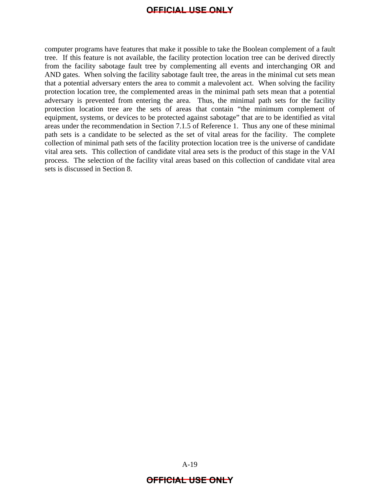computer programs have features that make it possible to take the Boolean complement of a fault tree. If this feature is not available, the facility protection location tree can be derived directly from the facility sabotage fault tree by complementing all events and interchanging OR and AND gates. When solving the facility sabotage fault tree, the areas in the minimal cut sets mean that a potential adversary enters the area to commit a malevolent act. When solving the facility protection location tree, the complemented areas in the minimal path sets mean that a potential adversary is prevented from entering the area. Thus, the minimal path sets for the facility protection location tree are the sets of areas that contain "the minimum complement of equipment, systems, or devices to be protected against sabotage" that are to be identified as vital areas under the recommendation in Section 7.1.5 of Reference 1. Thus any one of these minimal path sets is a candidate to be selected as the set of vital areas for the facility. The complete collection of minimal path sets of the facility protection location tree is the universe of candidate vital area sets. This collection of candidate vital area sets is the product of this stage in the VAI process. The selection of the facility vital areas based on this collection of candidate vital area sets is discussed in Section 8.

# A-19<br>**OFFICIAL USE ONLY**